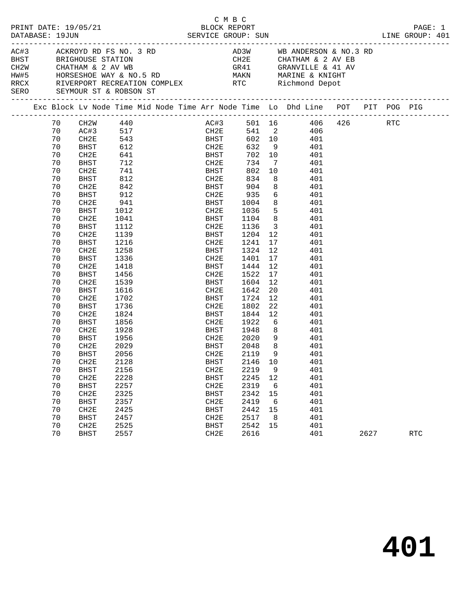| PRINT DATE: 19/05/21<br>DATABASE: 19JUN                                   |                                                                                                                                                          |                                                                                                                                                                                                                                                   |                                                                                                                                                                              |  | C M B C<br>BLOCK REPORT                                                                                                                                                                                                 |                                                                                                                                                                            |                                                                                                                                                                                        |                                                                                                                                                                                                                                                        |      | PAGE: 1<br>LINE GROUP: 401 |  |
|---------------------------------------------------------------------------|----------------------------------------------------------------------------------------------------------------------------------------------------------|---------------------------------------------------------------------------------------------------------------------------------------------------------------------------------------------------------------------------------------------------|------------------------------------------------------------------------------------------------------------------------------------------------------------------------------|--|-------------------------------------------------------------------------------------------------------------------------------------------------------------------------------------------------------------------------|----------------------------------------------------------------------------------------------------------------------------------------------------------------------------|----------------------------------------------------------------------------------------------------------------------------------------------------------------------------------------|--------------------------------------------------------------------------------------------------------------------------------------------------------------------------------------------------------------------------------------------------------|------|----------------------------|--|
| AC#3 ACKROYD RD FS NO. 3 RD<br><b>BHST</b><br>SERO SEYMOUR ST & ROBSON ST |                                                                                                                                                          |                                                                                                                                                                                                                                                   |                                                                                                                                                                              |  |                                                                                                                                                                                                                         |                                                                                                                                                                            |                                                                                                                                                                                        | AD3W WB ANDERSON & NO.3 RD<br>CH2E         CHATHAM & 2 AV EB<br>GR41          GRANVILLE & 41 AV<br>HW#5 HORSESHOE WAY & NO.5 RD MAKN MARINE & KNIGHT<br>RRCX RIVERPORT RECREATION COMPLEX RTC Richmond Depot                                           |      |                            |  |
|                                                                           |                                                                                                                                                          |                                                                                                                                                                                                                                                   |                                                                                                                                                                              |  |                                                                                                                                                                                                                         |                                                                                                                                                                            |                                                                                                                                                                                        | Exc Block Lv Node Time Mid Node Time Arr Node Time Lo Dhd Line POT PIT POG PIG                                                                                                                                                                         |      |                            |  |
|                                                                           | 70<br>70<br>70<br>70<br>70<br>70<br>70<br>70<br>70<br>70<br>70<br>70<br>70<br>70<br>70<br>70<br>70<br>70<br>70<br>70<br>70<br>70<br>70<br>70<br>70<br>70 | -------<br>CH2W 440<br>AC#3 517<br>CH2E 543<br>BHST<br>CH2E<br>BHST<br>CH2E<br>BHST<br>CH2E<br>BHST<br>CH2E<br>BHST<br>CH2E<br><b>BHST</b><br>CH2E<br>BHST<br>CH2E<br>BHST<br>CH2E<br>BHST<br>CH2E<br><b>BHST</b><br>CH2E<br>BHST<br>CH2E<br>BHST | 612<br>641<br>712<br>741<br>812<br>842<br>912<br>941<br>1012<br>1041<br>1112<br>1139<br>1216<br>1258<br>1336<br>1418<br>1456<br>1539<br>1616<br>1702<br>1736<br>1824<br>1856 |  | CH2E<br><b>BHST</b><br>CH2E<br>BHST<br>CH2E<br><b>BHST</b><br>CH2E<br>BHST<br>CH2E<br>BHST 1004<br>CH2E<br>BHST<br>CH2E<br>BHST<br>CH2E<br>BHST<br>CH2E<br>BHST<br>CH2E<br>BHST<br>CH2E<br>BHST<br>CH2E<br>BHST<br>CH2E | 632 9<br>702 10<br>734<br>802<br>834<br>904<br>935<br>1036<br>1104<br>1136<br>1204<br>1241<br>1324<br>1401<br>1444<br>1522<br>1604<br>1642<br>1724<br>1802<br>1844<br>1922 | $\overline{7}$<br>10<br>8 <sup>8</sup><br>8<br>6<br>5 <sup>5</sup><br>8 <sup>8</sup><br>$\overline{\mathbf{3}}$<br>12<br>17<br>12<br>17<br>12<br>17<br>12<br>20<br>12<br>22<br>12<br>6 | AC#3 501 16 406 426 RTC<br>CH2E 541 2 406<br>602 10 401<br>401<br>401<br>401<br>401<br>401<br>401<br>401<br>8 <sup>1</sup><br>401<br>401<br>401<br>401<br>$\frac{1}{401}$<br>401<br>401<br>401<br>401<br>401<br>401<br>401<br>401<br>401<br>401<br>401 |      |                            |  |
|                                                                           | 70<br>70<br>70<br>70<br>70<br>70<br>70<br>70<br>70<br>70<br>70<br>70<br>70<br>70                                                                         | CH2E<br>BHST<br>CH2E<br><b>BHST</b><br>CH2E<br><b>BHST</b><br>CH2E<br><b>BHST</b><br>CH2E<br><b>BHST</b><br>CH2E<br><b>BHST</b><br>CH <sub>2E</sub><br><b>BHST</b>                                                                                | 1928<br>1956<br>2029<br>2056<br>2128<br>2156<br>2228<br>2257<br>2325<br>2357<br>2425<br>2457<br>2525<br>2557                                                                 |  | BHST<br>CH2E<br><b>BHST</b><br>CH2E 2119 9<br><b>BHST</b><br>CH2E<br><b>BHST</b><br>CH2E<br><b>BHST</b><br>CH2E<br><b>BHST</b><br>CH2E<br><b>BHST</b><br>CH2E                                                           | -<br>1948<br>2020 9<br>2048<br>2146<br>2219<br>2245<br>2319<br>2342<br>2419<br>2442<br>2517<br>2542<br>2616                                                                | 8 <sup>8</sup><br>8 <sup>8</sup><br>10<br>9<br>12<br>6<br>15<br>6<br>15<br>8<br>15                                                                                                     | 401<br>401<br>401<br>401<br>401<br>401<br>401<br>401<br>401<br>401<br>401<br>401<br>401<br>401                                                                                                                                                         | 2627 | <b>RTC</b>                 |  |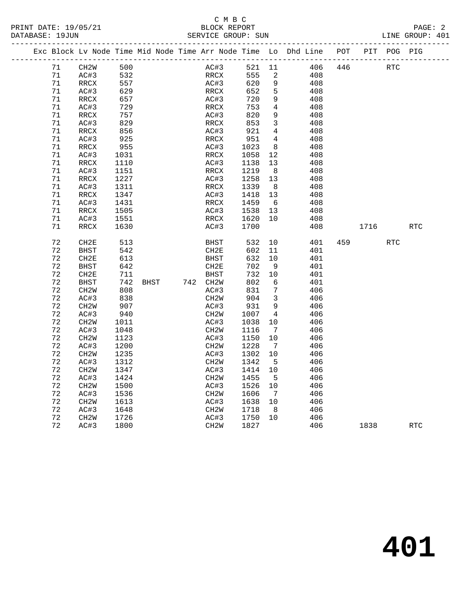#### C M B C<br>BLOCK REPORT PRINT DATE: 19/05/21 BLOCK REPORT PAGE: 2 SERVICE GROUP: SUN

|  |        | Exc Block Lv Node Time Mid Node Time Arr Node Time Lo Dhd Line |      |      |  |                   |        |                |     | POT |      | PIT POG PIG |            |
|--|--------|----------------------------------------------------------------|------|------|--|-------------------|--------|----------------|-----|-----|------|-------------|------------|
|  | 71     | CH <sub>2</sub> W                                              | 500  |      |  | AC#3              | 521 11 |                | 406 | 446 |      | RTC         |            |
|  | 71     | AC#3                                                           | 532  |      |  | RRCX              | 555    | 2              | 408 |     |      |             |            |
|  | 71     | RRCX                                                           | 557  |      |  | AC#3              | 620    | 9              | 408 |     |      |             |            |
|  | 71     | AC#3                                                           | 629  |      |  | RRCX              | 652    | 5              | 408 |     |      |             |            |
|  | 71     | RRCX                                                           | 657  |      |  | AC#3              | 720    | 9              | 408 |     |      |             |            |
|  | 71     | AC#3                                                           | 729  |      |  | RRCX              | 753    | $\overline{4}$ | 408 |     |      |             |            |
|  | 71     | RRCX                                                           | 757  |      |  | AC#3              | 820    | 9              | 408 |     |      |             |            |
|  | 71     | AC#3                                                           | 829  |      |  | RRCX              | 853    | $\mathbf{3}$   | 408 |     |      |             |            |
|  | $71\,$ | RRCX                                                           | 856  |      |  | AC#3              | 921    | 4              | 408 |     |      |             |            |
|  | 71     | AC#3                                                           | 925  |      |  | RRCX              | 951    | $\overline{4}$ | 408 |     |      |             |            |
|  | 71     | RRCX                                                           | 955  |      |  | AC#3              | 1023   | - 8            | 408 |     |      |             |            |
|  | 71     | AC#3                                                           | 1031 |      |  | RRCX              | 1058   | 12             | 408 |     |      |             |            |
|  | 71     | RRCX                                                           | 1110 |      |  | AC#3              | 1138   | 13             | 408 |     |      |             |            |
|  | 71     | AC#3                                                           | 1151 |      |  | RRCX              | 1219   | 8              | 408 |     |      |             |            |
|  | 71     | RRCX                                                           | 1227 |      |  | AC#3              | 1258   | 13             | 408 |     |      |             |            |
|  | 71     | AC#3                                                           | 1311 |      |  | RRCX              | 1339   | 8 <sup>8</sup> | 408 |     |      |             |            |
|  | 71     | RRCX                                                           | 1347 |      |  | AC#3              | 1418   | 13             | 408 |     |      |             |            |
|  | 71     | AC#3                                                           | 1431 |      |  | RRCX              | 1459   | 6              | 408 |     |      |             |            |
|  | 71     | RRCX                                                           | 1505 |      |  | AC#3              | 1538   | 13             | 408 |     |      |             |            |
|  | 71     | AC#3                                                           | 1551 |      |  | RRCX              | 1620   | 10             | 408 |     |      |             |            |
|  | 71     | RRCX                                                           | 1630 |      |  | AC#3              | 1700   |                | 408 |     | 1716 |             | <b>RTC</b> |
|  | 72     | CH <sub>2E</sub>                                               | 513  |      |  | BHST              | 532    | 10             | 401 | 459 |      | <b>RTC</b>  |            |
|  | 72     | BHST                                                           | 542  |      |  | CH2E              | 602    | 11             | 401 |     |      |             |            |
|  | 72     | CH <sub>2E</sub>                                               | 613  |      |  | BHST              | 632    | 10             | 401 |     |      |             |            |
|  | 72     | <b>BHST</b>                                                    | 642  |      |  | CH2E              | 702    | - 9            | 401 |     |      |             |            |
|  | 72     | CH <sub>2E</sub>                                               | 711  |      |  | <b>BHST</b>       | 732    | 10             | 401 |     |      |             |            |
|  | 72     | <b>BHST</b>                                                    | 742  | BHST |  | 742 CH2W          | 802    | 6              | 401 |     |      |             |            |
|  | 72     | CH <sub>2</sub> W                                              | 808  |      |  | AC#3              | 831    | 7              | 406 |     |      |             |            |
|  | 72     | AC#3                                                           | 838  |      |  | CH <sub>2</sub> W | 904    | 3              | 406 |     |      |             |            |
|  | 72     | CH <sub>2</sub> W                                              | 907  |      |  | AC#3              | 931    | 9              | 406 |     |      |             |            |
|  | 72     | AC#3                                                           | 940  |      |  | CH <sub>2</sub> M | 1007   | $\overline{4}$ | 406 |     |      |             |            |
|  | 72     | CH <sub>2</sub> W                                              | 1011 |      |  | AC#3              | 1038   | $10\,$         | 406 |     |      |             |            |
|  | 72     | AC#3                                                           | 1048 |      |  | CH <sub>2</sub> M | 1116   | $\overline{7}$ | 406 |     |      |             |            |
|  | 72     | CH <sub>2</sub> W                                              | 1123 |      |  | AC#3              | 1150   | 10             | 406 |     |      |             |            |
|  | 72     | AC#3                                                           | 1200 |      |  | CH <sub>2</sub> W | 1228   | $\overline{7}$ | 406 |     |      |             |            |
|  | 72     | CH <sub>2</sub> M                                              | 1235 |      |  | AC#3              | 1302   | 10             | 406 |     |      |             |            |
|  | 72     | AC#3                                                           | 1312 |      |  | CH <sub>2</sub> W | 1342   | 5              | 406 |     |      |             |            |
|  | 72     | CH <sub>2</sub> M                                              | 1347 |      |  | AC#3              | 1414   | 10             | 406 |     |      |             |            |
|  | 72     | AC#3                                                           | 1424 |      |  | CH <sub>2</sub> W | 1455   | 5              | 406 |     |      |             |            |
|  | 72     | CH <sub>2</sub> W                                              | 1500 |      |  | AC#3              | 1526   | 10             | 406 |     |      |             |            |
|  | 72     | AC#3                                                           | 1536 |      |  | CH <sub>2</sub> M | 1606   | $\overline{7}$ | 406 |     |      |             |            |
|  | 72     | CH <sub>2</sub> W                                              | 1613 |      |  | AC#3              | 1638   | 10             | 406 |     |      |             |            |
|  | 72     | AC#3                                                           | 1648 |      |  | CH2W              | 1718   | 8 <sup>8</sup> | 406 |     |      |             |            |
|  | 72     | CH <sub>2</sub> W                                              | 1726 |      |  | AC#3              | 1750   | 10             | 406 |     |      |             |            |
|  | 72     | AC#3                                                           | 1800 |      |  | CH <sub>2</sub> M | 1827   |                | 406 |     | 1838 |             | RTC        |
|  |        |                                                                |      |      |  |                   |        |                |     |     |      |             |            |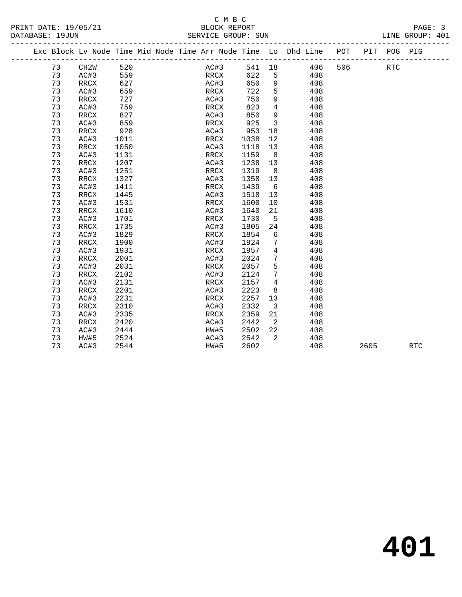#### C M B C<br>BLOCK REPORT PRINT DATE: 19/05/21 BLOCK REPORT PAGE: 3 SERVICE GROUP: SUN

|  |    | Exc Block Lv Node Time Mid Node Time Arr Node Time Lo Dhd Line |      |  |      |      |      |                         |        |     | POT | PIT  | POG PIG    |            |
|--|----|----------------------------------------------------------------|------|--|------|------|------|-------------------------|--------|-----|-----|------|------------|------------|
|  | 73 | CH2W                                                           | 520  |  |      | AC#3 |      |                         | 541 18 | 406 | 506 |      | <b>RTC</b> |            |
|  | 73 | AC#3                                                           | 559  |  |      | RRCX | 622  | 5                       |        | 408 |     |      |            |            |
|  | 73 | RRCX                                                           | 627  |  | AC#3 |      | 650  | 9                       |        | 408 |     |      |            |            |
|  | 73 | AC#3                                                           | 659  |  | RRCX |      | 722  | 5                       |        | 408 |     |      |            |            |
|  | 73 | RRCX                                                           | 727  |  | AC#3 |      | 750  | 9                       |        | 408 |     |      |            |            |
|  | 73 | AC#3                                                           | 759  |  | RRCX |      | 823  | $\overline{4}$          |        | 408 |     |      |            |            |
|  | 73 | RRCX                                                           | 827  |  | AC#3 |      | 850  | 9                       |        | 408 |     |      |            |            |
|  | 73 | AC#3                                                           | 859  |  | RRCX |      | 925  | $\overline{\mathbf{3}}$ |        | 408 |     |      |            |            |
|  | 73 | RRCX                                                           | 928  |  | AC#3 |      | 953  | 18                      |        | 408 |     |      |            |            |
|  | 73 | AC#3                                                           | 1011 |  | RRCX |      | 1038 | 12                      |        | 408 |     |      |            |            |
|  | 73 | RRCX                                                           | 1050 |  | AC#3 |      | 1118 | 13                      |        | 408 |     |      |            |            |
|  | 73 | AC#3                                                           | 1131 |  | RRCX |      | 1159 | 8 <sup>8</sup>          |        | 408 |     |      |            |            |
|  | 73 | RRCX                                                           | 1207 |  | AC#3 |      | 1238 | 13                      |        | 408 |     |      |            |            |
|  | 73 | AC#3                                                           | 1251 |  | RRCX |      | 1319 | 8                       |        | 408 |     |      |            |            |
|  | 73 | RRCX                                                           | 1327 |  | AC#3 |      | 1358 | 13                      |        | 408 |     |      |            |            |
|  | 73 | AC#3                                                           | 1411 |  | RRCX |      | 1439 | 6                       |        | 408 |     |      |            |            |
|  | 73 | RRCX                                                           | 1445 |  | AC#3 |      | 1518 | 13                      |        | 408 |     |      |            |            |
|  | 73 | AC#3                                                           | 1531 |  | RRCX |      | 1600 | 10                      |        | 408 |     |      |            |            |
|  | 73 | RRCX                                                           | 1610 |  | AC#3 |      | 1640 | 21                      |        | 408 |     |      |            |            |
|  | 73 | AC#3                                                           | 1701 |  | RRCX |      | 1730 | $5^{\circ}$             |        | 408 |     |      |            |            |
|  | 73 | $\mathop{\mathrm{RRCX}}$                                       | 1735 |  | AC#3 |      | 1805 | 24                      |        | 408 |     |      |            |            |
|  | 73 | AC#3                                                           | 1829 |  | RRCX |      | 1854 | 6                       |        | 408 |     |      |            |            |
|  | 73 | RRCX                                                           | 1900 |  | AC#3 |      | 1924 | 7                       |        | 408 |     |      |            |            |
|  | 73 | AC#3                                                           | 1931 |  | RRCX |      | 1957 | $\overline{4}$          |        | 408 |     |      |            |            |
|  | 73 | RRCX                                                           | 2001 |  | AC#3 |      | 2024 | $7\phantom{.0}$         |        | 408 |     |      |            |            |
|  | 73 | AC#3                                                           | 2031 |  | RRCX |      | 2057 | 5                       |        | 408 |     |      |            |            |
|  | 73 | RRCX                                                           | 2102 |  | AC#3 |      | 2124 | $7\phantom{.0}$         |        | 408 |     |      |            |            |
|  | 73 | AC#3                                                           | 2131 |  | RRCX |      | 2157 | $\overline{4}$          |        | 408 |     |      |            |            |
|  | 73 | RRCX                                                           | 2201 |  | AC#3 |      | 2223 | 8                       |        | 408 |     |      |            |            |
|  | 73 | AC#3                                                           | 2231 |  | RRCX |      | 2257 | 13                      |        | 408 |     |      |            |            |
|  | 73 | RRCX                                                           | 2310 |  | AC#3 |      | 2332 | $\overline{\mathbf{3}}$ |        | 408 |     |      |            |            |
|  | 73 | AC#3                                                           | 2335 |  | RRCX |      | 2359 | 21                      |        | 408 |     |      |            |            |
|  | 73 | RRCX                                                           | 2420 |  | AC#3 |      | 2442 | $\overline{2}$          |        | 408 |     |      |            |            |
|  | 73 | AC#3                                                           | 2444 |  | HW#5 |      | 2502 | 22                      |        | 408 |     |      |            |            |
|  | 73 | HW#5                                                           | 2524 |  | AC#3 |      | 2542 | 2                       |        | 408 |     |      |            |            |
|  | 73 | AC#3                                                           | 2544 |  | HW#5 |      | 2602 |                         |        | 408 |     | 2605 |            | <b>RTC</b> |
|  |    |                                                                |      |  |      |      |      |                         |        |     |     |      |            |            |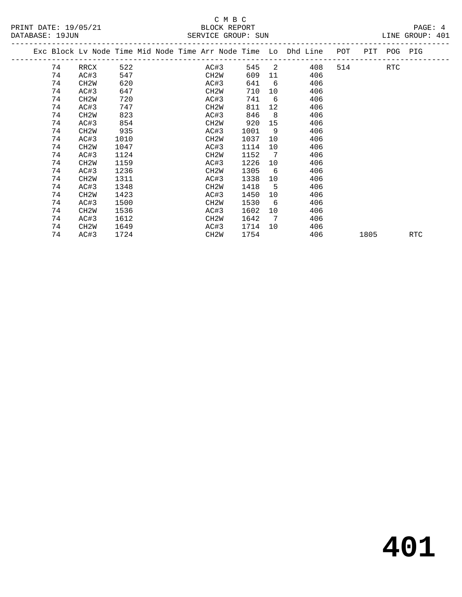|    |                   |      |  |                   |      |                 | Exc Block Lv Node Time Mid Node Time Arr Node Time Lo Dhd Line | POT | PIT  | POG PIG    |     |
|----|-------------------|------|--|-------------------|------|-----------------|----------------------------------------------------------------|-----|------|------------|-----|
| 74 | RRCX              | 522  |  | AC#3              | 545  | $\overline{2}$  | 408                                                            | 514 |      | <b>RTC</b> |     |
| 74 | AC#3              | 547  |  | CH2W              | 609  | 11              | 406                                                            |     |      |            |     |
| 74 | CH <sub>2</sub> M | 620  |  | AC#3              | 641  | 6               | 406                                                            |     |      |            |     |
| 74 | AC#3              | 647  |  | CH2W              | 710  | 10              | 406                                                            |     |      |            |     |
| 74 | CH <sub>2</sub> M | 720  |  | AC#3              | 741  | 6               | 406                                                            |     |      |            |     |
| 74 | AC#3              | 747  |  | CH2W              | 811  | 12 <sup>°</sup> | 406                                                            |     |      |            |     |
| 74 | CH <sub>2</sub> M | 823  |  | AC#3              | 846  | 8               | 406                                                            |     |      |            |     |
| 74 | AC#3              | 854  |  | CH2W              | 920  | 15              | 406                                                            |     |      |            |     |
| 74 | CH <sub>2</sub> M | 935  |  | AC#3              | 1001 | 9               | 406                                                            |     |      |            |     |
| 74 | AC#3              | 1010 |  | CH2W              | 1037 | 10              | 406                                                            |     |      |            |     |
| 74 | CH <sub>2</sub> M | 1047 |  | AC#3              | 1114 | 10              | 406                                                            |     |      |            |     |
| 74 | AC#3              | 1124 |  | CH2W              | 1152 | $\overline{7}$  | 406                                                            |     |      |            |     |
| 74 | CH <sub>2</sub> W | 1159 |  | AC#3              | 1226 | 10              | 406                                                            |     |      |            |     |
| 74 | AC#3              | 1236 |  | CH <sub>2</sub> W | 1305 | 6               | 406                                                            |     |      |            |     |
| 74 | CH <sub>2</sub> W | 1311 |  | AC#3              | 1338 | 10              | 406                                                            |     |      |            |     |
| 74 | AC#3              | 1348 |  | CH2W              | 1418 | 5               | 406                                                            |     |      |            |     |
| 74 | CH <sub>2</sub> M | 1423 |  | AC#3              | 1450 | 10              | 406                                                            |     |      |            |     |
| 74 | AC#3              | 1500 |  | CH <sub>2</sub> W | 1530 | 6               | 406                                                            |     |      |            |     |
| 74 | CH <sub>2</sub> W | 1536 |  | AC#3              | 1602 | 10              | 406                                                            |     |      |            |     |
| 74 | AC#3              | 1612 |  | CH2W              | 1642 | $\overline{7}$  | 406                                                            |     |      |            |     |
| 74 | CH <sub>2</sub> M | 1649 |  | AC#3              | 1714 | 10              | 406                                                            |     |      |            |     |
| 74 | AC#3              | 1724 |  | CH2W              | 1754 |                 | 406                                                            |     | 1805 |            | RTC |
|    |                   |      |  |                   |      |                 |                                                                |     |      |            |     |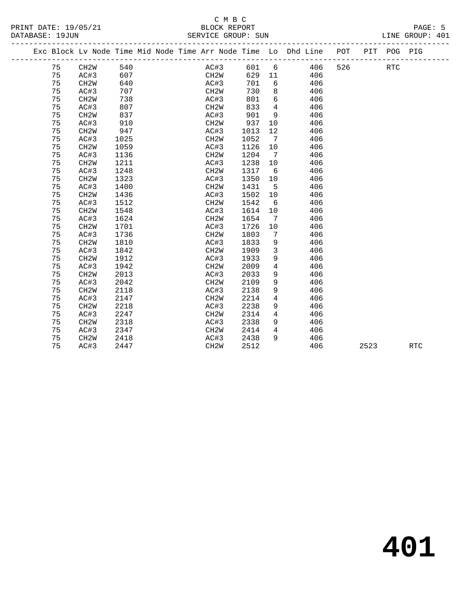#### C M B C<br>BLOCK REPORT PRINT DATE: 19/05/21 BLOCK REPORT PAGE: 5 SERVICE GROUP: SUN

|  |    |                   |      |  | Exc Block Lv Node Time Mid Node Time Arr Node Time Lo Dhd Line POT |      |                 |            | PIT  | POG PIG    |            |  |
|--|----|-------------------|------|--|--------------------------------------------------------------------|------|-----------------|------------|------|------------|------------|--|
|  | 75 | CH2W              | 540  |  | AC#3                                                               | 601  | 6               | 526<br>406 |      | <b>RTC</b> |            |  |
|  | 75 | AC#3              | 607  |  | CH2W                                                               | 629  | 11              | 406        |      |            |            |  |
|  | 75 | CH <sub>2</sub> W | 640  |  | AC#3                                                               | 701  | 6               | 406        |      |            |            |  |
|  | 75 | AC#3              | 707  |  | CH <sub>2</sub> W                                                  | 730  | 8               | 406        |      |            |            |  |
|  | 75 | CH <sub>2</sub> W | 738  |  | AC#3                                                               | 801  | 6               | 406        |      |            |            |  |
|  | 75 | AC#3              | 807  |  | CH <sub>2</sub> W                                                  | 833  | $\overline{4}$  | 406        |      |            |            |  |
|  | 75 | CH <sub>2</sub> W | 837  |  | AC#3                                                               | 901  | 9               | 406        |      |            |            |  |
|  | 75 | AC#3              | 910  |  | CH2W                                                               | 937  | 10              | 406        |      |            |            |  |
|  | 75 | CH <sub>2</sub> W | 947  |  | AC#3                                                               | 1013 | 12              | 406        |      |            |            |  |
|  | 75 | AC#3              | 1025 |  | CH <sub>2</sub> W                                                  | 1052 | $7\phantom{.0}$ | 406        |      |            |            |  |
|  | 75 | CH <sub>2</sub> W | 1059 |  | AC#3                                                               | 1126 | 10              | 406        |      |            |            |  |
|  | 75 | AC#3              | 1136 |  | CH <sub>2</sub> W                                                  | 1204 | $7\overline{7}$ | 406        |      |            |            |  |
|  | 75 | CH <sub>2</sub> W | 1211 |  | AC#3                                                               | 1238 | 10              | 406        |      |            |            |  |
|  | 75 | AC#3              | 1248 |  | CH <sub>2</sub> W                                                  | 1317 | 6               | 406        |      |            |            |  |
|  | 75 | CH <sub>2</sub> W | 1323 |  | AC#3                                                               | 1350 | 10              | 406        |      |            |            |  |
|  | 75 | AC#3              | 1400 |  | CH <sub>2</sub> W                                                  | 1431 | 5               | 406        |      |            |            |  |
|  | 75 | CH <sub>2</sub> W | 1436 |  | AC#3                                                               | 1502 | 10              | 406        |      |            |            |  |
|  | 75 | AC#3              | 1512 |  | CH <sub>2</sub> W                                                  | 1542 | 6               | 406        |      |            |            |  |
|  | 75 | CH <sub>2</sub> W | 1548 |  | AC#3                                                               | 1614 | 10              | 406        |      |            |            |  |
|  | 75 | AC#3              | 1624 |  | CH <sub>2</sub> W                                                  | 1654 | -7              | 406        |      |            |            |  |
|  | 75 | CH <sub>2</sub> W | 1701 |  | AC#3                                                               | 1726 | 10              | 406        |      |            |            |  |
|  | 75 | AC#3              | 1736 |  | CH <sub>2</sub> W                                                  | 1803 | 7               | 406        |      |            |            |  |
|  | 75 | CH <sub>2</sub> W | 1810 |  | AC#3                                                               | 1833 | 9               | 406        |      |            |            |  |
|  | 75 | AC#3              | 1842 |  | CH <sub>2</sub> W                                                  | 1909 | 3               | 406        |      |            |            |  |
|  | 75 | CH <sub>2</sub> W | 1912 |  | AC#3                                                               | 1933 | 9               | 406        |      |            |            |  |
|  | 75 | AC#3              | 1942 |  | CH <sub>2</sub> W                                                  | 2009 | 4               | 406        |      |            |            |  |
|  | 75 | CH <sub>2</sub> W | 2013 |  | AC#3                                                               | 2033 | 9               | 406        |      |            |            |  |
|  | 75 | AC#3              | 2042 |  | CH <sub>2</sub> W                                                  | 2109 | 9               | 406        |      |            |            |  |
|  | 75 | CH <sub>2</sub> W | 2118 |  | AC#3                                                               | 2138 | 9               | 406        |      |            |            |  |
|  | 75 | AC#3              | 2147 |  | CH <sub>2</sub> W                                                  | 2214 | 4               | 406        |      |            |            |  |
|  | 75 | CH <sub>2</sub> W | 2218 |  | AC#3                                                               | 2238 | 9               | 406        |      |            |            |  |
|  | 75 | AC#3              | 2247 |  | CH <sub>2</sub> W                                                  | 2314 | $\overline{4}$  | 406        |      |            |            |  |
|  | 75 | CH <sub>2</sub> W | 2318 |  | AC#3                                                               | 2338 | 9               | 406        |      |            |            |  |
|  | 75 | AC#3              | 2347 |  | CH <sub>2</sub> W                                                  | 2414 | $\overline{4}$  | 406        |      |            |            |  |
|  | 75 | CH <sub>2</sub> W | 2418 |  | AC#3                                                               | 2438 | 9               | 406        |      |            |            |  |
|  | 75 | AC#3              | 2447 |  | CH <sub>2</sub> W                                                  | 2512 |                 | 406        | 2523 |            | <b>RTC</b> |  |
|  |    |                   |      |  |                                                                    |      |                 |            |      |            |            |  |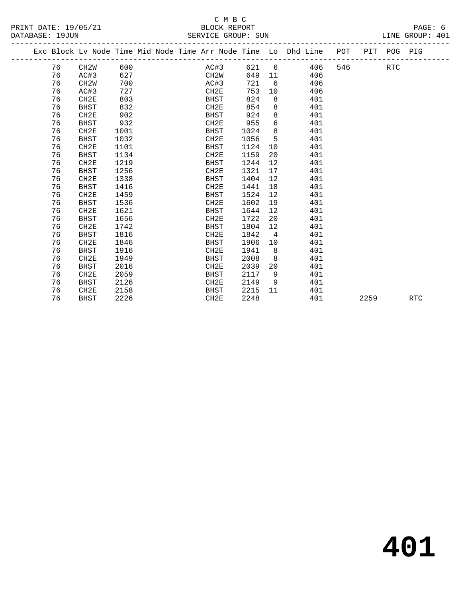| PRINT DATE: 19/05/21 | BLOCK REPORT       | PAGE: 6         |
|----------------------|--------------------|-----------------|
| DATABASE: 19JUN      | SERVICE GROUP: SUN | LINE GROUP: 401 |

| TIVINI PAIR ISTOSTAI<br>DATABASE: 19JUN |                                                                                |  |  |  | PPOCK KPI OKI | SERVICE GROUP: SUN |  |  |  | $\Box$<br>LINE GROUP: 401 |  |
|-----------------------------------------|--------------------------------------------------------------------------------|--|--|--|---------------|--------------------|--|--|--|---------------------------|--|
|                                         | Exc Block Lv Node Time Mid Node Time Arr Node Time Lo Dhd Line POT PIT POG PIG |  |  |  |               |                    |  |  |  |                           |  |

|  |    | Exc Block Lv Node Time Mid Node Time Arr Node Time Lo Dhd Line |      |  |                   |      |                   |     | POT | PIT  | POG PIG    |            |
|--|----|----------------------------------------------------------------|------|--|-------------------|------|-------------------|-----|-----|------|------------|------------|
|  | 76 | CH2W                                                           | 600  |  | AC#3              | 621  | 6                 | 406 | 546 |      | <b>RTC</b> |            |
|  | 76 | AC#3                                                           | 627  |  | CH <sub>2</sub> W | 649  | 11                | 406 |     |      |            |            |
|  | 76 | CH <sub>2</sub> W                                              | 700  |  | AC#3              | 721  | 6                 | 406 |     |      |            |            |
|  | 76 | AC#3                                                           | 727  |  | CH2E              | 753  | 10                | 406 |     |      |            |            |
|  | 76 | CH2E                                                           | 803  |  | BHST              | 824  | 8                 | 401 |     |      |            |            |
|  | 76 | <b>BHST</b>                                                    | 832  |  | CH <sub>2E</sub>  | 854  | 8                 | 401 |     |      |            |            |
|  | 76 | CH2E                                                           | 902  |  | BHST              | 924  | 8                 | 401 |     |      |            |            |
|  | 76 | <b>BHST</b>                                                    | 932  |  | CH2E              | 955  | 6                 | 401 |     |      |            |            |
|  | 76 | CH2E                                                           | 1001 |  | BHST              | 1024 | 8                 | 401 |     |      |            |            |
|  | 76 | <b>BHST</b>                                                    | 1032 |  | CH <sub>2E</sub>  | 1056 | 5                 | 401 |     |      |            |            |
|  | 76 | CH2E                                                           | 1101 |  | <b>BHST</b>       | 1124 | 10                | 401 |     |      |            |            |
|  | 76 | <b>BHST</b>                                                    | 1134 |  | CH <sub>2E</sub>  | 1159 | 20                | 401 |     |      |            |            |
|  | 76 | CH2E                                                           | 1219 |  | BHST              | 1244 | 12                | 401 |     |      |            |            |
|  | 76 | <b>BHST</b>                                                    | 1256 |  | CH <sub>2E</sub>  | 1321 | 17                | 401 |     |      |            |            |
|  | 76 | CH2E                                                           | 1338 |  | <b>BHST</b>       | 1404 | 12                | 401 |     |      |            |            |
|  | 76 | <b>BHST</b>                                                    | 1416 |  | CH <sub>2E</sub>  | 1441 | 18                | 401 |     |      |            |            |
|  | 76 | CH2E                                                           | 1459 |  | BHST              | 1524 | 12                | 401 |     |      |            |            |
|  | 76 | <b>BHST</b>                                                    | 1536 |  | CH <sub>2E</sub>  | 1602 | 19                | 401 |     |      |            |            |
|  | 76 | CH2E                                                           | 1621 |  | <b>BHST</b>       | 1644 | $12 \overline{ }$ | 401 |     |      |            |            |
|  | 76 | <b>BHST</b>                                                    | 1656 |  | CH <sub>2E</sub>  | 1722 | 20                | 401 |     |      |            |            |
|  | 76 | CH2E                                                           | 1742 |  | BHST              | 1804 | 12                | 401 |     |      |            |            |
|  | 76 | <b>BHST</b>                                                    | 1816 |  | CH <sub>2E</sub>  | 1842 | $\overline{4}$    | 401 |     |      |            |            |
|  | 76 | CH2E                                                           | 1846 |  | <b>BHST</b>       | 1906 | 10                | 401 |     |      |            |            |
|  | 76 | BHST                                                           | 1916 |  | CH <sub>2E</sub>  | 1941 | 8                 | 401 |     |      |            |            |
|  | 76 | CH2E                                                           | 1949 |  | BHST              | 2008 | 8                 | 401 |     |      |            |            |
|  | 76 | <b>BHST</b>                                                    | 2016 |  | CH <sub>2E</sub>  | 2039 | 20                | 401 |     |      |            |            |
|  | 76 | CH2E                                                           | 2059 |  | <b>BHST</b>       | 2117 | 9                 | 401 |     |      |            |            |
|  | 76 | <b>BHST</b>                                                    | 2126 |  | CH2E              | 2149 | 9                 | 401 |     |      |            |            |
|  | 76 | CH2E                                                           | 2158 |  | <b>BHST</b>       | 2215 | 11                | 401 |     |      |            |            |
|  | 76 | <b>BHST</b>                                                    | 2226 |  | CH <sub>2E</sub>  | 2248 |                   | 401 |     | 2259 |            | <b>RTC</b> |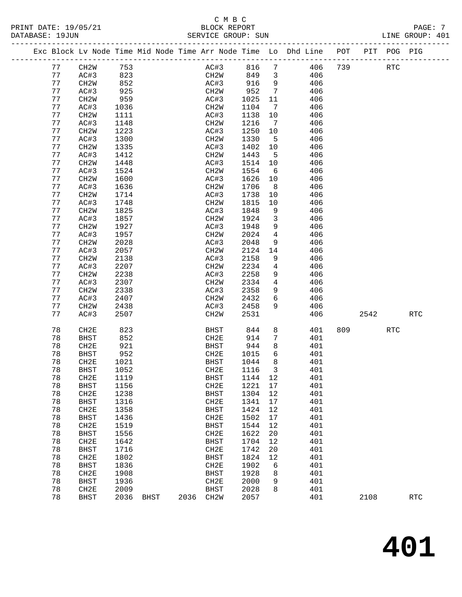#### C M B C<br>BLOCK REPORT PRINT DATE: 19/05/21 BLOCK REPORT PAGE: 7 SERVICE GROUP: SUN

|  |          | Exc Block Lv Node Time Mid Node Time Arr Node Time Lo Dhd Line POT |              |             |      |                     |              |                         |            |     |      | PIT POG PIG |            |
|--|----------|--------------------------------------------------------------------|--------------|-------------|------|---------------------|--------------|-------------------------|------------|-----|------|-------------|------------|
|  | 77       | CH2W                                                               | 753          |             |      | AC#3                | 816          | $7\phantom{.0}$         | 406        | 739 |      | RTC         |            |
|  | 77       | AC#3                                                               | 823          |             |      | CH2W                | 849          | $\overline{\mathbf{3}}$ | 406        |     |      |             |            |
|  | 77       | CH2W                                                               | 852          |             |      | AC#3                | 916          | 9                       | 406        |     |      |             |            |
|  | 77       | AC#3                                                               | 925          |             |      | CH2W                | 952          | $7\phantom{.0}$         | 406        |     |      |             |            |
|  | 77       | CH2W                                                               | 959          |             |      | AC#3                | 1025         | 11                      | 406        |     |      |             |            |
|  | 77       | AC#3                                                               | 1036         |             |      | CH2W                | 1104         | 7                       | 406        |     |      |             |            |
|  | 77       | CH <sub>2</sub> M                                                  | 1111         |             |      | AC#3                | 1138         | 10                      | 406        |     |      |             |            |
|  | 77       | AC#3                                                               | 1148         |             |      | CH2W                | 1216         | $\overline{7}$          | 406        |     |      |             |            |
|  | 77       | CH <sub>2</sub> W                                                  | 1223         |             |      | AC#3                | 1250         | 10                      | 406        |     |      |             |            |
|  | 77       | AC#3                                                               | 1300         |             |      | CH <sub>2</sub> W   | 1330         | 5                       | 406        |     |      |             |            |
|  | 77       | CH <sub>2</sub> W                                                  | 1335         |             |      | AC#3                | 1402         | 10                      | 406        |     |      |             |            |
|  | 77       | AC#3                                                               | 1412         |             |      | CH2W                | 1443         | 5                       | 406        |     |      |             |            |
|  | 77       | CH <sub>2</sub> M                                                  | 1448         |             |      | AC#3                | 1514         | 10                      | 406        |     |      |             |            |
|  | 77       | AC#3                                                               | 1524         |             |      | CH2W                | 1554         | 6                       | 406        |     |      |             |            |
|  | 77       | CH <sub>2</sub> M                                                  | 1600         |             |      | AC#3                | 1626         | 10                      | 406        |     |      |             |            |
|  | 77       | AC#3                                                               | 1636         |             |      | CH2W                | 1706         | 8 <sup>8</sup>          | 406        |     |      |             |            |
|  | 77       | CH <sub>2</sub> M                                                  | 1714         |             |      | AC#3                | 1738         | 10                      | 406        |     |      |             |            |
|  | 77       | AC#3                                                               | 1748         |             |      | CH <sub>2</sub> W   | 1815         | 10                      | 406        |     |      |             |            |
|  | 77       | CH <sub>2</sub> W                                                  | 1825         |             |      | AC#3                | 1848         | 9                       | 406        |     |      |             |            |
|  | 77       | AC#3                                                               | 1857         |             |      | CH2W                | 1924         | $\mathbf{3}$            | 406        |     |      |             |            |
|  | 77       | CH <sub>2</sub> M                                                  | 1927         |             |      | AC#3                | 1948         | 9                       | 406        |     |      |             |            |
|  | 77       | AC#3                                                               | 1957         |             |      | CH2W                | 2024         | 4                       | 406        |     |      |             |            |
|  | 77       | CH <sub>2</sub> W                                                  | 2028         |             |      | AC#3                | 2048         | 9                       | 406        |     |      |             |            |
|  | 77       | AC#3                                                               | 2057         |             |      | CH2W                | 2124         | 14                      | 406        |     |      |             |            |
|  | 77       | CH <sub>2</sub> M                                                  | 2138         |             |      | AC#3                | 2158         | 9                       | 406        |     |      |             |            |
|  | 77       | AC#3                                                               | 2207         |             |      | CH2W                | 2234         | 4                       | 406        |     |      |             |            |
|  | 77<br>77 | CH <sub>2</sub> W                                                  | 2238<br>2307 |             |      | AC#3                | 2258<br>2334 | 9<br>$\overline{4}$     | 406        |     |      |             |            |
|  | 77       | AC#3<br>CH2W                                                       | 2338         |             |      | CH2W<br>AC#3        | 2358         | 9                       | 406<br>406 |     |      |             |            |
|  | 77       | AC#3                                                               | 2407         |             |      | CH2W                | 2432         | 6                       | 406        |     |      |             |            |
|  | 77       | CH <sub>2</sub> W                                                  | 2438         |             |      | AC#3                | 2458         | 9                       | 406        |     |      |             |            |
|  | 77       | AC#3                                                               | 2507         |             |      | CH <sub>2</sub> W   | 2531         |                         | 406        |     | 2542 |             | <b>RTC</b> |
|  |          |                                                                    |              |             |      |                     |              |                         |            |     |      |             |            |
|  | 78       | CH2E                                                               | 823          |             |      | BHST                | 844          | 8                       | 401        | 809 |      | <b>RTC</b>  |            |
|  | 78       | <b>BHST</b>                                                        | 852          |             |      | CH2E                | 914          | $7\phantom{.0}$         | 401        |     |      |             |            |
|  | 78       | CH2E                                                               | 921          |             |      | BHST                | 944          | 8                       | 401        |     |      |             |            |
|  | 78       | <b>BHST</b>                                                        | 952          |             |      | CH2E                | 1015         | 6                       | 401        |     |      |             |            |
|  | 78       | CH2E                                                               | 1021         |             |      | BHST                | 1044         | 8                       | 401        |     |      |             |            |
|  | 78       | <b>BHST</b>                                                        | 1052         |             |      | CH2E                | 1116         | 3                       | 401        |     |      |             |            |
|  | 78       | CH2E                                                               | 1119         |             |      | <b>BHST</b>         | 1144         | 12                      | 401        |     |      |             |            |
|  | 78       | <b>BHST</b>                                                        | 1156         |             |      | CH <sub>2E</sub>    | 1221         | 17                      | 401        |     |      |             |            |
|  | 78<br>78 | CH2E                                                               | 1238         |             |      | <b>BHST</b>         | 1304         | 12                      | 401<br>401 |     |      |             |            |
|  | 78       | <b>BHST</b><br>CH2E                                                | 1316<br>1358 |             |      | CH2E<br><b>BHST</b> | 1341<br>1424 | 17<br>12                | 401        |     |      |             |            |
|  | 78       | <b>BHST</b>                                                        | 1436         |             |      | CH <sub>2E</sub>    | 1502         | $17$                    | 401        |     |      |             |            |
|  | 78       | CH2E                                                               | 1519         |             |      | <b>BHST</b>         | 1544         | 12                      | 401        |     |      |             |            |
|  | 78       | <b>BHST</b>                                                        | 1556         |             |      | CH <sub>2E</sub>    | 1622         | 20                      | 401        |     |      |             |            |
|  | 78       | CH2E                                                               | 1642         |             |      | <b>BHST</b>         | 1704         | 12                      | 401        |     |      |             |            |
|  | 78       | <b>BHST</b>                                                        | 1716         |             |      | CH <sub>2E</sub>    | 1742         | 20                      | 401        |     |      |             |            |
|  | 78       | CH2E                                                               | 1802         |             |      | <b>BHST</b>         | 1824         | 12                      | 401        |     |      |             |            |
|  | 78       | <b>BHST</b>                                                        | 1836         |             |      | CH <sub>2E</sub>    | 1902         | 6                       | 401        |     |      |             |            |
|  | 78       | CH2E                                                               | 1908         |             |      | <b>BHST</b>         | 1928         | 8                       | 401        |     |      |             |            |
|  | 78       | <b>BHST</b>                                                        | 1936         |             |      | CH2E                | 2000         | 9                       | 401        |     |      |             |            |
|  | 78       | CH2E                                                               | 2009         |             |      | <b>BHST</b>         | 2028         | 8                       | 401        |     |      |             |            |
|  | 78       | <b>BHST</b>                                                        | 2036         | <b>BHST</b> | 2036 | CH <sub>2</sub> W   | 2057         |                         | 401        |     | 2108 |             | <b>RTC</b> |
|  |          |                                                                    |              |             |      |                     |              |                         |            |     |      |             |            |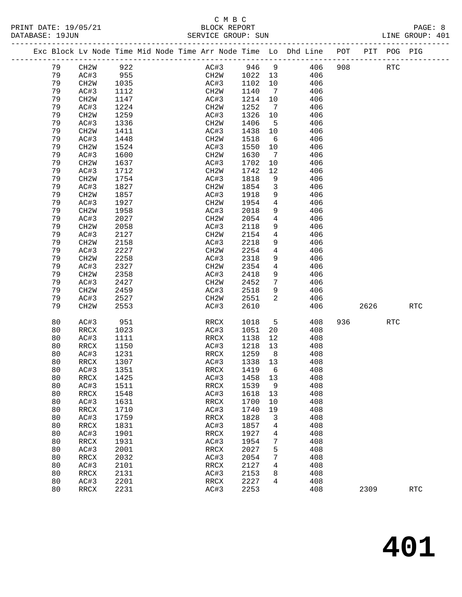|  |    | Exc Block Lv Node Time Mid Node Time Arr Node Time Lo Dhd Line POT PIT POG PIG |                     |  |                   |      |         |                              |     |     |      |            |            |
|--|----|--------------------------------------------------------------------------------|---------------------|--|-------------------|------|---------|------------------------------|-----|-----|------|------------|------------|
|  | 79 | CH2W                                                                           | 922                 |  | AC#3              |      | 946 9   |                              | 406 | 908 |      | RTC        |            |
|  | 79 | AC#3                                                                           |                     |  |                   | CH2W | 1022 13 |                              | 406 |     |      |            |            |
|  | 79 | CH2W                                                                           | $-22$<br>955<br>100 |  | AC#3              |      | 1102    | 10                           | 406 |     |      |            |            |
|  | 79 | AC#3                                                                           | 1112                |  | CH2W              |      | 1140    | $\overline{7}$               | 406 |     |      |            |            |
|  | 79 | CH <sub>2</sub> W                                                              | 1147                |  | AC#3              |      | 1214    | 10                           | 406 |     |      |            |            |
|  | 79 | AC#3                                                                           | 1224                |  | CH2W              |      | 1252    | $\overline{7}$               | 406 |     |      |            |            |
|  | 79 | CH <sub>2</sub> W                                                              | 1259                |  | AC#3              |      | 1326    | 10                           | 406 |     |      |            |            |
|  | 79 | AC#3                                                                           | 1336                |  | CH2W              |      | 1406    | 5                            | 406 |     |      |            |            |
|  | 79 | CH <sub>2</sub> W                                                              | 1411                |  | AC#3              |      | 1438    | 10                           | 406 |     |      |            |            |
|  | 79 | AC#3                                                                           | 1448                |  | CH2W              |      | 1518    | 6                            | 406 |     |      |            |            |
|  | 79 | CH <sub>2</sub> W                                                              | 1524                |  | AC#3              |      | 1550    | 10                           | 406 |     |      |            |            |
|  | 79 | AC#3                                                                           | 1600                |  | CH2W              |      | 1630    | $7\phantom{.0}\phantom{.0}7$ | 406 |     |      |            |            |
|  | 79 | CH <sub>2</sub> W                                                              | 1637                |  | AC#3              |      | 1702    | $10\,$                       | 406 |     |      |            |            |
|  | 79 | AC#3                                                                           | 1712                |  | CH2W              |      | 1742    | 12                           | 406 |     |      |            |            |
|  | 79 | CH <sub>2</sub> W                                                              | 1754                |  | AC#3              |      | 1818    | 9                            | 406 |     |      |            |            |
|  | 79 | AC#3                                                                           | 1827                |  | CH2W              |      | 1854    | $\mathbf{3}$                 | 406 |     |      |            |            |
|  | 79 | CH <sub>2</sub> W                                                              | 1857                |  | AC#3              |      | 1918    | 9                            | 406 |     |      |            |            |
|  | 79 | AC#3                                                                           | 1927                |  | CH2W              |      | 1954    | $\overline{4}$               | 406 |     |      |            |            |
|  | 79 | CH <sub>2</sub> W                                                              | 1958                |  | AC#3              |      | 2018    | 9                            | 406 |     |      |            |            |
|  | 79 | AC#3                                                                           | 2027                |  | CH2W              |      | 2054    | $\overline{4}$               | 406 |     |      |            |            |
|  | 79 | CH <sub>2</sub> W                                                              | 2058                |  | AC#3              |      | 2118    | 9                            | 406 |     |      |            |            |
|  | 79 | AC#3                                                                           | 2127                |  | CH2W              |      | 2154    | $\overline{4}$               | 406 |     |      |            |            |
|  | 79 | CH <sub>2</sub> W                                                              | 2158                |  | AC#3              |      | 2218    | 9                            | 406 |     |      |            |            |
|  | 79 | AC#3                                                                           | 2227                |  | CH <sub>2</sub> M |      | 2254    | $\overline{4}$               | 406 |     |      |            |            |
|  | 79 | CH <sub>2</sub> W                                                              | 2258                |  | AC#3              |      | 2318    | 9                            | 406 |     |      |            |            |
|  | 79 | AC#3                                                                           | 2327                |  | CH2W              |      | 2354    | $\overline{4}$               | 406 |     |      |            |            |
|  | 79 | CH <sub>2</sub> W                                                              | 2358                |  | AC#3              |      | 2418    | 9                            | 406 |     |      |            |            |
|  | 79 | AC#3                                                                           | 2427                |  | CH2W              |      | 2452    | $7\phantom{.0}$              | 406 |     |      |            |            |
|  | 79 | CH <sub>2</sub> W                                                              | 2459                |  | AC#3              |      | 2518    | 9                            | 406 |     |      |            |            |
|  | 79 | AC#3                                                                           | 2527                |  | CH2W              |      | 2551    | 2                            | 406 |     |      |            |            |
|  | 79 | CH <sub>2</sub> W                                                              | 2553                |  | AC#3              |      | 2610    |                              | 406 |     | 2626 |            | RTC        |
|  | 80 | AC#3                                                                           | 951                 |  | RRCX              |      | 1018    | 5                            | 408 | 936 |      | <b>RTC</b> |            |
|  | 80 | RRCX                                                                           | 1023                |  | AC#3              |      | 1051    | 20                           | 408 |     |      |            |            |
|  | 80 | AC#3                                                                           | 1111                |  | RRCX              |      | 1138    | 12                           | 408 |     |      |            |            |
|  | 80 | RRCX                                                                           | 1150                |  | AC#3              |      | 1218    | 13                           | 408 |     |      |            |            |
|  | 80 | AC#3                                                                           | 1231                |  | RRCX              |      | 1259    | 8 <sup>8</sup>               | 408 |     |      |            |            |
|  | 80 | RRCX                                                                           | 1307                |  | AC#3              |      | 1338    | 13                           | 408 |     |      |            |            |
|  | 80 | AC#3                                                                           | 1351                |  | RRCX              |      | 1419    | 6                            | 408 |     |      |            |            |
|  | 80 | RRCX                                                                           | 1425                |  |                   | AC#3 | 1458 13 |                              | 408 |     |      |            |            |
|  | 80 | AC#3                                                                           | 1511                |  | RRCX              |      | 1539    | 9                            | 408 |     |      |            |            |
|  | 80 | RRCX                                                                           | 1548                |  | AC#3              |      | 1618    | 13                           | 408 |     |      |            |            |
|  | 80 | AC#3                                                                           | 1631                |  | RRCX              |      | 1700    | 10                           | 408 |     |      |            |            |
|  | 80 | RRCX                                                                           | 1710                |  | AC#3              |      | 1740    | 19                           | 408 |     |      |            |            |
|  | 80 | AC#3                                                                           | 1759                |  | RRCX              |      | 1828    | 3                            | 408 |     |      |            |            |
|  | 80 | RRCX                                                                           | 1831                |  | AC#3              |      | 1857    | 4                            | 408 |     |      |            |            |
|  | 80 | AC#3                                                                           | 1901                |  | RRCX              |      | 1927    | 4                            | 408 |     |      |            |            |
|  | 80 | RRCX                                                                           | 1931                |  | AC#3              |      | 1954    | 7                            | 408 |     |      |            |            |
|  | 80 | AC#3                                                                           | 2001                |  | RRCX              |      | 2027    | 5                            | 408 |     |      |            |            |
|  | 80 | RRCX                                                                           | 2032                |  | AC#3              |      | 2054    | 7                            | 408 |     |      |            |            |
|  | 80 | AC#3                                                                           | 2101                |  | RRCX              |      | 2127    | 4                            | 408 |     |      |            |            |
|  | 80 | RRCX                                                                           | 2131                |  | AC#3              |      | 2153    | 8                            | 408 |     |      |            |            |
|  | 80 | AC#3                                                                           | 2201                |  | RRCX              |      | 2227    | 4                            | 408 |     |      |            |            |
|  | 80 | RRCX                                                                           | 2231                |  | AC#3              |      | 2253    |                              | 408 |     | 2309 |            | <b>RTC</b> |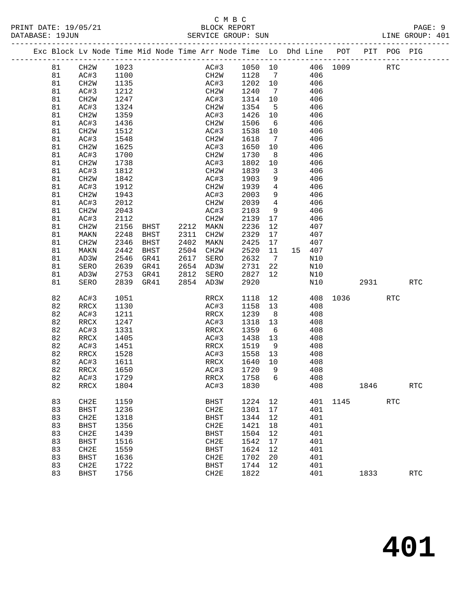|  |          | Exc Block Lv Node Time Mid Node Time Arr Node Time Lo Dhd Line POT |                      |      |                        |              |              |                         |            |                                          |      | PIT POG PIG |            |
|--|----------|--------------------------------------------------------------------|----------------------|------|------------------------|--------------|--------------|-------------------------|------------|------------------------------------------|------|-------------|------------|
|  | 81       | CH2W                                                               |                      |      |                        |              |              |                         |            |                                          |      | RTC         |            |
|  | 81       | AC#3                                                               | 1023<br>1100<br>1100 |      |                        |              |              |                         |            | AC#3 1050 10 406 1009<br>CH2W 1128 7 406 |      |             |            |
|  | 81       | CH2W                                                               | 1135                 |      |                        |              | AC#3 1202 10 |                         | 406        |                                          |      |             |            |
|  | 81       | AC#3                                                               | 1212                 |      |                        | CH2W         | 1240         | $\overline{7}$          | 406        |                                          |      |             |            |
|  | 81       | CH <sub>2</sub> M                                                  | 1247                 |      |                        | AC#3         | 1314 10      |                         | 406        |                                          |      |             |            |
|  | 81       | AC#3                                                               | 1324                 |      |                        | CH2W         | 1354         | $5^{\circ}$             | 406        |                                          |      |             |            |
|  | 81       | CH <sub>2</sub> W                                                  | 1359                 |      |                        | AC#3         | 1426         | 10                      | 406        |                                          |      |             |            |
|  | 81       | AC#3                                                               | 1436                 |      |                        | CH2W         | 1506         | 6                       | 406        |                                          |      |             |            |
|  | 81       | CH2W                                                               | 1512                 |      |                        | AC#3         | 1538         | 10                      | 406        |                                          |      |             |            |
|  | 81       | AC#3                                                               | 1548                 |      |                        | CH2W         | 1618         | $\overline{7}$          | 406        |                                          |      |             |            |
|  | 81       | CH <sub>2</sub> M                                                  | 1625                 |      |                        | AC#3         | 1650         | 10                      | 406        |                                          |      |             |            |
|  | 81       | AC#3                                                               | 1700                 |      |                        | CH2W         | 1730         | 8 <sup>8</sup>          | 406        |                                          |      |             |            |
|  | 81       | CH <sub>2</sub> M                                                  | 1738                 |      |                        | AC#3         | 1802         | 10                      | 406        |                                          |      |             |            |
|  | 81       | AC#3                                                               | 1812                 |      |                        | CH2W         | 1839         | $\overline{\mathbf{3}}$ | 406        |                                          |      |             |            |
|  | 81       |                                                                    | 1842                 |      |                        |              | 1903         | 9                       | 406        |                                          |      |             |            |
|  |          | CH <sub>2</sub> M                                                  | 1912                 |      |                        | AC#3         | 1939         | $\overline{4}$          |            |                                          |      |             |            |
|  | 81       | AC#3                                                               |                      |      |                        | CH2W         |              | 9                       | 406<br>406 |                                          |      |             |            |
|  | 81       | CH <sub>2</sub> M                                                  | 1943<br>2012         |      |                        | AC#3<br>CH2W | 2003<br>2039 | $4\overline{4}$         | 406        |                                          |      |             |            |
|  | 81       | AC#3                                                               |                      |      |                        |              |              |                         |            |                                          |      |             |            |
|  | 81       | CH2W                                                               | 2043                 |      |                        | AC#3         | 2103         | 9                       | 406        |                                          |      |             |            |
|  | 81       | AC#3                                                               | 2112                 |      |                        | CH2W         | 2139         | 17                      | 406        |                                          |      |             |            |
|  | 81       | CH <sub>2</sub> W                                                  | 2156<br>2248         | BHST | 2212 MAKN<br>2311      |              | 2236         | 12<br>17                | 407<br>407 |                                          |      |             |            |
|  | 81       | MAKN                                                               | 2346                 | BHST |                        | CH2W         | 2329         |                         |            |                                          |      |             |            |
|  | 81       | CH2W                                                               |                      | BHST | 2402<br>2504 CH2W      | MAKN         | 2425         | 17                      | 407        |                                          |      |             |            |
|  | 81       | MAKN                                                               | 2442                 | BHST |                        |              | 2520         | 11                      | 15 407     |                                          |      |             |            |
|  | 81       | AD3W                                                               | 2546<br>2639         | GR41 | 2617 SERO<br>2654 AD3W |              | 2632         | $\overline{7}$          | N10        |                                          |      |             |            |
|  | 81       | SERO                                                               |                      | GR41 |                        |              | 2731<br>2827 | 22                      | N10        |                                          |      |             |            |
|  | 81<br>81 | AD3W                                                               | 2753                 | GR41 | 2812 SERO              |              |              | 12                      | N10<br>N10 |                                          |      |             | <b>RTC</b> |
|  |          | SERO                                                               | 2839 GR41            |      | 2854 AD3W              |              | 2920         |                         |            |                                          | 2931 |             |            |
|  | 82       | AC#3                                                               | 1051                 |      |                        | RRCX         | 1118         | 12                      |            | 408 1036                                 |      | <b>RTC</b>  |            |
|  | 82       | RRCX                                                               | 1130                 |      |                        | AC#3         | 1158 13      |                         | 408        |                                          |      |             |            |
|  | 82       | AC#3                                                               | 1211                 |      |                        | RRCX         | 1239         | 8 <sup>8</sup>          | 408        |                                          |      |             |            |
|  | 82       | RRCX                                                               | 1247                 |      |                        | AC#3         | 1318         | 13                      | 408        |                                          |      |             |            |
|  | 82       | AC#3                                                               | 1331                 |      |                        | RRCX         | 1359         | 6                       | 408        |                                          |      |             |            |
|  | 82       | RRCX                                                               | 1405                 |      |                        | AC#3         | 1438         | 13                      | 408        |                                          |      |             |            |
|  | 82       | AC#3                                                               | 1451                 |      |                        | RRCX         | 1519         | 9                       | 408        |                                          |      |             |            |
|  | 82       | RRCX                                                               | 1528                 |      |                        | AC#3         | 1558 13      |                         | 408        |                                          |      |             |            |
|  | 82       | AC#3                                                               | 1611                 |      |                        | RRCX         | 1640         | 10                      | 408        |                                          |      |             |            |
|  | 82       | RRCX                                                               | 1650                 |      |                        | AC#3         | 1720         | 9                       | 408        |                                          |      |             |            |
|  | 82       | AC#3                                                               | 1729                 |      |                        |              | RRCX 1758 6  |                         | 408        |                                          |      |             |            |
|  | 82       | RRCX                                                               | 1804                 |      |                        | AC#3         | 1830         |                         | 408        |                                          | 1846 |             | <b>RTC</b> |
|  | 83       | CH2E                                                               | 1159                 |      |                        | <b>BHST</b>  | 1224         | 12                      | 401        | 1145                                     |      | <b>RTC</b>  |            |
|  | 83       | <b>BHST</b>                                                        | 1236                 |      |                        | CH2E         | 1301         | 17                      | 401        |                                          |      |             |            |
|  | 83       | CH2E                                                               | 1318                 |      |                        | <b>BHST</b>  | 1344         | 12                      | 401        |                                          |      |             |            |
|  | 83       | <b>BHST</b>                                                        | 1356                 |      |                        | CH2E         | 1421         | 18                      | 401        |                                          |      |             |            |
|  | 83       | CH <sub>2E</sub>                                                   | 1439                 |      |                        | <b>BHST</b>  | 1504         | 12                      | 401        |                                          |      |             |            |
|  | 83       | <b>BHST</b>                                                        | 1516                 |      |                        | CH2E         | 1542         | 17                      | 401        |                                          |      |             |            |
|  | 83       | CH2E                                                               | 1559                 |      |                        | <b>BHST</b>  | 1624         | 12                      | 401        |                                          |      |             |            |
|  | 83       | <b>BHST</b>                                                        | 1636                 |      |                        | CH2E         | 1702         | 20                      | 401        |                                          |      |             |            |
|  | 83       | CH2E                                                               | 1722                 |      |                        | <b>BHST</b>  | 1744         | 12                      | 401        |                                          |      |             |            |
|  | 83       | <b>BHST</b>                                                        | 1756                 |      |                        | CH2E         | 1822         |                         | 401        |                                          | 1833 |             | <b>RTC</b> |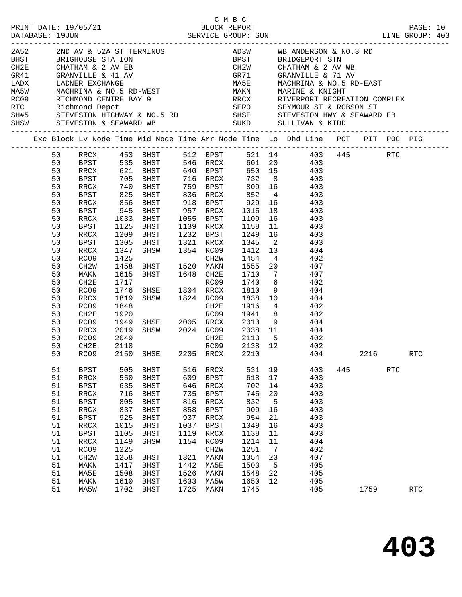|      |    |    |                             |              |                                                                                                |      | C M B C                                                           |              |                 | LINE GROUP: 403                                                                                                                                                                                                                |     |      |     | PAGE: 10             |  |
|------|----|----|-----------------------------|--------------|------------------------------------------------------------------------------------------------|------|-------------------------------------------------------------------|--------------|-----------------|--------------------------------------------------------------------------------------------------------------------------------------------------------------------------------------------------------------------------------|-----|------|-----|----------------------|--|
| 2A52 |    |    |                             |              |                                                                                                |      |                                                                   |              |                 | 2ND AV & 52A ST TERMINUS $AD3W$ WB ANDERSON & NO.3 RD                                                                                                                                                                          |     |      |     |                      |  |
|      |    |    |                             |              |                                                                                                |      |                                                                   |              |                 |                                                                                                                                                                                                                                |     |      |     |                      |  |
|      |    |    |                             |              |                                                                                                |      |                                                                   |              |                 |                                                                                                                                                                                                                                |     |      |     |                      |  |
|      |    |    |                             |              |                                                                                                |      |                                                                   |              |                 |                                                                                                                                                                                                                                |     |      |     |                      |  |
|      |    |    |                             |              |                                                                                                |      |                                                                   |              |                 |                                                                                                                                                                                                                                |     |      |     |                      |  |
|      |    |    |                             |              |                                                                                                |      |                                                                   |              |                 | MA5E     MACHRINA & NO.5 RD-EAST<br>MAKN     MARINE & KNIGHT<br>RRCX     RIVERPORT RECREATION COMPLEX                                                                                                                          |     |      |     |                      |  |
|      |    |    |                             |              |                                                                                                |      |                                                                   |              |                 |                                                                                                                                                                                                                                |     |      |     |                      |  |
|      |    |    |                             |              |                                                                                                |      |                                                                   |              |                 |                                                                                                                                                                                                                                |     |      |     |                      |  |
|      |    |    |                             |              |                                                                                                |      |                                                                   |              |                 |                                                                                                                                                                                                                                |     |      |     |                      |  |
|      |    |    | SHSW STEVESTON & SEAWARD WB |              |                                                                                                |      |                                                                   |              |                 | ERIGHOUSE STATION & SALUAR MANING AND BEST BRIDGENCY SAN WE ALLOWED TO BE CHARRING CHATHAM & 2 AV WE GRAN CHATHAM & 2 AV WE GRAN CHATHAM & 2 AV WE GRAN CHATHAM & 2 AV WE GRAN CHATHAM & 2 AV WE GRAN CHATHAM & 2 AV WE GRAN C |     |      |     |                      |  |
|      |    |    |                             |              |                                                                                                |      |                                                                   |              |                 |                                                                                                                                                                                                                                |     |      |     |                      |  |
|      |    |    |                             |              |                                                                                                |      |                                                                   |              |                 | Exc Block Lv Node Time Mid Node Time Arr Node Time Lo Dhd Line POT PIT POG PIG                                                                                                                                                 |     |      |     |                      |  |
|      |    | 50 |                             |              |                                                                                                |      |                                                                   |              |                 | RRCX 453 BHST 512 BPST 521 14 403 445 RTC<br>BPST 535 BHST 546 RRCX 601 20 403<br>RRCX 621 BHST 640 BPST 650 15 403                                                                                                            |     |      |     |                      |  |
|      | 50 |    |                             |              |                                                                                                |      |                                                                   |              |                 |                                                                                                                                                                                                                                |     |      |     |                      |  |
|      | 50 |    |                             |              |                                                                                                |      |                                                                   |              |                 |                                                                                                                                                                                                                                |     |      |     |                      |  |
|      | 50 |    | BPST                        |              | 705 BHST                                                                                       |      |                                                                   |              |                 | 716 RRCX 732 8 403                                                                                                                                                                                                             |     |      |     |                      |  |
|      | 50 |    | RRCX                        |              |                                                                                                |      | 759   BPST          809    16<br>836    RRCX           852      4 |              |                 | 809 16 403                                                                                                                                                                                                                     |     |      |     |                      |  |
|      | 50 |    | BPST                        |              |                                                                                                |      |                                                                   |              |                 | 403                                                                                                                                                                                                                            |     |      |     |                      |  |
|      | 50 |    | RRCX                        |              | 740 BHST<br>825 BHST<br>856 BHST                                                               |      |                                                                   |              |                 | 918 BPST 929 16 403                                                                                                                                                                                                            |     |      |     |                      |  |
|      | 50 |    | BPST                        | 945          | BHST 957 RRCX 1015                                                                             |      |                                                                   |              |                 | 18 403                                                                                                                                                                                                                         |     |      |     |                      |  |
|      | 50 |    | RRCX                        | 1033         | BHST                                                                                           |      | 1055 BPST                                                         |              |                 | 16 403                                                                                                                                                                                                                         |     |      |     |                      |  |
|      | 50 |    | BPST                        | 1125<br>1209 | BHST                                                                                           |      | 1139 RRCX                                                         | 1109<br>1158 | 11              | 403                                                                                                                                                                                                                            |     |      |     |                      |  |
|      | 50 |    | RRCX                        |              | BHST                                                                                           |      |                                                                   |              |                 | 1232 BPST 1249 16 403                                                                                                                                                                                                          |     |      |     |                      |  |
|      | 50 |    | BPST                        | 1305         | BHST 1321 RRCX 1345                                                                            |      |                                                                   |              |                 | 2 403                                                                                                                                                                                                                          |     |      |     |                      |  |
|      | 50 |    | RRCX                        | 1347         | SHSW 1354 RC09                                                                                 |      |                                                                   | 1412 13      |                 | 404                                                                                                                                                                                                                            |     |      |     |                      |  |
|      | 50 |    | RC09                        | 1425         |                                                                                                |      |                                                                   | 1454         | $4\overline{4}$ | 402                                                                                                                                                                                                                            |     |      |     |                      |  |
|      | 50 |    | CH2W                        | 1458         |                                                                                                |      |                                                                   |              |                 | $1555$ 20 $407$                                                                                                                                                                                                                |     |      |     |                      |  |
|      | 50 |    | MAKN                        | 1615         | BHST 1648 CH2E                                                                                 |      |                                                                   |              |                 | 1710 7 407                                                                                                                                                                                                                     |     |      |     |                      |  |
|      | 50 |    | CH2E                        | 1717         | RC09<br>SHSE 1804 RRCX<br>SHSW 1824 RC09                                                       |      |                                                                   | 1740         |                 | 6 402                                                                                                                                                                                                                          |     |      |     |                      |  |
|      | 50 |    | RC09                        | 1746         |                                                                                                |      |                                                                   | 1810         | 9               | 404                                                                                                                                                                                                                            |     |      |     |                      |  |
|      | 50 |    | RRCX                        | 1819         |                                                                                                |      |                                                                   | $1838$ 10    |                 | 404                                                                                                                                                                                                                            |     |      |     |                      |  |
|      | 50 |    | RC09                        | 1848         |                                                                                                |      | CH2E                                                              | 1916         |                 | 4 4 4 0 2                                                                                                                                                                                                                      |     |      |     |                      |  |
|      | 50 |    | CH2E                        | 1920         | COLORE 1910 4<br>RCO9 1941 8<br>SHSW 2005 RRCX 2010 9<br>SHSW 2024 RCO9 2038 11<br>CH2E 2113 5 |      |                                                                   |              |                 | 8 402                                                                                                                                                                                                                          |     |      |     |                      |  |
|      | 50 |    | RC09                        | 1949         |                                                                                                |      |                                                                   |              |                 | 404                                                                                                                                                                                                                            |     |      |     |                      |  |
|      | 50 |    | RRCX                        | 2019         |                                                                                                |      |                                                                   |              |                 | 404                                                                                                                                                                                                                            |     |      |     |                      |  |
|      | 50 |    | RC09                        | 2049         |                                                                                                |      |                                                                   |              |                 | CH2E 2113 5 402                                                                                                                                                                                                                |     |      |     |                      |  |
|      | 50 |    | CH2E                        | 2118         |                                                                                                |      |                                                                   |              |                 | RC09 2138 12 402                                                                                                                                                                                                               |     |      |     |                      |  |
|      |    |    | 50 RC09 2150 SHSE           |              |                                                                                                |      | 2205 RRCX 2210                                                    |              |                 | 404                                                                                                                                                                                                                            |     | 2216 |     | $\operatorname{RTC}$ |  |
|      | 51 |    | <b>BPST</b>                 | 505          | BHST                                                                                           | 516  | RRCX                                                              | 531          | 19              | 403                                                                                                                                                                                                                            | 445 |      | RTC |                      |  |
|      | 51 |    | RRCX                        | 550          | <b>BHST</b>                                                                                    | 609  | <b>BPST</b>                                                       | 618          | 17              | 403                                                                                                                                                                                                                            |     |      |     |                      |  |
|      | 51 |    | <b>BPST</b>                 | 635          | <b>BHST</b>                                                                                    | 646  | $\mathop{\mathrm{RRCX}}$                                          | 702          | 14              | 403                                                                                                                                                                                                                            |     |      |     |                      |  |
|      | 51 |    | <b>RRCX</b>                 | 716          | <b>BHST</b>                                                                                    | 735  | <b>BPST</b>                                                       | 745          | 20              | 403                                                                                                                                                                                                                            |     |      |     |                      |  |
|      | 51 |    | $_{\rm BPST}$               | 805          | <b>BHST</b>                                                                                    | 816  | $\mathop{\mathrm{RRCX}}$                                          | 832          | 5               | 403                                                                                                                                                                                                                            |     |      |     |                      |  |
|      | 51 |    | RRCX                        | 837          | BHST                                                                                           | 858  | <b>BPST</b>                                                       | 909          | 16              | 403                                                                                                                                                                                                                            |     |      |     |                      |  |
|      | 51 |    | <b>BPST</b>                 | 925          | <b>BHST</b>                                                                                    | 937  | $\mathop{\mathrm{RRCX}}$                                          | 954          | 21              | 403                                                                                                                                                                                                                            |     |      |     |                      |  |
|      |    |    |                             |              |                                                                                                |      |                                                                   |              |                 |                                                                                                                                                                                                                                |     |      |     |                      |  |
|      | 51 |    | RRCX                        | 1015         | <b>BHST</b>                                                                                    | 1037 | <b>BPST</b>                                                       | 1049         | 16              | 403<br>403                                                                                                                                                                                                                     |     |      |     |                      |  |
|      | 51 |    | <b>BPST</b>                 | 1105         | BHST                                                                                           | 1119 | RRCX                                                              | 1138         | 11              |                                                                                                                                                                                                                                |     |      |     |                      |  |
|      | 51 |    | RRCX                        | 1149         | SHSW                                                                                           | 1154 | RC09                                                              | 1214         | 11              | 404                                                                                                                                                                                                                            |     |      |     |                      |  |
|      | 51 |    | RC09                        | 1225         |                                                                                                |      | CH2W                                                              | 1251         | 7               | 402                                                                                                                                                                                                                            |     |      |     |                      |  |
|      | 51 |    | CH2W                        | 1258         | BHST                                                                                           | 1321 | MAKN                                                              | 1354         | 23              | 407                                                                                                                                                                                                                            |     |      |     |                      |  |
|      | 51 |    | MAKN                        | 1417         | <b>BHST</b>                                                                                    | 1442 | MA5E                                                              | 1503         | 5               | 405                                                                                                                                                                                                                            |     |      |     |                      |  |
|      | 51 |    | MA5E                        | 1508         | <b>BHST</b>                                                                                    | 1526 | MAKN                                                              | 1548         | 22              | 405                                                                                                                                                                                                                            |     |      |     |                      |  |
|      | 51 |    | MAKN                        | 1610         | <b>BHST</b>                                                                                    | 1633 | MA5W                                                              | 1650         | 12              | 405                                                                                                                                                                                                                            |     |      |     |                      |  |
|      | 51 |    | MA5W                        | 1702         | <b>BHST</b>                                                                                    | 1725 | MAKN                                                              | 1745         |                 | 405                                                                                                                                                                                                                            |     | 1759 |     | $\operatorname{RTC}$ |  |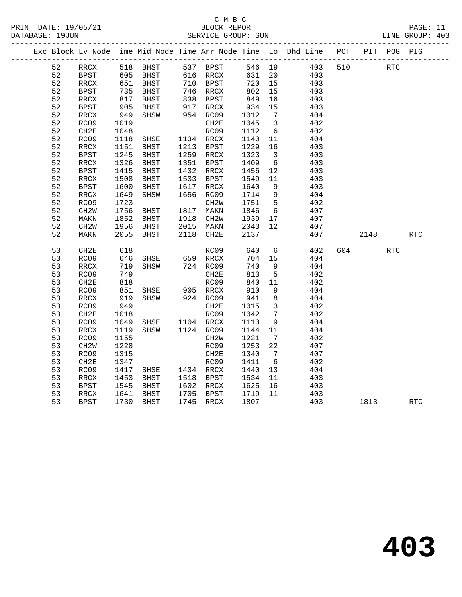#### C M B C<br>BLOCK REPORT PRINT DATE: 19/05/21 BLOCK REPORT PAGE: 11 SERVICE GROUP: SUN

|  |    |                          |            |                                                       |      |                        |              |                         | Exc Block Lv Node Time Mid Node Time Arr Node Time Lo Dhd Line POT |     |            | PIT POG PIG |            |
|--|----|--------------------------|------------|-------------------------------------------------------|------|------------------------|--------------|-------------------------|--------------------------------------------------------------------|-----|------------|-------------|------------|
|  | 52 | RRCX                     |            | 518 BHST                                              |      | 537 BPST               | 546 19       |                         | 403                                                                | 510 | <b>RTC</b> |             |            |
|  | 52 | <b>BPST</b>              | 605<br>651 | בונג<br>BHST 610 המוזיר<br>פסס 110 PPST<br>פסס המוזיר |      |                        | 631 20       |                         | 403                                                                |     |            |             |            |
|  | 52 | RRCX                     |            |                                                       |      |                        | 720 15       |                         | 403                                                                |     |            |             |            |
|  | 52 | <b>BPST</b>              | 735        | BHST                                                  |      | 746 RRCX               | 802          | 15                      | 403                                                                |     |            |             |            |
|  | 52 | RRCX                     | 817<br>905 | BHST                                                  |      | 838 BPST<br>917 RRCX   |              | 16                      | 403                                                                |     |            |             |            |
|  | 52 | <b>BPST</b>              |            | BHST                                                  |      |                        | 849<br>934   | 15                      | 403                                                                |     |            |             |            |
|  | 52 | RRCX                     | 949        | SHSW                                                  |      | 954 RC09               | 1012         | $\overline{7}$          | 404                                                                |     |            |             |            |
|  | 52 | RC09                     | 1019       |                                                       |      | CH2E                   | 1045         | $\overline{\mathbf{3}}$ | 402                                                                |     |            |             |            |
|  | 52 | CH2E                     | 1048       |                                                       |      | RC09                   | 1112         | 6                       | 402                                                                |     |            |             |            |
|  | 52 | RC09                     | 1118       | SHSE                                                  |      | 1134 RRCX<br>1213 BPST | 1140         | 11                      | 404                                                                |     |            |             |            |
|  | 52 | $\mathop{\mathrm{RRCX}}$ | 1151       | BHST                                                  |      |                        | 1229         | 16                      | 403                                                                |     |            |             |            |
|  | 52 | BPST                     | 1245       | BHST                                                  |      | 1259 RRCX              | 1323         | $\overline{\mathbf{3}}$ | 403                                                                |     |            |             |            |
|  | 52 | RRCX                     | 1326       | BHST                                                  | 1351 | BPST                   | 1409         | 6                       | 403                                                                |     |            |             |            |
|  | 52 | <b>BPST</b>              | 1415       | BHST                                                  |      | 1432 RRCX              | 1456         | 12                      | 403                                                                |     |            |             |            |
|  | 52 | $\mathop{\mathrm{RRCX}}$ | 1508       | <b>BHST</b>                                           | 1533 | BPST                   | 1549         | 11                      | 403                                                                |     |            |             |            |
|  | 52 | BPST                     | 1600       | BHST                                                  | 1617 | RRCX                   | 1640         | - 9                     | 403                                                                |     |            |             |            |
|  | 52 | RRCX                     | 1649       | SHSW                                                  | 1656 | RC09                   | 1714         | 9                       | 404                                                                |     |            |             |            |
|  | 52 | RC09                     | 1723       |                                                       |      | CH2W                   | 1751         | $5^{\circ}$             | 402                                                                |     |            |             |            |
|  | 52 | CH2W                     | 1756       | BHST                                                  |      | 1817 MAKN              | 1846         | 6                       | 407                                                                |     |            |             |            |
|  | 52 | MAKN                     | 1852       | BHST                                                  |      | 1918 CH2W              | 1939         | 17                      | 407                                                                |     |            |             |            |
|  | 52 | CH <sub>2</sub> W        | 1956       | BHST                                                  |      | 2015 MAKN              | 2043<br>2137 | 12                      | 407                                                                |     |            |             |            |
|  | 52 | MAKN                     | 2055       | BHST                                                  |      | 2118 CH2E              | 2137         |                         | 407                                                                |     | 2148       |             | <b>RTC</b> |
|  | 53 | CH2E                     | 618        |                                                       |      | RC09                   | 640          | $6\overline{6}$         | 402                                                                |     | 604 60     | <b>RTC</b>  |            |
|  | 53 | RC09                     | 646        | SHSE                                                  |      | 659 RRCX               | 704 15       |                         | 404                                                                |     |            |             |            |
|  | 53 | $\mathop{\mathrm{RRCX}}$ | 719        | SHSW                                                  |      | 724 RC09               | 740          | 9                       | 404                                                                |     |            |             |            |
|  | 53 | RC09                     | 749        |                                                       |      | CH2E                   | 813          | 5                       | 402                                                                |     |            |             |            |
|  | 53 | CH2E                     | 818        |                                                       |      | RC09                   | 840          | 11                      | 402                                                                |     |            |             |            |
|  | 53 | RC09                     | 851        | SHSE                                                  |      |                        | 910          | 9                       | 404                                                                |     |            |             |            |
|  | 53 | $\mathop{\mathrm{RRCX}}$ | 919        | SHSW                                                  |      |                        | 941          | 8                       | 404                                                                |     |            |             |            |
|  | 53 | RC09                     | 949        |                                                       |      | CH2E                   | 1015         | $\overline{\mathbf{3}}$ | 402                                                                |     |            |             |            |
|  | 53 | CH2E                     | 1018       |                                                       |      | RC09                   | 1042         | $\overline{7}$          | 402                                                                |     |            |             |            |
|  | 53 | RC09                     | 1049       | SHSE                                                  |      | 1104 RRCX              | 1110         | 9                       | 404                                                                |     |            |             |            |
|  | 53 | RRCX                     | 1119       | SHSW                                                  |      | 1124 RC09              | 1144         | 11                      | 404                                                                |     |            |             |            |
|  | 53 | RC09                     | 1155       |                                                       |      | CH <sub>2</sub> W      | 1221         | $\overline{7}$          | 402                                                                |     |            |             |            |
|  | 53 | CH <sub>2</sub> W        | 1228       |                                                       |      | RC09                   | 1253         | 22                      | 407                                                                |     |            |             |            |
|  | 53 | RC09                     | 1315       |                                                       |      | CH2E                   | 1340         | $\overline{7}$          | 407                                                                |     |            |             |            |
|  | 53 | CH2E                     | 1347       |                                                       |      | RC09                   | 1411         | 6                       | 402                                                                |     |            |             |            |
|  | 53 | RC09                     | 1417       | SHSE 1434 RRCX                                        |      |                        | 1440         | 13                      | 404                                                                |     |            |             |            |
|  | 53 | RRCX                     | 1453       | BHST                                                  |      | 1518 BPST              | 1534         | 11                      | 403                                                                |     |            |             |            |
|  | 53 | <b>BPST</b>              | 1545       | BHST                                                  |      | 1602 RRCX              | 1625         | 16                      | 403                                                                |     |            |             |            |
|  | 53 | RRCX                     | 1641       | BHST                                                  |      | 1705 BPST              | 1719 11      |                         | 403                                                                |     |            |             |            |
|  | 53 | <b>BPST</b>              | 1730       | <b>BHST</b>                                           |      | 1745 RRCX              | 1807         |                         | 403                                                                |     | 1813       |             | <b>RTC</b> |

**403**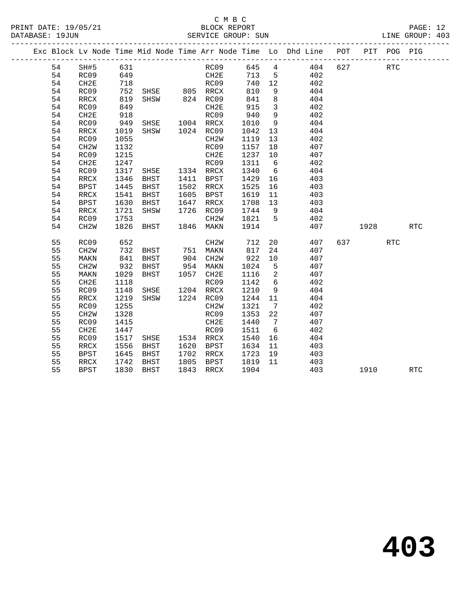## C M B C<br>BLOCK REPORT

LINE GROUP: 403

|  |    |                   |      |               |      |                   |      |                              | Exc Block Lv Node Time Mid Node Time Arr Node Time Lo Dhd Line POT |     | PIT  | POG PIG    |            |
|--|----|-------------------|------|---------------|------|-------------------|------|------------------------------|--------------------------------------------------------------------|-----|------|------------|------------|
|  | 54 | SH#5              | 631  |               |      | RC09              | 645  | $4\overline{ }$              | 404                                                                | 627 |      | <b>RTC</b> |            |
|  | 54 | RC09              | 649  |               |      | CH2E              | 713  | 5                            | 402                                                                |     |      |            |            |
|  | 54 | CH2E              | 718  |               |      | RC09              | 740  | 12                           | 402                                                                |     |      |            |            |
|  | 54 | RC09              | 752  | SHSE 805 RRCX |      |                   | 810  | 9                            | 404                                                                |     |      |            |            |
|  | 54 | RRCX              | 819  | SHSW          |      | 824 RC09          | 841  | 8                            | 404                                                                |     |      |            |            |
|  | 54 | RC09              | 849  |               |      | CH2E              | 915  | $\mathbf{3}$                 | 402                                                                |     |      |            |            |
|  | 54 | CH <sub>2E</sub>  | 918  |               |      | RC09              | 940  | 9                            | 402                                                                |     |      |            |            |
|  | 54 | RC09              | 949  | SHSE          |      | 1004 RRCX         | 1010 | 9                            | 404                                                                |     |      |            |            |
|  | 54 | RRCX              | 1019 | SHSW          |      | 1024 RC09         | 1042 | 13                           | 404                                                                |     |      |            |            |
|  | 54 | RC09              | 1055 |               |      | CH <sub>2</sub> W | 1119 | 13                           | 402                                                                |     |      |            |            |
|  | 54 | CH <sub>2</sub> W | 1132 |               |      | RC09              | 1157 | 18                           | 407                                                                |     |      |            |            |
|  | 54 | RC09              | 1215 |               |      | CH2E              | 1237 | 10                           | 407                                                                |     |      |            |            |
|  | 54 | CH <sub>2E</sub>  | 1247 |               |      | RC09              | 1311 | 6                            | 402                                                                |     |      |            |            |
|  | 54 | RC09              | 1317 | SHSE          |      | 1334 RRCX         | 1340 | 6                            | 404                                                                |     |      |            |            |
|  | 54 | RRCX              | 1346 | BHST          | 1411 | BPST              | 1429 | 16                           | 403                                                                |     |      |            |            |
|  | 54 | <b>BPST</b>       | 1445 | BHST          | 1502 | RRCX              | 1525 | 16                           | 403                                                                |     |      |            |            |
|  | 54 | RRCX              | 1541 | BHST          | 1605 | BPST              | 1619 | 11                           | 403                                                                |     |      |            |            |
|  | 54 | <b>BPST</b>       | 1630 | BHST          | 1647 | RRCX              | 1708 | 13                           | 403                                                                |     |      |            |            |
|  | 54 | RRCX              | 1721 | SHSW          | 1726 | RC09              | 1744 | 9                            | 404                                                                |     |      |            |            |
|  | 54 | RC09              | 1753 |               |      | CH <sub>2</sub> M | 1821 | $5^{\circ}$                  | 402                                                                |     |      |            |            |
|  | 54 | CH <sub>2</sub> W | 1826 | BHST          | 1846 | MAKN              | 1914 |                              | 407                                                                |     | 1928 |            | <b>RTC</b> |
|  | 55 | RC09              | 652  |               |      | CH <sub>2</sub> W | 712  | 20                           | 407                                                                | 637 |      | <b>RTC</b> |            |
|  | 55 | CH <sub>2</sub> W | 732  | BHST          | 751  | MAKN              | 817  | 24                           | 407                                                                |     |      |            |            |
|  | 55 | MAKN              | 841  | BHST          | 904  | CH2W              | 922  | 10                           | 407                                                                |     |      |            |            |
|  | 55 | CH <sub>2</sub> W | 932  | BHST          | 954  | MAKN              | 1024 | 5                            | 407                                                                |     |      |            |            |
|  | 55 | MAKN              | 1029 | BHST          | 1057 | CH2E              | 1116 | 2                            | 407                                                                |     |      |            |            |
|  | 55 | CH2E              | 1118 |               |      | RC09              | 1142 | 6                            | 402                                                                |     |      |            |            |
|  | 55 | RC09              | 1148 | SHSE          | 1204 | RRCX              | 1210 | 9                            | 404                                                                |     |      |            |            |
|  | 55 | <b>RRCX</b>       | 1219 | SHSW          |      | 1224 RC09         | 1244 | 11                           | 404                                                                |     |      |            |            |
|  | 55 | RC09              | 1255 |               |      | CH <sub>2</sub> M | 1321 | $7\phantom{.0}\phantom{.0}7$ | 402                                                                |     |      |            |            |
|  | 55 | CH <sub>2</sub> W | 1328 |               |      | RC09              | 1353 | 22                           | 407                                                                |     |      |            |            |
|  | 55 | RC09              | 1415 |               |      | CH2E              | 1440 | 7                            | 407                                                                |     |      |            |            |
|  | 55 | CH2E              | 1447 |               |      | RC09              | 1511 | $6\overline{6}$              | 402                                                                |     |      |            |            |
|  | 55 | RC09              | 1517 | SHSE          |      | 1534 RRCX         | 1540 | 16                           | 404                                                                |     |      |            |            |
|  | 55 | RRCX              | 1556 | BHST          | 1620 | BPST              | 1634 | 11                           | 403                                                                |     |      |            |            |
|  | 55 | <b>BPST</b>       | 1645 | BHST          | 1702 | RRCX              | 1723 | 19                           | 403                                                                |     |      |            |            |
|  | 55 | RRCX              | 1742 | <b>BHST</b>   | 1805 | BPST              | 1819 | 11                           | 403                                                                |     |      |            |            |
|  | 55 | <b>BPST</b>       | 1830 | BHST          | 1843 | RRCX              | 1904 |                              | 403                                                                |     | 1910 |            | <b>RTC</b> |
|  |    |                   |      |               |      |                   |      |                              |                                                                    |     |      |            |            |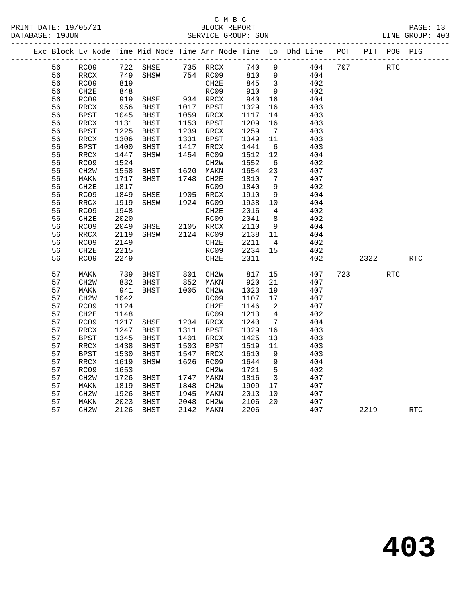|  |    |                   |      |                |      |                   |      |                            | Exc Block Lv Node Time Mid Node Time Arr Node Time Lo Dhd Line | POT |      | PIT POG PIG |            |
|--|----|-------------------|------|----------------|------|-------------------|------|----------------------------|----------------------------------------------------------------|-----|------|-------------|------------|
|  | 56 | RC09              | 722  | SHSE           |      | 735 RRCX          | 740  | 9                          | 404                                                            | 707 |      | <b>RTC</b>  |            |
|  | 56 | RRCX              | 749  | SHSW           |      | 754 RC09          | 810  | $\overline{9}$             | 404                                                            |     |      |             |            |
|  | 56 | RC09              | 819  |                |      | CH <sub>2E</sub>  | 845  | $\overline{\mathbf{3}}$    | 402                                                            |     |      |             |            |
|  | 56 | CH2E              | 848  |                |      | RC09              | 910  | 9                          | 402                                                            |     |      |             |            |
|  | 56 | RC09              | 919  | SHSE           |      | 934 RRCX          | 940  | 16                         | 404                                                            |     |      |             |            |
|  | 56 | RRCX              | 956  | BHST           | 1017 | BPST              | 1029 | 16                         | 403                                                            |     |      |             |            |
|  | 56 | BPST              | 1045 | BHST           |      | 1059 RRCX         | 1117 | 14                         | 403                                                            |     |      |             |            |
|  | 56 | RRCX              | 1131 | BHST           | 1153 | BPST              | 1209 | 16                         | 403                                                            |     |      |             |            |
|  | 56 | <b>BPST</b>       | 1225 | BHST           | 1239 | RRCX              | 1259 | $\overline{7}$             | 403                                                            |     |      |             |            |
|  | 56 | RRCX              | 1306 | BHST           | 1331 | BPST              | 1349 | 11                         | 403                                                            |     |      |             |            |
|  | 56 | <b>BPST</b>       | 1400 | BHST           | 1417 | RRCX              | 1441 | 6                          | 403                                                            |     |      |             |            |
|  | 56 | RRCX              | 1447 | SHSW           | 1454 | RC09              | 1512 | 12                         | 404                                                            |     |      |             |            |
|  | 56 | RC09              | 1524 |                |      | CH <sub>2</sub> W | 1552 | 6                          | 402                                                            |     |      |             |            |
|  | 56 | CH <sub>2</sub> W | 1558 | BHST           | 1620 | MAKN              | 1654 | 23                         | 407                                                            |     |      |             |            |
|  | 56 | MAKN              | 1717 | BHST           |      | 1748 CH2E         | 1810 | $\overline{7}$             | 407                                                            |     |      |             |            |
|  | 56 | CH2E              | 1817 |                |      | RC09              | 1840 | 9                          | 402                                                            |     |      |             |            |
|  | 56 | RC09              | 1849 | SHSE           |      | 1905 RRCX         | 1910 | - 9                        | 404                                                            |     |      |             |            |
|  | 56 | RRCX              | 1919 | SHSW           |      | 1924 RC09         | 1938 | 10                         | 404                                                            |     |      |             |            |
|  | 56 | RC09              | 1948 |                |      | CH2E              | 2016 | $\overline{4}$             | 402                                                            |     |      |             |            |
|  | 56 | CH2E              | 2020 |                |      | RC09              | 2041 | 8 <sup>8</sup>             | 402                                                            |     |      |             |            |
|  | 56 | RC09              | 2049 | SHSE           |      | 2105 RRCX         | 2110 | 9                          | 404                                                            |     |      |             |            |
|  | 56 | RRCX              | 2119 | SHSW           |      | 2124 RC09         | 2138 | 11                         | 404                                                            |     |      |             |            |
|  | 56 | RC09              | 2149 |                |      | CH2E              | 2211 | $\overline{4}$             | 402                                                            |     |      |             |            |
|  | 56 | CH2E              | 2215 |                |      | RC09              | 2234 | 15                         | 402                                                            |     |      |             |            |
|  | 56 | RC09              | 2249 |                |      | CH2E              | 2311 |                            | 402                                                            |     | 2322 |             | RTC        |
|  | 57 | MAKN              | 739  | BHST 801 CH2W  |      |                   | 817  | 15                         | 407                                                            | 723 |      | <b>RTC</b>  |            |
|  | 57 | CH <sub>2</sub> W | 832  | BHST           |      | 852 MAKN          | 920  | 21                         | 407                                                            |     |      |             |            |
|  | 57 | MAKN              | 941  | BHST           |      | 1005 CH2W         | 1023 | 19                         | 407                                                            |     |      |             |            |
|  | 57 | CH <sub>2</sub> W | 1042 |                |      | RC09              | 1107 | 17                         | 407                                                            |     |      |             |            |
|  | 57 | RC09              | 1124 |                |      | CH2E              | 1146 | $\overline{\phantom{0}}^2$ | 407                                                            |     |      |             |            |
|  | 57 | CH2E              | 1148 |                |      | RC09              | 1213 | $\overline{4}$             | 402                                                            |     |      |             |            |
|  | 57 | RC09              | 1217 | SHSE 1234 RRCX |      |                   | 1240 | $\overline{7}$             | 404                                                            |     |      |             |            |
|  | 57 | RRCX              | 1247 | <b>BHST</b>    | 1311 | BPST              | 1329 | 16                         | 403                                                            |     |      |             |            |
|  | 57 | <b>BPST</b>       | 1345 | BHST           | 1401 | RRCX              | 1425 | 13                         | 403                                                            |     |      |             |            |
|  | 57 | RRCX              | 1438 | BHST           | 1503 | BPST              | 1519 | 11                         | 403                                                            |     |      |             |            |
|  | 57 | <b>BPST</b>       | 1530 | BHST           | 1547 | RRCX              | 1610 | 9                          | 403                                                            |     |      |             |            |
|  | 57 | RRCX              | 1619 | SHSW           | 1626 | RC09              | 1644 | 9                          | 404                                                            |     |      |             |            |
|  | 57 | RC09              | 1653 |                |      | CH <sub>2</sub> W | 1721 | $5^{\circ}$                | 402                                                            |     |      |             |            |
|  | 57 | CH2W              | 1726 | BHST           | 1747 | MAKN              | 1816 | $\overline{\mathbf{3}}$    | 407                                                            |     |      |             |            |
|  | 57 | MAKN              | 1819 | BHST           | 1848 | CH <sub>2</sub> W | 1909 | 17                         | 407                                                            |     |      |             |            |
|  | 57 | CH2W              | 1926 | BHST           | 1945 | MAKN              | 2013 | 10                         | 407                                                            |     |      |             |            |
|  | 57 | MAKN              | 2023 | BHST           | 2048 | CH <sub>2</sub> W | 2106 | 20                         | 407                                                            |     |      |             |            |
|  | 57 | CH <sub>2</sub> W | 2126 | <b>BHST</b>    | 2142 | MAKN              | 2206 |                            | 407                                                            |     | 2219 |             | <b>RTC</b> |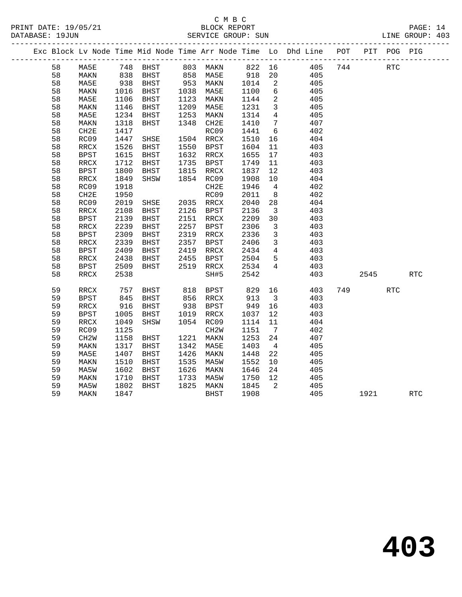|  |    |             |      |      |      |      |      |     | Exc Block Ly Node Time Mid Node Time Arr Node Time Lo Dhd Line | POT | PIT | POG | PIG |
|--|----|-------------|------|------|------|------|------|-----|----------------------------------------------------------------|-----|-----|-----|-----|
|  | 58 | MA5E        | 748  | BHST | 803  | MAKN | 822  | 16  | 405                                                            | 744 |     | RTC |     |
|  | 58 | MAKN        | 838  | BHST | 858  | MA5E | 918  | 20  | 405                                                            |     |     |     |     |
|  | 58 | MA5E        | 938  | BHST | 953  | MAKN | 1014 | -2  | 405                                                            |     |     |     |     |
|  | 58 | MAKN        | 1016 | BHST | 1038 | MA5E | 1100 | 6   | 405                                                            |     |     |     |     |
|  | 58 | MA5E        | 1106 | BHST | 1123 | MAKN | 1144 | 2   | 405                                                            |     |     |     |     |
|  | 58 | MAKN        | 1146 | BHST | 1209 | MA5E | 1231 | 3   | 405                                                            |     |     |     |     |
|  | 58 | MA5E        | 1234 | BHST | 1253 | MAKN | 1314 | 4   | 405                                                            |     |     |     |     |
|  | 58 | MAKN        | 1318 | BHST | 1348 | CH2E | 1410 | 7   | 407                                                            |     |     |     |     |
|  | 58 | CH2E        | 1417 |      |      | RC09 | 1441 | 6   | 402                                                            |     |     |     |     |
|  | 58 | RC09        | 1447 | SHSE | 1504 | RRCX | 1510 | 16  | 404                                                            |     |     |     |     |
|  | 58 | RRCX        | 1526 | BHST | 1550 | BPST | 1604 | -11 | 403                                                            |     |     |     |     |
|  | 58 | <b>BPST</b> | 1615 | BHST | 1632 | RRCX | 1655 | 17  | 403                                                            |     |     |     |     |
|  | 58 | RRCX        | 1712 | BHST | 1735 | BPST | 1749 | 11  | 403                                                            |     |     |     |     |
|  | 58 | <b>BPST</b> | 1800 | BHST | 1815 | RRCX | 1837 | 12  | 403                                                            |     |     |     |     |

| 58 | RRCX              | 1849 | SHSW        | 1854 | RC09              | 1908 | 10 | 404 |      |            |
|----|-------------------|------|-------------|------|-------------------|------|----|-----|------|------------|
| 58 | RC09              | 1918 |             |      | CH2E              | 1946 | 4  | 402 |      |            |
| 58 | CH <sub>2E</sub>  | 1950 |             |      | RC09              | 2011 | 8  | 402 |      |            |
| 58 | RC09              | 2019 | SHSE        | 2035 | RRCX              | 2040 | 28 | 404 |      |            |
| 58 | RRCX              | 2108 | <b>BHST</b> | 2126 | <b>BPST</b>       | 2136 | 3  | 403 |      |            |
| 58 | <b>BPST</b>       | 2139 | <b>BHST</b> | 2151 | RRCX              | 2209 | 30 | 403 |      |            |
| 58 | RRCX              | 2239 | <b>BHST</b> | 2257 | <b>BPST</b>       | 2306 | 3  | 403 |      |            |
| 58 | <b>BPST</b>       | 2309 | <b>BHST</b> | 2319 | RRCX              | 2336 | 3  | 403 |      |            |
| 58 | RRCX              | 2339 | <b>BHST</b> | 2357 | <b>BPST</b>       | 2406 | 3  | 403 |      |            |
| 58 | <b>BPST</b>       | 2409 | <b>BHST</b> | 2419 | RRCX              | 2434 | 4  | 403 |      |            |
| 58 | RRCX              | 2438 | <b>BHST</b> | 2455 | <b>BPST</b>       | 2504 | 5  | 403 |      |            |
| 58 | BPST              | 2509 | BHST        | 2519 | RRCX              | 2534 | 4  | 403 |      |            |
| 58 | RRCX              | 2538 |             |      | SH#5              | 2542 |    | 403 | 2545 | <b>RTC</b> |
|    |                   |      |             |      |                   |      |    |     |      |            |
| 59 | RRCX              | 757  | <b>BHST</b> | 818  | BPST              | 829  | 16 | 403 | 749  | <b>RTC</b> |
| 59 | <b>BPST</b>       | 845  | BHST        | 856  | RRCX              | 913  | 3  | 403 |      |            |
| 59 | RRCX              | 916  | <b>BHST</b> | 938  | <b>BPST</b>       | 949  | 16 | 403 |      |            |
| 59 | <b>BPST</b>       | 1005 | <b>BHST</b> | 1019 | RRCX              | 1037 | 12 | 403 |      |            |
| 59 | RRCX              | 1049 | SHSW        | 1054 | RC09              | 1114 | 11 | 404 |      |            |
| 59 | RC09              | 1125 |             |      | CH <sub>2</sub> M | 1151 | 7  | 402 |      |            |
| 59 | CH <sub>2</sub> W | 1158 | <b>BHST</b> | 1221 | MAKN              | 1253 | 24 | 407 |      |            |
| 59 | MAKN              | 1317 | <b>BHST</b> | 1342 | MA5E              | 1403 | 4  | 405 |      |            |
| 59 | MA5E              | 1407 | <b>BHST</b> | 1426 | MAKN              | 1448 | 22 | 405 |      |            |
| 59 | MAKN              | 1510 | <b>BHST</b> | 1535 | MA5W              | 1552 | 10 | 405 |      |            |
| 59 | MA5W              | 1602 | <b>BHST</b> | 1626 | MAKN              | 1646 | 24 | 405 |      |            |
| 59 | MAKN              | 1710 | <b>BHST</b> | 1733 | MA5W              | 1750 | 12 | 405 |      |            |
| 59 | MA5W              | 1802 | BHST        | 1825 | MAKN              | 1845 | 2  | 405 |      |            |
| 59 | MAKN              | 1847 |             |      | BHST              | 1908 |    | 405 | 1921 | <b>RTC</b> |
|    |                   |      |             |      |                   |      |    |     |      |            |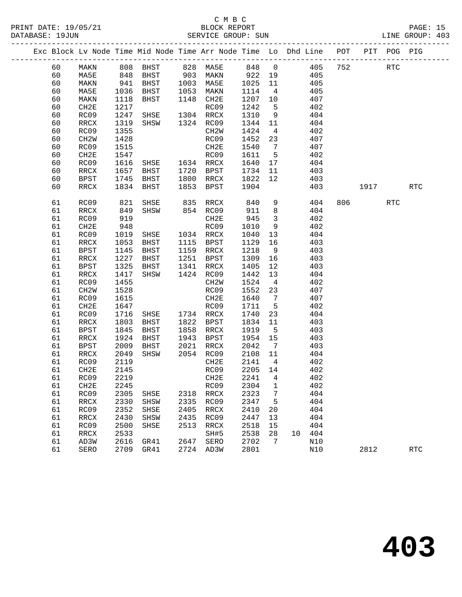|  | DATABASE: 19JUN |               |              |                                                                                |      | SERVICE GROUP: SUN                         |              |                         |                                | LINE GROUP: 403 |      |            |            |  |
|--|-----------------|---------------|--------------|--------------------------------------------------------------------------------|------|--------------------------------------------|--------------|-------------------------|--------------------------------|-----------------|------|------------|------------|--|
|  |                 |               |              | Exc Block Lv Node Time Mid Node Time Arr Node Time Lo Dhd Line POT PIT POG PIG |      |                                            |              |                         |                                |                 |      |            |            |  |
|  | 60              |               |              | MAKN 808 BHST 828 MA5E 848 0 405 752 RTC                                       |      |                                            |              |                         |                                |                 |      |            |            |  |
|  | 60              | MA5E          |              | 848 BHST 903 MAKN 922 19                                                       |      |                                            |              |                         |                                | 405             |      |            |            |  |
|  | 60              | MAKN          | 941          |                                                                                |      | BHST 1003 MA5E 1025<br>BHST 1053 MAKN 1114 |              | 11                      | 405                            |                 |      |            |            |  |
|  | 60              | MA5E          | 1036<br>1118 | BHST 1053 MAKN<br>BHST 1148 CH2E                                               |      |                                            | 1114         | $\overline{4}$          | 405                            |                 |      |            |            |  |
|  | 60              | MAKN          | 1118         | BHST                                                                           |      | 1148 CH2E                                  | 1207 10      |                         | 407                            |                 |      |            |            |  |
|  | 60              | CH2E          | 1217         |                                                                                |      | RC09                                       | 1242         | $5^{\circ}$             | 402                            |                 |      |            |            |  |
|  | 60              | RC09          | 1247         | SHSE 1304 RRCX                                                                 |      |                                            | 1310         | 9                       | 404                            |                 |      |            |            |  |
|  | 60              | RRCX          | 1319         | SHSW 1324 RC09                                                                 |      |                                            | 1344         | 11                      | 404                            |                 |      |            |            |  |
|  | 60              | RC09          | 1355         |                                                                                |      | CH2W                                       | 1424         | $\overline{4}$          | 402                            |                 |      |            |            |  |
|  | 60              | CH2W          | 1428         |                                                                                |      | RC09                                       | 1452 23      |                         | 407                            |                 |      |            |            |  |
|  | 60              | RC09          | 1515         |                                                                                |      | CH2E                                       | 1540         | $7\overline{ }$         | 407                            |                 |      |            |            |  |
|  | 60              | CH2E          | 1547         | RC09<br>SHSE 1634 RRCX                                                         |      |                                            | 1611         | $5^{\circ}$             | 402                            |                 |      |            |            |  |
|  | 60              | RC09          | 1616         |                                                                                |      |                                            | 1640 17      |                         | 404                            |                 |      |            |            |  |
|  | 60              | RRCX          | 1657         | BHST 1720 BPST                                                                 |      |                                            | 1734         | 11                      | 403                            |                 |      |            |            |  |
|  | 60              | BPST          | 1745         | BHST                                                                           |      | 1800 RRCX                                  | 1822         | 12                      |                                | 403             |      |            |            |  |
|  | 60              | RRCX          | 1834         | BHST                                                                           |      | 1853 BPST                                  | 1904         |                         |                                | 403             | 1917 |            | <b>RTC</b> |  |
|  | 61              | RC09          | 821          |                                                                                |      | SHSE 835 RRCX 840                          |              |                         | $9 \left( \frac{1}{2} \right)$ | 404             | 806  | <b>RTC</b> |            |  |
|  | 61              | RRCX          | 849          | SHSW 854 RC09                                                                  |      |                                            | 911          | 8 <sup>8</sup>          |                                | 404             |      |            |            |  |
|  | 61              | RC09          | 919          |                                                                                |      | CH2E                                       | 945          | $\overline{\mathbf{3}}$ | 402                            |                 |      |            |            |  |
|  | 61              | CH2E          | 948          |                                                                                |      | RC09                                       | 1010         | 9                       | 402                            |                 |      |            |            |  |
|  | 61              | RC09          | 1019         | SHSE 1034 RRCX                                                                 |      |                                            | 1040         | 13                      | 404                            |                 |      |            |            |  |
|  | 61              | RRCX          | 1053         | BHST                                                                           |      | 1115 BPST                                  | 1129         | 16                      | 403                            |                 |      |            |            |  |
|  | 61              | BPST          | 1145         | BHST                                                                           |      | 1159 RRCX                                  | 1218         | 9                       | 403                            |                 |      |            |            |  |
|  | 61              | RRCX          | 1227         | BHST                                                                           |      | 1251 BPST                                  | 1309         | 16                      | 403                            |                 |      |            |            |  |
|  | 61              | <b>BPST</b>   | 1325         | BHST                                                                           |      | 1341 RRCX                                  | 1405         | 12                      | 403                            |                 |      |            |            |  |
|  | 61              | RRCX          | 1417         | SHSW                                                                           |      | 1424 RC09                                  | 1442         | 13                      | 404                            |                 |      |            |            |  |
|  | 61              | RC09          | 1455         |                                                                                |      | CH2W                                       | 1524         | $\overline{4}$          | 402                            |                 |      |            |            |  |
|  | 61              | CH2W          | 1528         |                                                                                |      | RC09                                       | 1552         | 23                      | 407                            |                 |      |            |            |  |
|  | 61              | RC09          | 1615         |                                                                                |      | CH2E                                       | 1640         | $\overline{7}$          | 407                            |                 |      |            |            |  |
|  | 61<br>61        | CH2E          | 1647         |                                                                                |      | RC09                                       | 1711         | $5^{\circ}$             | 402<br>404                     |                 |      |            |            |  |
|  | 61              | RC09<br>RRCX  | 1716<br>1803 | SHSE<br>BHST                                                                   |      | 1734 RRCX<br>1822 BPST                     | 1740<br>1834 | 23<br>11                | 403                            |                 |      |            |            |  |
|  | 61              | BPST          | 1845         | BHST                                                                           |      | 1858 RRCX                                  | 1919         | $5^{\circ}$             | 403                            |                 |      |            |            |  |
|  | 61              | RRCX          | 1924         | BHST                                                                           |      | 1943 BPST                                  | 1954 15      |                         | 403                            |                 |      |            |            |  |
|  | 61              | BPST          | 2009         | BHST                                                                           | 2021 | RRCX                                       | 2042         | $\overline{7}$          | 403                            |                 |      |            |            |  |
|  | 61              | RRCX          | 2049         | SHSW                                                                           |      | 2054 RC09                                  | 2108 11      |                         | 404                            |                 |      |            |            |  |
|  | 61              | RC09          | 2119         |                                                                                |      | CH2E                                       | 2141 4       |                         | 402                            |                 |      |            |            |  |
|  | 61 CH2E         |               |              | 2145                                                                           |      | RC09 2205 14                               |              |                         | 402                            |                 |      |            |            |  |
|  | 61              | RC09          | 2219         |                                                                                |      | CH2E                                       | 2241         | 4                       | 402                            |                 |      |            |            |  |
|  | 61              | CH2E          | 2245         |                                                                                |      | RC09                                       | 2304         | 1                       |                                | 402             |      |            |            |  |
|  | 61              | RC09          | 2305         | SHSE                                                                           | 2318 | RRCX                                       | 2323         | 7                       |                                | 404             |      |            |            |  |
|  | 61              | RRCX          | 2330         | SHSW                                                                           | 2335 | RC09                                       | 2347         | 5                       |                                | 404             |      |            |            |  |
|  | 61              | RC09          | 2352         | SHSE                                                                           | 2405 | RRCX                                       | 2410         | 20                      |                                | 404             |      |            |            |  |
|  | 61              | $\verb!RRCX!$ | 2430         | SHSW                                                                           | 2435 | RC09                                       | 2447         | 13                      |                                | 404             |      |            |            |  |
|  | 61              | RC09          | 2500         | SHSE                                                                           | 2513 | RRCX                                       | 2518         | 15                      |                                | 404             |      |            |            |  |
|  | 61              | RRCX          | 2533         |                                                                                |      | SH#5                                       | 2538         | 28                      | 10<br>404                      |                 |      |            |            |  |
|  | 61              | AD3W          | 2616         | GR41                                                                           | 2647 | SERO                                       | 2702         | 7                       | N10                            |                 |      |            |            |  |
|  | 61              | SERO          | 2709         | GR41                                                                           | 2724 | AD3W                                       | 2801         |                         | N10                            |                 | 2812 |            | <b>RTC</b> |  |
|  |                 |               |              |                                                                                |      |                                            |              |                         |                                |                 |      |            |            |  |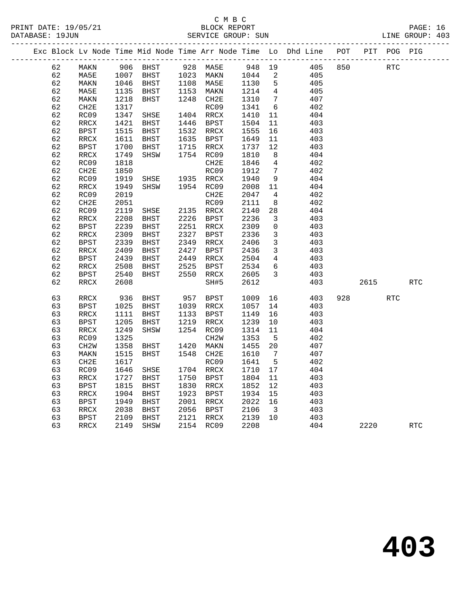## C M B C<br>ELOCK PEDOR C N B C PAGE: 16<br>PAGE: 16 BLOCK REPORT PAGE: 16<br>LINE GROUP: 403

| 5K T<br>√ N'≢<br>DAIE:<br>エソ<br>כט י<br>∠⊥ | н١<br>.<br>KEPOKI.<br>∵ĸ.       |     | ו גו ש |     |
|--------------------------------------------|---------------------------------|-----|--------|-----|
| ⊥9JUN<br>DATABASE:                         | SUN<br>הדר<br>GROUP'<br>SH:RVI( | INE | GROUP  | 403 |
| --                                         |                                 |     |        | .   |

|  |    |                          |      |               |      |                          |      |                         | Exc Block Lv Node Time Mid Node Time Arr Node Time Lo Dhd Line | POT | PIT  | POG PIG |            |
|--|----|--------------------------|------|---------------|------|--------------------------|------|-------------------------|----------------------------------------------------------------|-----|------|---------|------------|
|  | 62 | MAKN                     | 906  | <b>BHST</b>   | 928  | MA5E                     | 948  | 19                      | 405                                                            | 850 |      | RTC     |            |
|  | 62 | MA5E                     | 1007 | BHST          | 1023 | MAKN                     | 1044 | 2                       | 405                                                            |     |      |         |            |
|  | 62 | MAKN                     | 1046 | BHST          | 1108 | MA5E                     | 1130 | 5                       | 405                                                            |     |      |         |            |
|  | 62 | MA5E                     | 1135 | BHST          | 1153 | MAKN                     | 1214 | 4                       | 405                                                            |     |      |         |            |
|  | 62 | MAKN                     | 1218 | <b>BHST</b>   | 1248 | CH2E                     | 1310 | 7                       | 407                                                            |     |      |         |            |
|  | 62 | CH2E                     | 1317 |               |      | RC09                     | 1341 | 6                       | 402                                                            |     |      |         |            |
|  | 62 | RC09                     | 1347 | SHSE          | 1404 | RRCX                     | 1410 | 11                      | 404                                                            |     |      |         |            |
|  | 62 | RRCX                     | 1421 | BHST          | 1446 | <b>BPST</b>              | 1504 | 11                      | 403                                                            |     |      |         |            |
|  | 62 | <b>BPST</b>              | 1515 | <b>BHST</b>   | 1532 | RRCX                     | 1555 | 16                      | 403                                                            |     |      |         |            |
|  | 62 | RRCX                     | 1611 | <b>BHST</b>   | 1635 | BPST                     | 1649 | 11                      | 403                                                            |     |      |         |            |
|  | 62 | <b>BPST</b>              | 1700 | BHST          | 1715 | RRCX                     | 1737 | 12                      | 403                                                            |     |      |         |            |
|  | 62 | RRCX                     | 1749 | SHSW          | 1754 | RC09                     | 1810 | 8                       | 404                                                            |     |      |         |            |
|  | 62 | RC09                     | 1818 |               |      | CH <sub>2E</sub>         | 1846 | 4                       | 402                                                            |     |      |         |            |
|  | 62 | CH2E                     | 1850 |               |      | RC09                     | 1912 | 7                       | 402                                                            |     |      |         |            |
|  | 62 | RC09                     | 1919 | SHSE          | 1935 | RRCX                     | 1940 | 9                       | 404                                                            |     |      |         |            |
|  | 62 | RRCX                     | 1949 | SHSW          | 1954 | RC09                     | 2008 | 11                      | 404                                                            |     |      |         |            |
|  | 62 | RC09                     | 2019 |               |      | CH <sub>2E</sub>         | 2047 | $\overline{4}$          | 402                                                            |     |      |         |            |
|  | 62 | CH2E                     | 2051 |               |      | RC09                     | 2111 | 8                       | 402                                                            |     |      |         |            |
|  | 62 | RC09                     | 2119 | SHSE          | 2135 | RRCX                     | 2140 | $2\,8$                  | 404                                                            |     |      |         |            |
|  | 62 | RRCX                     | 2208 | BHST          | 2226 | BPST                     | 2236 | 3                       | 403                                                            |     |      |         |            |
|  | 62 | <b>BPST</b>              | 2239 | <b>BHST</b>   | 2251 | RRCX                     | 2309 | 0                       | 403                                                            |     |      |         |            |
|  | 62 | RRCX                     | 2309 | <b>BHST</b>   | 2327 | BPST                     | 2336 | 3                       | 403                                                            |     |      |         |            |
|  | 62 | <b>BPST</b>              | 2339 | <b>BHST</b>   | 2349 | RRCX                     | 2406 | 3                       | 403                                                            |     |      |         |            |
|  | 62 | $\verb!RRCX!$            | 2409 | <b>BHST</b>   | 2427 | <b>BPST</b>              | 2436 | $\mathbf{3}$            | 403                                                            |     |      |         |            |
|  | 62 | <b>BPST</b>              | 2439 | BHST          | 2449 | RRCX                     | 2504 | 4                       | 403                                                            |     |      |         |            |
|  | 62 | RRCX                     | 2508 | <b>BHST</b>   | 2525 | <b>BPST</b>              | 2534 | 6                       | 403                                                            |     |      |         |            |
|  | 62 | <b>BPST</b>              | 2540 | <b>BHST</b>   | 2550 | RRCX                     | 2605 | 3                       | 403                                                            |     |      |         |            |
|  | 62 | RRCX                     | 2608 |               |      | SH#5                     | 2612 |                         | 403                                                            |     | 2615 |         | RTC        |
|  |    |                          |      |               |      |                          |      |                         |                                                                |     |      |         |            |
|  | 63 | RRCX                     | 936  | $_{\rm BHST}$ | 957  | <b>BPST</b>              | 1009 | 16                      | 403                                                            | 928 |      | RTC     |            |
|  | 63 | <b>BPST</b>              | 1025 | BHST          | 1039 | RRCX                     | 1057 | 14                      | 403                                                            |     |      |         |            |
|  | 63 | RRCX                     | 1111 | <b>BHST</b>   | 1133 | BPST                     | 1149 | 16                      | 403                                                            |     |      |         |            |
|  | 63 | <b>BPST</b>              | 1205 | BHST          | 1219 | $\mathop{\mathrm{RRCX}}$ | 1239 | 10                      | 403                                                            |     |      |         |            |
|  | 63 | RRCX                     | 1249 | SHSW          | 1254 | RC09                     | 1314 | 11                      | 404                                                            |     |      |         |            |
|  | 63 | RC09                     | 1325 |               |      | CH <sub>2</sub> W        | 1353 | 5                       | 402                                                            |     |      |         |            |
|  | 63 | CH <sub>2</sub> W        | 1358 | BHST          | 1420 | MAKN                     | 1455 | 20                      | 407                                                            |     |      |         |            |
|  | 63 | MAKN                     | 1515 | <b>BHST</b>   | 1548 | CH <sub>2E</sub>         | 1610 | 7                       | 407                                                            |     |      |         |            |
|  | 63 | CH <sub>2E</sub>         | 1617 |               |      | RC09                     | 1641 | 5                       | 402                                                            |     |      |         |            |
|  | 63 | RC09                     | 1646 | SHSE          | 1704 | RRCX                     | 1710 | 17                      | 404                                                            |     |      |         |            |
|  | 63 | RRCX                     | 1727 | BHST          | 1750 | BPST                     | 1804 | 11                      | 403                                                            |     |      |         |            |
|  | 63 | <b>BPST</b>              | 1815 | <b>BHST</b>   | 1830 | RRCX                     | 1852 | 12                      | 403                                                            |     |      |         |            |
|  | 63 | $\verb!RRCX!$            | 1904 | BHST          | 1923 | <b>BPST</b>              | 1934 | 15                      | 403                                                            |     |      |         |            |
|  | 63 | <b>BPST</b>              | 1949 | <b>BHST</b>   | 2001 | RRCX                     | 2022 | 16                      | 403                                                            |     |      |         |            |
|  | 63 | $\mathop{\mathrm{RRCX}}$ | 2038 | <b>BHST</b>   | 2056 | <b>BPST</b>              | 2106 | $\overline{\mathbf{3}}$ | 403                                                            |     |      |         |            |
|  | 63 | <b>BPST</b>              | 2109 | <b>BHST</b>   | 2121 | RRCX                     | 2139 | 10                      | 403                                                            |     |      |         |            |
|  | 63 | RRCX                     | 2149 | SHSW          | 2154 | RC09                     | 2208 |                         | 404                                                            |     | 2220 |         | <b>RTC</b> |
|  |    |                          |      |               |      |                          |      |                         |                                                                |     |      |         |            |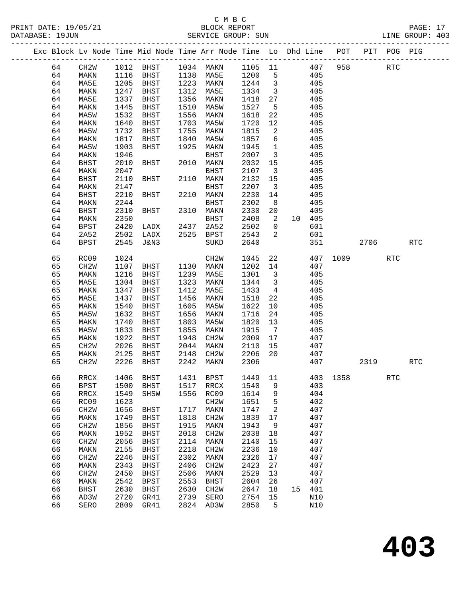# C M B C<br>BLOCK REPORT

|  | DATABASE: 19JUN | PRINT DATE: 19/05/21 |      |                   |      | BLOCK REPORT<br>SERVICE GROUP: SUN |                   |                                                                                |     |     | PAGE: 17<br>LINE GROUP: 403 |  |
|--|-----------------|----------------------|------|-------------------|------|------------------------------------|-------------------|--------------------------------------------------------------------------------|-----|-----|-----------------------------|--|
|  |                 |                      |      |                   |      |                                    |                   | Exc Block Lv Node Time Mid Node Time Arr Node Time Lo Dhd Line POT PIT POG PIG |     |     |                             |  |
|  | 64<br>64        | CH2W<br>MAKN         | 1116 | 1012 BHST<br>BHST | 1138 | 1034 MAKN<br>MA 5 F.               | 1105 11<br>1200 5 | 407<br>405                                                                     | 958 | RTC |                             |  |

| 64 | MAKN              | 1116 | BHST            | 1138 | MA5E              | 1200 | 5               |    | 405    |      |      |            |     |
|----|-------------------|------|-----------------|------|-------------------|------|-----------------|----|--------|------|------|------------|-----|
| 64 | MA5E              | 1205 | BHST            | 1223 | MAKN              | 1244 | $\mathfrak{Z}$  |    | 405    |      |      |            |     |
| 64 | MAKN              | 1247 | BHST            | 1312 | MA5E              | 1334 | $\mathfrak{Z}$  |    | 405    |      |      |            |     |
| 64 | MA5E              | 1337 | <b>BHST</b>     | 1356 | MAKN              | 1418 | $2\,7$          |    | 405    |      |      |            |     |
| 64 | MAKN              | 1445 | BHST            | 1510 | MA5W              | 1527 | $\overline{5}$  |    | 405    |      |      |            |     |
| 64 | MA5W              | 1532 | <b>BHST</b>     | 1556 | MAKN              | 1618 | 22              |    | 405    |      |      |            |     |
| 64 | MAKN              | 1640 | <b>BHST</b>     | 1703 | MA5W              | 1720 | $12$            |    | 405    |      |      |            |     |
| 64 | MA5W              | 1732 | BHST            | 1755 | MAKN              | 1815 | 2               |    | 405    |      |      |            |     |
| 64 | MAKN              | 1817 | BHST            | 1840 | MA5W              | 1857 | $\sqrt{6}$      |    | 405    |      |      |            |     |
| 64 | MA5W              | 1903 | BHST            | 1925 | MAKN              | 1945 | $\mathbf{1}$    |    | 405    |      |      |            |     |
| 64 | MAKN              | 1946 |                 |      | <b>BHST</b>       | 2007 | $\mathfrak{Z}$  |    | 405    |      |      |            |     |
| 64 | <b>BHST</b>       | 2010 | BHST            | 2010 | MAKN              | 2032 | $15$            |    | 405    |      |      |            |     |
| 64 | MAKN              | 2047 |                 |      | <b>BHST</b>       | 2107 | $\mathbf{3}$    |    | 405    |      |      |            |     |
| 64 |                   |      | <b>BHST</b>     |      |                   | 2132 |                 |    | 405    |      |      |            |     |
|    | <b>BHST</b>       | 2110 |                 | 2110 | MAKN              |      | $15$            |    |        |      |      |            |     |
| 64 | MAKN              | 2147 |                 |      | <b>BHST</b>       | 2207 | $\mathfrak{Z}$  |    | 405    |      |      |            |     |
| 64 | <b>BHST</b>       | 2210 | <b>BHST</b>     | 2210 | MAKN              | 2230 | 14              |    | 405    |      |      |            |     |
| 64 | MAKN              | 2244 |                 |      | <b>BHST</b>       | 2302 | 8               |    | 405    |      |      |            |     |
| 64 | <b>BHST</b>       | 2310 | BHST            | 2310 | MAKN              | 2330 | 20              |    | 405    |      |      |            |     |
| 64 | MAKN              | 2350 |                 |      | <b>BHST</b>       | 2408 | 2               | 10 | 405    |      |      |            |     |
| 64 | <b>BPST</b>       | 2420 | LADX            | 2437 | 2A52              | 2502 | 0               |    | 601    |      |      |            |     |
| 64 | 2A52              | 2502 | LADX            | 2525 | <b>BPST</b>       | 2543 | $\mathbf{2}$    |    | 601    |      |      |            |     |
| 64 | <b>BPST</b>       | 2545 | <b>J&amp;N3</b> |      | SUKD              | 2640 |                 |    | 351    |      | 2706 |            | RTC |
|    |                   |      |                 |      |                   |      |                 |    |        |      |      |            |     |
| 65 | RC09              | 1024 |                 |      | CH <sub>2</sub> M | 1045 | 22              |    | 407    | 1009 |      | <b>RTC</b> |     |
| 65 | CH2W              | 1107 | <b>BHST</b>     | 1130 | MAKN              | 1202 | 14              |    | 407    |      |      |            |     |
| 65 | MAKN              | 1216 | <b>BHST</b>     | 1239 | MA5E              | 1301 | $\mathfrak{Z}$  |    | 405    |      |      |            |     |
| 65 | MA5E              | 1304 | BHST            | 1323 | MAKN              | 1344 | $\mathbf{3}$    |    | 405    |      |      |            |     |
| 65 | MAKN              | 1347 | <b>BHST</b>     | 1412 | MA5E              | 1433 | $\overline{4}$  |    | 405    |      |      |            |     |
| 65 | MA5E              | 1437 | BHST            | 1456 | MAKN              | 1518 | 22              |    | 405    |      |      |            |     |
| 65 | MAKN              | 1540 | BHST            | 1605 | MA5W              | 1622 | 10              |    | 405    |      |      |            |     |
| 65 | MA5W              | 1632 | BHST            | 1656 | MAKN              | 1716 | 24              |    | 405    |      |      |            |     |
| 65 | MAKN              | 1740 | BHST            | 1803 | MA5W              | 1820 | 13              |    | 405    |      |      |            |     |
| 65 | MA5W              | 1833 | BHST            | 1855 | MAKN              | 1915 | $7\phantom{.0}$ |    | 405    |      |      |            |     |
| 65 | MAKN              | 1922 | BHST            | 1948 | CH <sub>2</sub> M | 2009 | 17              |    | 407    |      |      |            |     |
| 65 | CH <sub>2</sub> M | 2026 | BHST            | 2044 | MAKN              | 2110 | 15              |    | 407    |      |      |            |     |
| 65 | MAKN              | 2125 | BHST            | 2148 | CH <sub>2</sub> M | 2206 | 20              |    | 407    |      |      |            |     |
| 65 | CH <sub>2</sub> M | 2226 | BHST            | 2242 | MAKN              | 2306 |                 |    | 407    |      | 2319 |            | RTC |
| 66 | RRCX              | 1406 | BHST            | 1431 | <b>BPST</b>       | 1449 | 11              |    | 403    | 1358 |      | <b>RTC</b> |     |
| 66 | <b>BPST</b>       | 1500 | BHST            | 1517 | RRCX              | 1540 | 9               |    | 403    |      |      |            |     |
| 66 | RRCX              | 1549 | SHSW            | 1556 | RC09              | 1614 | 9               |    | 404    |      |      |            |     |
| 66 | RC09              | 1623 |                 |      | CH <sub>2</sub> M | 1651 | 5               |    | 402    |      |      |            |     |
| 66 | CH2W              |      | 1656 BHST       |      | 1717 MAKN         | 1747 | 2               |    | 407    |      |      |            |     |
| 66 | MAKN              | 1749 | <b>BHST</b>     | 1818 | CH <sub>2</sub> W | 1839 | 17              |    | 407    |      |      |            |     |
| 66 | CH <sub>2</sub> M | 1856 | BHST            | 1915 | MAKN              | 1943 | 9               |    | 407    |      |      |            |     |
| 66 | MAKN              | 1952 | BHST            | 2018 | CH2W              | 2038 | 18              |    | 407    |      |      |            |     |
| 66 | CH <sub>2</sub> M | 2056 | BHST            | 2114 | MAKN              | 2140 | 15              |    | 407    |      |      |            |     |
| 66 | MAKN              | 2155 | BHST            | 2218 | CH2W              | 2236 | 10              |    | 407    |      |      |            |     |
| 66 | CH2W              | 2246 | <b>BHST</b>     | 2302 | MAKN              | 2326 | 17              |    | 407    |      |      |            |     |
| 66 | MAKN              | 2343 | BHST            | 2406 | CH2W              | 2423 | 27              |    | 407    |      |      |            |     |
| 66 | CH <sub>2</sub> M | 2450 | <b>BHST</b>     | 2506 | MAKN              | 2529 | 13              |    | 407    |      |      |            |     |
| 66 | MAKN              | 2542 | <b>BPST</b>     | 2553 | <b>BHST</b>       | 2604 | 26              |    | 407    |      |      |            |     |
| 66 | <b>BHST</b>       | 2630 | <b>BHST</b>     | 2630 | CH <sub>2</sub> M | 2647 | 18              |    | 15 401 |      |      |            |     |
| 66 | AD3W              | 2720 | GR41            | 2739 | SERO              | 2754 | 15              |    | N10    |      |      |            |     |
| 66 | SERO              | 2809 | GR41            | 2824 | AD3W              | 2850 | 5               |    | N10    |      |      |            |     |
|    |                   |      |                 |      |                   |      |                 |    |        |      |      |            |     |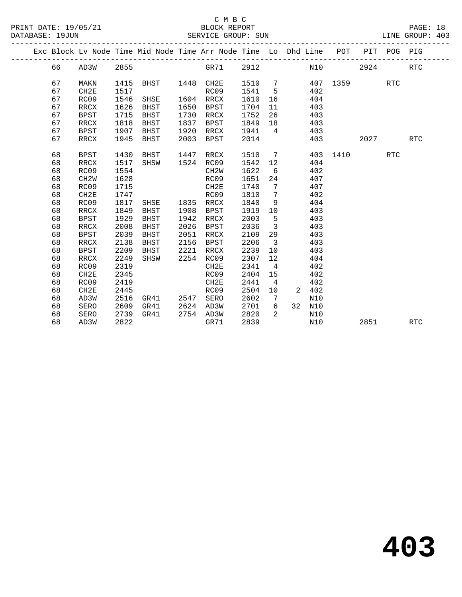## C M B C N B C N B C N B C C M B C

|  | DATABASE: 19JUN |                   |      |             |      | SERVICE GROUP: SUN                                                             |      |                         |    |       |          |      |            | LINE GROUP: 403 |  |
|--|-----------------|-------------------|------|-------------|------|--------------------------------------------------------------------------------|------|-------------------------|----|-------|----------|------|------------|-----------------|--|
|  |                 |                   |      |             |      | Exc Block Lv Node Time Mid Node Time Arr Node Time Lo Dhd Line POT PIT POG PIG |      |                         |    |       |          |      |            |                 |  |
|  | 66              | AD3W              | 2855 |             |      | GR71 2912                                                                      |      |                         |    | N10   |          | 2924 |            | <b>RTC</b>      |  |
|  | 67              | MAKN              | 1415 | BHST        | 1448 | CH2E                                                                           | 1510 | $7\phantom{.0}$         |    |       | 407 1359 |      | <b>RTC</b> |                 |  |
|  | 67              | CH2E              | 1517 |             |      | RC09                                                                           | 1541 | $5^{\circ}$             |    | 402   |          |      |            |                 |  |
|  | 67              | RC09              | 1546 | SHSE        |      | 1604 RRCX                                                                      | 1610 | 16                      |    | 404   |          |      |            |                 |  |
|  | 67              | RRCX              | 1626 | BHST        | 1650 | BPST                                                                           | 1704 | 11                      |    | 403   |          |      |            |                 |  |
|  | 67              | <b>BPST</b>       | 1715 | BHST        | 1730 | RRCX                                                                           | 1752 | 26                      |    | 403   |          |      |            |                 |  |
|  | 67              | RRCX              | 1818 | <b>BHST</b> | 1837 | <b>BPST</b>                                                                    | 1849 | 18                      |    | 403   |          |      |            |                 |  |
|  | 67              | <b>BPST</b>       | 1907 | BHST        | 1920 | RRCX                                                                           | 1941 | $\overline{4}$          |    | 403   |          |      |            |                 |  |
|  | 67              | RRCX              | 1945 | <b>BHST</b> | 2003 | <b>BPST</b>                                                                    | 2014 |                         |    | 403   |          | 2027 |            | <b>RTC</b>      |  |
|  | 68              | <b>BPST</b>       | 1430 | BHST        | 1447 | RRCX                                                                           | 1510 | $\overline{7}$          |    |       | 403 1410 |      | <b>RTC</b> |                 |  |
|  | 68              | <b>RRCX</b>       | 1517 | SHSW        |      | 1524 RC09                                                                      | 1542 | 12                      |    | 404   |          |      |            |                 |  |
|  | 68              | RC09              | 1554 |             |      | CH <sub>2</sub> W                                                              | 1622 | 6                       |    | 402   |          |      |            |                 |  |
|  | 68              | CH <sub>2</sub> W | 1628 |             |      | RC09                                                                           | 1651 | 24                      |    | 407   |          |      |            |                 |  |
|  | 68              | RC09              | 1715 |             |      | CH2E                                                                           | 1740 | 7                       |    | 407   |          |      |            |                 |  |
|  | 68              | CH2E              | 1747 |             |      | RC09                                                                           | 1810 | 7                       |    | 402   |          |      |            |                 |  |
|  | 68              | RC09              | 1817 | SHSE        | 1835 | RRCX                                                                           | 1840 | 9                       |    | 404   |          |      |            |                 |  |
|  | 68              | RRCX              | 1849 | <b>BHST</b> | 1908 | BPST                                                                           | 1919 | 10                      |    | 403   |          |      |            |                 |  |
|  | 68              | <b>BPST</b>       | 1929 | BHST        | 1942 | RRCX                                                                           | 2003 | 5                       |    | 403   |          |      |            |                 |  |
|  | 68              | RRCX              | 2008 | <b>BHST</b> | 2026 | <b>BPST</b>                                                                    | 2036 | $\overline{3}$          |    | 403   |          |      |            |                 |  |
|  | 68              | <b>BPST</b>       | 2039 | <b>BHST</b> | 2051 | RRCX                                                                           | 2109 | 29                      |    | 403   |          |      |            |                 |  |
|  | 68              | RRCX              | 2138 | BHST        | 2156 | <b>BPST</b>                                                                    | 2206 | $\overline{\mathbf{3}}$ |    | 403   |          |      |            |                 |  |
|  | 68              | <b>BPST</b>       | 2209 | BHST        | 2221 | RRCX                                                                           | 2239 | 10                      |    | 403   |          |      |            |                 |  |
|  | 68              | RRCX              | 2249 | SHSW        | 2254 | RC09                                                                           | 2307 | 12                      |    | 404   |          |      |            |                 |  |
|  | 68              | RC09              | 2319 |             |      | CH2E                                                                           | 2341 | $\overline{4}$          |    | 402   |          |      |            |                 |  |
|  | 68              | CH2E              | 2345 |             |      | RC09                                                                           | 2404 | 15                      |    | 402   |          |      |            |                 |  |
|  | 68              | RC09              | 2419 |             |      | CH2E                                                                           | 2441 | $\overline{4}$          |    | 402   |          |      |            |                 |  |
|  | 68              | CH2E              | 2445 |             |      | RC09                                                                           | 2504 | 10                      |    | 2 402 |          |      |            |                 |  |
|  | 68              | AD3W              | 2516 | GR41        | 2547 | SERO                                                                           | 2602 | 7                       |    | N10   |          |      |            |                 |  |
|  | 68              | SERO              | 2609 | GR41        | 2624 | AD3W                                                                           | 2701 | 6                       | 32 | N10   |          |      |            |                 |  |
|  | 68              | SERO              | 2739 | GR41        | 2754 | AD3W                                                                           | 2820 | 2                       |    | N10   |          |      |            |                 |  |
|  | 68              | AD3W              | 2822 |             |      | GR71                                                                           | 2839 |                         |    | N10   |          | 2851 |            | <b>RTC</b>      |  |
|  |                 |                   |      |             |      |                                                                                |      |                         |    |       |          |      |            |                 |  |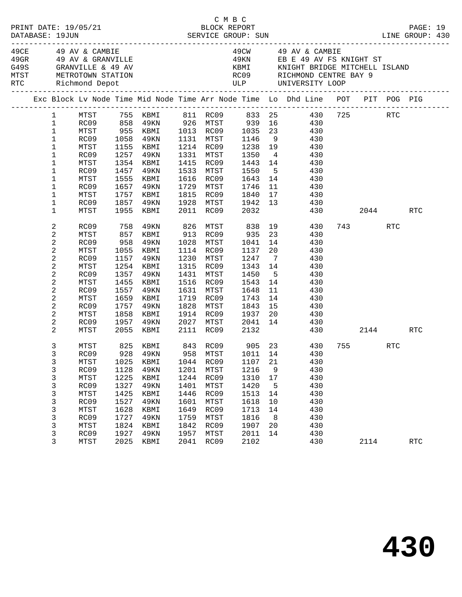|  |                                                                                                                                    |                                                                                                              |                                                                                      |                                                                                                                                          |                                                                                      | C M B C                                                                                                                                                                |                                                                                                            |                                                                                              | LINE GROUP: 430                                                                                                                                                                                                                                          |          |                 | PAGE: 19             |  |
|--|------------------------------------------------------------------------------------------------------------------------------------|--------------------------------------------------------------------------------------------------------------|--------------------------------------------------------------------------------------|------------------------------------------------------------------------------------------------------------------------------------------|--------------------------------------------------------------------------------------|------------------------------------------------------------------------------------------------------------------------------------------------------------------------|------------------------------------------------------------------------------------------------------------|----------------------------------------------------------------------------------------------|----------------------------------------------------------------------------------------------------------------------------------------------------------------------------------------------------------------------------------------------------------|----------|-----------------|----------------------|--|
|  |                                                                                                                                    | MTST METROTOWN STATION<br>RTC Richmond Depot<br>____________________________                                 |                                                                                      | 49CE              49   AV   &  CAMBIE<br>49GR             49   AV   &  GRANVILLE<br>G49S              GRANVILLE   &   49   AV            |                                                                                      |                                                                                                                                                                        |                                                                                                            |                                                                                              | 49CW 49 AV & CAMBIE<br>ROOS RICHMOND CENTRE BAY 9<br>ULP UNIVERSITY LOOP                                                                                                                                                                                 |          |                 |                      |  |
|  |                                                                                                                                    |                                                                                                              |                                                                                      |                                                                                                                                          |                                                                                      |                                                                                                                                                                        |                                                                                                            |                                                                                              | Exc Block Lv Node Time Mid Node Time Arr Node Time Lo Dhd Line POT PIT POG PIG                                                                                                                                                                           |          |                 |                      |  |
|  | 1<br>$\mathbf{1}$<br>$\mathbf{1}$<br>$\mathbf{1}$<br>$\mathbf 1$<br>$\mathbf{1}$<br>1<br>1<br>1<br>1<br>1                          | MTST<br>MTST<br>RC09<br>MTST<br>RC09<br>MTST<br>RC09<br>MTST                                                 | 1257<br>1457<br>1555<br>1657                                                         | 1155 KBMI<br>49KN<br>1354 KBMI<br>49KN<br>KBMI<br>49KN<br>1757 KBMI                                                                      |                                                                                      | 1214 RC09<br>1331 MTST<br>1415 RC09<br>1533 MTST<br>1616 RC09<br>1729 MTST<br>1815 RC09                                                                                | 1238 19<br>1350<br>1443<br>1550<br>1643<br>1746<br>1840                                                    | 11<br>17                                                                                     | MTST 755 KBMI 811 RC09 833 25 430 725<br>RC09 858 49KN 926 MTST 939 16 430<br>MTST 955 KBMI 1013 RC09 1035 23 430<br>RC09 1058 49KN 1131 MTST 1146 9 430<br>430<br>$\begin{array}{ccc} 4 & 430 \\ 14 & 430 \end{array}$<br>5 430<br>14 430<br>430<br>430 |          | RTC             |                      |  |
|  | 1<br>$\mathbf 1$                                                                                                                   | RC09<br>MTST                                                                                                 |                                                                                      | 1857 49KN<br>1955 KBMI                                                                                                                   |                                                                                      | 1928 MTST<br>2011 RC09 2032                                                                                                                                            | 1942 13                                                                                                    |                                                                                              | 430<br>430 2044 RTC                                                                                                                                                                                                                                      |          |                 |                      |  |
|  | 2<br>2<br>$\boldsymbol{2}$<br>2<br>$\mathbf 2$<br>2<br>$\overline{c}$<br>2<br>$\overline{c}$<br>2<br>$\overline{c}$<br>2<br>2<br>2 | RC09<br>MTST<br>RC09<br>MTST<br>RC09<br>MTST<br>RC09<br>MTST<br>RC09<br>MTST<br>RC09<br>MTST<br>RC09<br>MTST | 958<br>1055<br>1157<br>1357<br>1455<br>1557<br>1757<br>1858                          | 758 49KN<br>857 KBMI<br>49KN<br>KBMI<br>49KN<br>1254 KBMI<br>49KN<br>KBMI<br>49KN<br>1659 KBMI<br>49KN<br>KBMI<br>1957 49KN<br>2055 KBMI | 1431<br>1516                                                                         | 826 MTST<br>913 RC09<br>1028 MTST<br>1114 RC09<br>1230 MTST<br>1315 RC09<br>MTST<br>RC09<br>1631 MTST<br>1719 RC09<br>1828 MTST<br>1914 RC09<br>2027 MTST<br>2111 RC09 | 838<br>935<br>1041<br>1137<br>1247<br>1343<br>1450<br>1543<br>1648<br>1743<br>1843<br>1937<br>2041<br>2132 | 23<br>14<br>20<br>$\overline{7}$<br>14<br>5 <sup>5</sup><br>14<br>11<br>14<br>15<br>20<br>14 | 19 430<br>430<br>430<br>430<br>430<br>430<br>430<br>430<br>430<br>430<br>430<br>430<br>430<br>430                                                                                                                                                        | 743 — 10 | RTC<br>2144 RTC |                      |  |
|  | 3<br>$\mathfrak{Z}$<br>3<br>3<br>3<br>3<br>3<br>3<br>3<br>3<br>3<br>3<br>3                                                         | MTST<br>RC09<br>MTST<br>RC09<br>MTST<br>RC09<br>MTST<br>RC09<br>MTST<br>RC09<br>MTST<br>RC09<br>MTST         | 1025<br>1128<br>1225<br>1327<br>1425<br>1527<br>1628<br>1727<br>1824<br>1927<br>2025 | 825 KBMI<br>928 49KN<br>KBMI<br>49KN<br>KBMI<br><b>49KN</b><br>KBMI<br>49KN<br>KBMI<br>49KN<br>KBMI<br>49KN<br>KBMI                      | 1044<br>1201<br>1244<br>1401<br>1446<br>1601<br>1649<br>1759<br>1842<br>1957<br>2041 | 958 MTST 1011 14<br>RC09<br>MTST<br>RC09<br>MTST<br>RC09<br>MTST<br>RC09<br>MTST<br>RC09<br>MTST<br>RC09                                                               | 1107<br>1216<br>1310<br>1420<br>1513<br>1618<br>1713<br>1816<br>1907<br>2011<br>2102                       | 21<br>9<br>17<br>5<br>14<br>10<br>14<br>8<br>20<br>14                                        | 843 RC09 905 23 430 755<br>430<br>430<br>430<br>430<br>430<br>430<br>430<br>430<br>430<br>430<br>430<br>430                                                                                                                                              | 2114     | <b>RTC</b>      | $\operatorname{RTC}$ |  |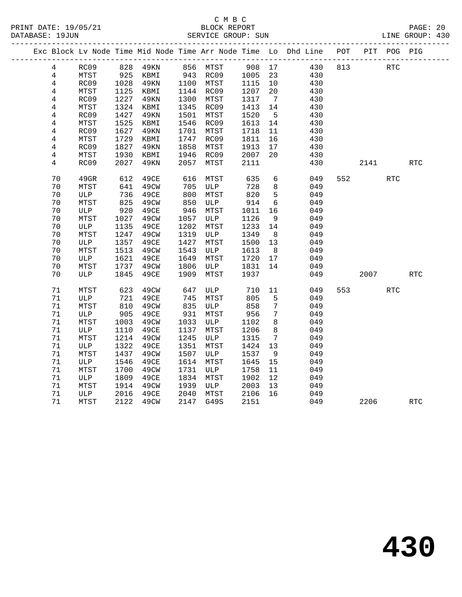|  |                |      |      |             |      |              |        |                 | Exc Block Lv Node Time Mid Node Time Arr Node Time Lo Dhd Line POT |     |                             | PIT POG PIG          |            |
|--|----------------|------|------|-------------|------|--------------|--------|-----------------|--------------------------------------------------------------------|-----|-----------------------------|----------------------|------------|
|  | $\overline{4}$ | RC09 |      | 828 49KN    |      | 856 MTST     | 908 17 |                 | 430                                                                | 813 | RTC                         |                      |            |
|  | $\overline{4}$ | MTST | 925  | KBMI        |      | 943 RC09     | 1005   | 23              | 430                                                                |     |                             |                      |            |
|  | $\overline{4}$ | RC09 | 1028 | 49KN        |      | 1100 MTST    | 1115   | 10              | 430                                                                |     |                             |                      |            |
|  | $\overline{4}$ | MTST | 1125 | KBMI        |      | 1144 RC09    | 1207   | 20              | 430                                                                |     |                             |                      |            |
|  | 4              | RC09 | 1227 | 49KN        | 1300 | MTST         | 1317   | $\overline{7}$  | 430                                                                |     |                             |                      |            |
|  | 4              | MTST | 1324 | KBMI        | 1345 | RC09         | 1413   | 14              | 430                                                                |     |                             |                      |            |
|  | 4              | RC09 | 1427 | 49KN        | 1501 | MTST         | 1520   | $5^{\circ}$     | 430                                                                |     |                             |                      |            |
|  | 4              | MTST | 1525 | KBMI        | 1546 | RC09         | 1613   | 14              | 430                                                                |     |                             |                      |            |
|  | 4              | RC09 | 1627 | 49KN        | 1701 | MTST         | 1718   | 11              | 430                                                                |     |                             |                      |            |
|  | 4              | MTST | 1729 | KBMI        | 1747 | RC09         | 1811   | 16              | 430                                                                |     |                             |                      |            |
|  | $\overline{4}$ | RC09 | 1827 | 49KN        | 1858 | MTST         | 1913   | 17              | 430                                                                |     |                             |                      |            |
|  | 4              | MTST | 1930 | KBMI        | 1946 | RC09         | 2007   | 20              | 430                                                                |     |                             |                      |            |
|  | 4              | RC09 | 2027 | <b>49KN</b> | 2057 | MTST         | 2111   |                 | 430                                                                |     | 2141                        |                      | <b>RTC</b> |
|  |                |      |      |             |      |              |        |                 |                                                                    |     |                             |                      |            |
|  | 70             | 49GR | 612  | 49CE        | 616  | MTST         | 635    | $6\overline{6}$ | 049                                                                |     | 552 and the state of $\sim$ | $\operatorname{RTC}$ |            |
|  | 70             | MTST | 641  | 49CW        | 705  | ULP          | 728    | 8               | 049                                                                |     |                             |                      |            |
|  | 70             | ULP  | 736  | 49CE        | 800  | MTST         | 820    | 5               | 049                                                                |     |                             |                      |            |
|  | 70             | MTST | 825  | 49CW        | 850  | ULP          | 914    | 6               | 049                                                                |     |                             |                      |            |
|  | 70             | ULP  | 920  | 49CE        | 946  | MTST         | 1011   | 16              | 049                                                                |     |                             |                      |            |
|  | $70$           | MTST | 1027 | 49CW        | 1057 | ULP          | 1126   | 9               | 049                                                                |     |                             |                      |            |
|  | $70$           | ULP  | 1135 | 49CE        | 1202 | MTST         | 1233   | 14              | 049                                                                |     |                             |                      |            |
|  | 70             | MTST | 1247 | 49CW        | 1319 | ULP          | 1349   | 8               | 049                                                                |     |                             |                      |            |
|  | 70             | ULP  | 1357 | 49CE        | 1427 | MTST         | 1500   | 13              | 049                                                                |     |                             |                      |            |
|  | 70             | MTST | 1513 | 49CW        | 1543 | ULP          | 1613   | 8 <sup>8</sup>  | 049                                                                |     |                             |                      |            |
|  | 70             | ULP  | 1621 | 49CE        | 1649 | MTST         | 1720   | 17              | 049                                                                |     |                             |                      |            |
|  | 70             | MTST | 1737 | 49CW        | 1806 | ULP          | 1831   | 14              | 049                                                                |     |                             |                      |            |
|  | 70             | ULP  | 1845 | 49CE        | 1909 | MTST         | 1937   |                 | 049                                                                |     | 2007                        |                      | RTC        |
|  | 71             | MTST | 623  | 49CW        | 647  | ULP          | 710    | 11              | 049                                                                | 553 |                             | <b>RTC</b>           |            |
|  | 71             | ULP  | 721  | 49CE        | 745  | MTST         | 805    | 5               | 049                                                                |     |                             |                      |            |
|  | 71             | MTST | 810  | 49CW        | 835  | ULP          | 858    | $7\phantom{.}$  | 049                                                                |     |                             |                      |            |
|  | 71             | ULP  | 905  | 49CE        | 931  | MTST         | 956    | $7\phantom{.0}$ | 049                                                                |     |                             |                      |            |
|  | 71             | MTST | 1003 | 49CW        | 1033 | ULP          | 1102   | 8               | 049                                                                |     |                             |                      |            |
|  | $71\,$         | ULP  | 1110 | 49CE        | 1137 | MTST         | 1206   | 8               | 049                                                                |     |                             |                      |            |
|  | 71             | MTST | 1214 | 49CW        | 1245 | $_{\rm ULP}$ | 1315   | $7\phantom{.0}$ | 049                                                                |     |                             |                      |            |
|  | 71             | ULP  | 1322 | 49CE        | 1351 | MTST         | 1424   | 13              | 049                                                                |     |                             |                      |            |
|  | 71             | MTST | 1437 | 49CW        | 1507 | ULP          | 1537   | - 9             | 049                                                                |     |                             |                      |            |
|  | 71             | ULP  | 1546 | 49CE        | 1614 | MTST         | 1645   | 15              | 049                                                                |     |                             |                      |            |
|  | $71\,$         | MTST | 1700 | 49CW        | 1731 | ULP          | 1758   | 11              | 049                                                                |     |                             |                      |            |
|  | 71             | ULP  | 1809 | 49CE        | 1834 | MTST         | 1902   | 12              | 049                                                                |     |                             |                      |            |
|  | 71             | MTST | 1914 | 49CW        | 1939 | ULP          | 2003   | 13              | 049                                                                |     |                             |                      |            |
|  | $71\,$         | ULP  | 2016 | 49CE        | 2040 | MTST         | 2106   | 16              | 049                                                                |     |                             |                      |            |
|  | 71             | MTST | 2122 | 49CW        | 2147 | G49S         | 2151   |                 | 049                                                                |     | 2206                        |                      | <b>RTC</b> |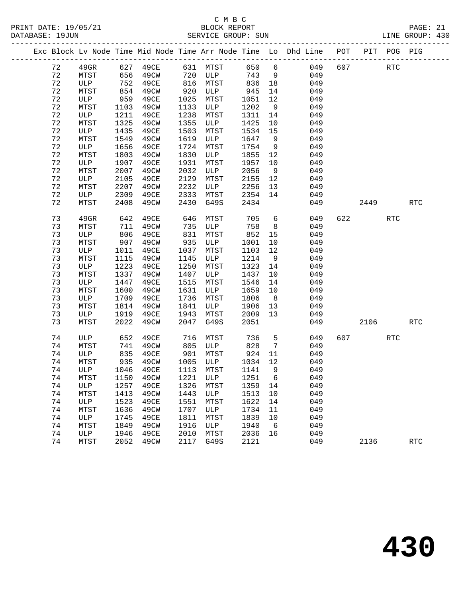#### C M B C<br>BLOCK REPORT PRINT DATE: 19/05/21 BLOCK REPORT PAGE: 21 SERVICE GROUP: SUN

|    |         |      |           |      |            |      |                | Exc Block Lv Node Time Mid Node Time Arr Node Time Lo Dhd Line POT |     |      | PIT POG PIG |            |
|----|---------|------|-----------|------|------------|------|----------------|--------------------------------------------------------------------|-----|------|-------------|------------|
| 72 | $49$ GR | 627  | 49CE      | 631  | MTST       | 650  | 6              | 049                                                                | 607 |      | <b>RTC</b>  |            |
| 72 | MTST    | 656  | 49CW      | 720  | ULP        | 743  | 9              | 049                                                                |     |      |             |            |
| 72 | ULP     | 752  | 49CE      | 816  | MTST       | 836  | 18             | 049                                                                |     |      |             |            |
| 72 | MTST    | 854  | 49CW      | 920  | ULP        | 945  | 14             | 049                                                                |     |      |             |            |
| 72 | ULP     | 959  | 49CE      | 1025 | MTST       | 1051 | 12             | 049                                                                |     |      |             |            |
| 72 | MTST    | 1103 | 49CW      | 1133 | ULP        | 1202 | 9              | 049                                                                |     |      |             |            |
| 72 | ULP     | 1211 | 49CE      | 1238 | MTST       | 1311 | 14             | 049                                                                |     |      |             |            |
| 72 | MTST    | 1325 | 49CW      | 1355 | ULP        | 1425 | 10             | 049                                                                |     |      |             |            |
| 72 | ULP     | 1435 | 49CE      | 1503 | MTST       | 1534 | 15             | 049                                                                |     |      |             |            |
| 72 | MTST    | 1549 | 49CW      | 1619 | ULP        | 1647 | 9              | 049                                                                |     |      |             |            |
| 72 | ULP     | 1656 | 49CE      | 1724 | MTST       | 1754 | 9              | 049                                                                |     |      |             |            |
| 72 | MTST    | 1803 | 49CW      | 1830 | ULP        | 1855 | 12             | 049                                                                |     |      |             |            |
| 72 | ULP     | 1907 | 49CE      | 1931 | MTST       | 1957 | 10             | 049                                                                |     |      |             |            |
| 72 | MTST    | 2007 | 49CW      | 2032 | ULP        | 2056 | 9              | 049                                                                |     |      |             |            |
| 72 | ULP     | 2105 | 49CE      | 2129 | MTST       | 2155 | 12             | 049                                                                |     |      |             |            |
| 72 | MTST    | 2207 | 49CW      | 2232 | ULP        | 2256 | 13             | 049                                                                |     |      |             |            |
| 72 | ULP     | 2309 | 49CE      | 2333 | MTST       | 2354 | 14             | 049                                                                |     |      |             |            |
| 72 | MTST    | 2408 | 49CW      | 2430 | G49S       | 2434 |                | 049                                                                |     | 2449 |             | <b>RTC</b> |
| 73 | $49$ GR | 642  | 49CE      | 646  | MTST       | 705  | 6              | 049                                                                | 622 |      | <b>RTC</b>  |            |
| 73 | MTST    | 711  | 49CW      | 735  | ULP        | 758  | 8              | 049                                                                |     |      |             |            |
| 73 | ULP     | 806  | 49CE      | 831  | MTST       | 852  | 15             | 049                                                                |     |      |             |            |
| 73 | MTST    | 907  | 49CW      | 935  | ULP        | 1001 | 10             | 049                                                                |     |      |             |            |
| 73 | ULP     | 1011 | 49CE      | 1037 | MTST       | 1103 | 12             | 049                                                                |     |      |             |            |
| 73 | MTST    | 1115 | 49CW      | 1145 | ULP        | 1214 | 9              | 049                                                                |     |      |             |            |
| 73 | ULP     | 1223 | 49CE      | 1250 | MTST       | 1323 | 14             | 049                                                                |     |      |             |            |
| 73 | MTST    | 1337 | 49CW      | 1407 | ULP        | 1437 | 10             | 049                                                                |     |      |             |            |
| 73 | ULP     | 1447 | 49CE      | 1515 | MTST       | 1546 | 14             | 049                                                                |     |      |             |            |
| 73 | MTST    | 1600 | 49CW      | 1631 | ULP        | 1659 | 10             | 049                                                                |     |      |             |            |
| 73 | ULP     | 1709 | 49CE      | 1736 | MTST       | 1806 | 8 <sup>8</sup> | 049                                                                |     |      |             |            |
| 73 | MTST    | 1814 | 49CW      | 1841 | ULP        | 1906 | 13             | 049                                                                |     |      |             |            |
| 73 | ULP     | 1919 | 49CE      | 1943 | MTST       | 2009 | 13             | 049                                                                |     |      |             |            |
| 72 | MTCT    |      | 2022 JOUN |      | $20177700$ | 20E1 |                | 0.10                                                               |     | 2105 |             | מיים       |

| 73 | <b>ULP</b> | 1919 | 49CE | 1943 | MTST | 2009 | 13 | 049 |      |            |
|----|------------|------|------|------|------|------|----|-----|------|------------|
| 73 | MTST       | 2022 | 49CW | 2047 | G49S | 2051 |    | 049 | 2106 | RTC        |
|    |            |      |      |      |      |      |    |     |      |            |
| 74 | ULP        | 652  | 49CE | 716  | MTST | 736  | 5  | 049 | 607  | <b>RTC</b> |
| 74 | MTST       | 741  | 49CW | 805  | ULP  | 828  | 7  | 049 |      |            |
| 74 | ULP        | 835  | 49CE | 901  | MTST | 924  | 11 | 049 |      |            |
| 74 | MTST       | 935  | 49CW | 1005 | ULP  | 1034 | 12 | 049 |      |            |
| 74 | ULP        | 1046 | 49CE | 1113 | MTST | 1141 | 9  | 049 |      |            |
| 74 | MTST       | 1150 | 49CW | 1221 | ULP  | 1251 | 6  | 049 |      |            |
| 74 | ULP        | 1257 | 49CE | 1326 | MTST | 1359 | 14 | 049 |      |            |
| 74 | MTST       | 1413 | 49CW | 1443 | ULP  | 1513 | 10 | 049 |      |            |
| 74 | ULP        | 1523 | 49CE | 1551 | MTST | 1622 | 14 | 049 |      |            |
| 74 | MTST       | 1636 | 49CW | 1707 | ULP  | 1734 | 11 | 049 |      |            |
| 74 | ULP        | 1745 | 49CE | 1811 | MTST | 1839 | 10 | 049 |      |            |
| 74 | MTST       | 1849 | 49CW | 1916 | ULP  | 1940 | 6  | 049 |      |            |
| 74 | ULP        | 1946 | 49CE | 2010 | MTST | 2036 | 16 | 049 |      |            |
| 74 | MTST       | 2052 | 49CW | 2117 | G49S | 2121 |    | 049 | 2136 | <b>RTC</b> |
|    |            |      |      |      |      |      |    |     |      |            |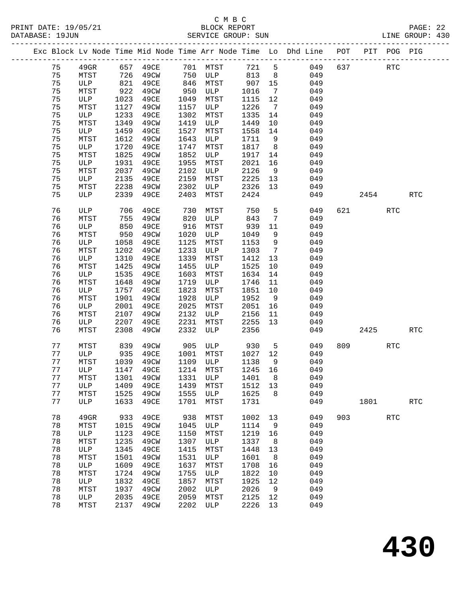#### C M B C<br>BLOCK REPORT SERVICE GROUP: SUN

|  |    |      |      | ---------------------- |      |              |             |                              |                                                                                                  |     |      |             |            |  |
|--|----|------|------|------------------------|------|--------------|-------------|------------------------------|--------------------------------------------------------------------------------------------------|-----|------|-------------|------------|--|
|  |    |      |      |                        |      |              |             |                              | --------------------------<br>Exc Block Lv Node Time Mid Node Time Arr Node Time Lo Dhd Line POT |     |      | PIT POG PIG |            |  |
|  | 75 | 49GR |      | 657 49CE               |      | 701 MTST     | 721 5       |                              | 049                                                                                              | 637 |      | <b>RTC</b>  |            |  |
|  | 75 | MTST | 726  | 49CW                   | 750  | ULP          | 813         | 8                            | 049                                                                                              |     |      |             |            |  |
|  | 75 | ULP  | 821  | 49CE                   | 846  | MTST         | 907         | 15                           | 049                                                                                              |     |      |             |            |  |
|  | 75 | MTST | 922  | 49CW                   | 950  | ULP          | 1016        | $7\phantom{.0}\phantom{.0}7$ | 049                                                                                              |     |      |             |            |  |
|  | 75 | ULP  | 1023 | 49CE                   | 1049 | MTST         | 1115        | 12                           | 049                                                                                              |     |      |             |            |  |
|  | 75 | MTST | 1127 | 49CW                   | 1157 | ULP          | 1226        | $7\phantom{.0}\phantom{.0}7$ | 049                                                                                              |     |      |             |            |  |
|  | 75 | ULP  | 1233 | 49CE                   | 1302 | MTST         | 1335        | 14                           | 049                                                                                              |     |      |             |            |  |
|  | 75 | MTST | 1349 | 49CW                   | 1419 | ULP          | 1449        | 10                           | 049                                                                                              |     |      |             |            |  |
|  | 75 | ULP  | 1459 | 49CE                   | 1527 | MTST         | 1558        | 14                           | 049                                                                                              |     |      |             |            |  |
|  | 75 | MTST | 1612 | 49CW                   | 1643 | ULP          | 1711        | 9                            | 049                                                                                              |     |      |             |            |  |
|  | 75 | ULP  | 1720 | 49CE                   | 1747 | MTST         | 1817        | 8 <sup>8</sup>               | 049                                                                                              |     |      |             |            |  |
|  | 75 | MTST | 1825 | 49CW                   | 1852 | ULP          | 1917        | 14                           | 049                                                                                              |     |      |             |            |  |
|  | 75 | ULP  | 1931 | 49CE                   | 1955 | MTST         | 2021        | 16                           | 049                                                                                              |     |      |             |            |  |
|  | 75 | MTST | 2037 | 49CW                   | 2102 | ULP          | 2126        | 9                            | 049                                                                                              |     |      |             |            |  |
|  | 75 | ULP  | 2135 | 49CE                   | 2159 | MTST         | 2225        | 13                           | 049                                                                                              |     |      |             |            |  |
|  | 75 | MTST | 2238 | 49CW                   | 2302 | ULP          | 2326        | 13                           | 049                                                                                              |     |      |             |            |  |
|  | 75 | ULP  | 2339 | 49CE                   | 2403 | MTST         | 2424        |                              | 049                                                                                              |     | 2454 |             | <b>RTC</b> |  |
|  |    |      |      |                        |      |              |             |                              |                                                                                                  |     |      |             |            |  |
|  | 76 | ULP  | 706  | 49CE                   | 730  | MTST         | 750         | 5                            | 049                                                                                              | 621 |      | <b>RTC</b>  |            |  |
|  | 76 | MTST | 755  | 49CW                   | 820  | ULP          | 843         | $7\overline{ }$              | 049                                                                                              |     |      |             |            |  |
|  | 76 | ULP  | 850  | 49CE                   | 916  | MTST         | 939         | 11                           | 049                                                                                              |     |      |             |            |  |
|  | 76 | MTST | 950  | 49CW                   | 1020 | ULP          | 1049        | 9                            | 049                                                                                              |     |      |             |            |  |
|  | 76 | ULP  | 1058 | 49CE                   | 1125 | MTST         | 1153        | 9                            | 049                                                                                              |     |      |             |            |  |
|  | 76 | MTST | 1202 | 49CW                   | 1233 | ULP          | 1303        | 7                            | 049                                                                                              |     |      |             |            |  |
|  | 76 | ULP  | 1310 | 49CE                   | 1339 | MTST         | 1412        | 13                           | 049                                                                                              |     |      |             |            |  |
|  | 76 | MTST | 1425 | 49CW                   | 1455 | ULP          | 1525        | 10                           | 049                                                                                              |     |      |             |            |  |
|  | 76 | ULP  | 1535 | 49CE                   | 1603 | MTST         | 1634        | 14                           | 049                                                                                              |     |      |             |            |  |
|  | 76 | MTST | 1648 | 49CW                   | 1719 | ULP          | 1746        | 11                           | 049                                                                                              |     |      |             |            |  |
|  | 76 | ULP  | 1757 | 49CE                   | 1823 | MTST         | 1851        | 10                           | 049                                                                                              |     |      |             |            |  |
|  | 76 | MTST | 1901 | 49CW                   | 1928 | ULP          | 1952        | 9                            | 049                                                                                              |     |      |             |            |  |
|  | 76 | ULP  | 2001 | 49CE                   | 2025 | MTST         | 2051        | 16                           | 049                                                                                              |     |      |             |            |  |
|  | 76 | MTST | 2107 | 49CW                   | 2132 | ULP          | 2156        | 11                           | 049                                                                                              |     |      |             |            |  |
|  | 76 | ULP  | 2207 | 49CE                   | 2231 | MTST         | 2255        | 13                           | 049                                                                                              |     |      |             |            |  |
|  | 76 | MTST | 2308 | 49CW                   | 2332 | ULP          | 2356        |                              | 049                                                                                              |     | 2425 |             | <b>RTC</b> |  |
|  | 77 | MTST | 839  | 49CW                   | 905  | ULP          |             |                              | 049                                                                                              | 809 |      | <b>RTC</b>  |            |  |
|  | 77 | ULP  | 935  | 49CE                   | 1001 |              | 930<br>1027 | 5<br>12                      | 049                                                                                              |     |      |             |            |  |
|  | 77 | MTST | 1039 |                        | 1109 | MTST<br>ULP  | 1138        | 9                            | 049                                                                                              |     |      |             |            |  |
|  | 77 | ULP  | 1147 | 49CW<br>49CE           | 1214 | MTST         | 1245 16     |                              | 049                                                                                              |     |      |             |            |  |
|  |    |      |      |                        |      |              |             |                              |                                                                                                  |     |      |             |            |  |
|  | 77 | MTST | 1301 | 49CW                   | 1331 | ULP          | 1401        | 8                            | 049                                                                                              |     |      |             |            |  |
|  | 77 | ULP  | 1409 | 49CE                   | 1439 | MTST         | 1512        | 13                           | 049                                                                                              |     |      |             |            |  |
|  | 77 | MTST | 1525 | 49CW                   | 1555 | ULP          | 1625        | 8                            | 049                                                                                              |     |      |             |            |  |
|  | 77 | ULP  | 1633 | 49CE                   | 1701 | MTST         | 1731        |                              | 049                                                                                              |     | 1801 |             | <b>RTC</b> |  |
|  | 78 | 49GR | 933  | 49CE                   | 938  | MTST         | 1002        | 13                           | 049                                                                                              | 903 |      | <b>RTC</b>  |            |  |
|  | 78 | MTST | 1015 | 49CW                   | 1045 | ULP          | 1114        | 9                            | 049                                                                                              |     |      |             |            |  |
|  | 78 | ULP  | 1123 | 49CE                   | 1150 | ${\tt MTST}$ | 1219        | 16                           | 049                                                                                              |     |      |             |            |  |
|  | 78 | MTST | 1235 | 49CW                   | 1307 | ULP          | 1337        | 8                            | 049                                                                                              |     |      |             |            |  |
|  | 78 | ULP  | 1345 | 49CE                   | 1415 | MTST         | 1448        | 13                           | 049                                                                                              |     |      |             |            |  |
|  | 78 | MTST | 1501 | 49CW                   | 1531 | ULP          | 1601        | 8                            | 049                                                                                              |     |      |             |            |  |
|  | 78 | ULP  | 1609 | 49CE                   | 1637 | MTST         | 1708        | 16                           | 049                                                                                              |     |      |             |            |  |
|  | 78 | MTST | 1724 | 49CW                   | 1755 | ULP          | 1822        | 10                           | 049                                                                                              |     |      |             |            |  |
|  | 78 | ULP  | 1832 | 49CE                   | 1857 | MTST         | 1925        | 12                           | 049                                                                                              |     |      |             |            |  |
|  | 78 | MTST | 1937 | 49CW                   | 2002 | ULP          | 2026        | 9                            | 049                                                                                              |     |      |             |            |  |
|  |    |      |      |                        |      |              |             |                              |                                                                                                  |     |      |             |            |  |

 78 ULP 2035 49CE 2059 MTST 2125 12 049 78 MTST 2137 49CW 2202 ULP 2226 13 049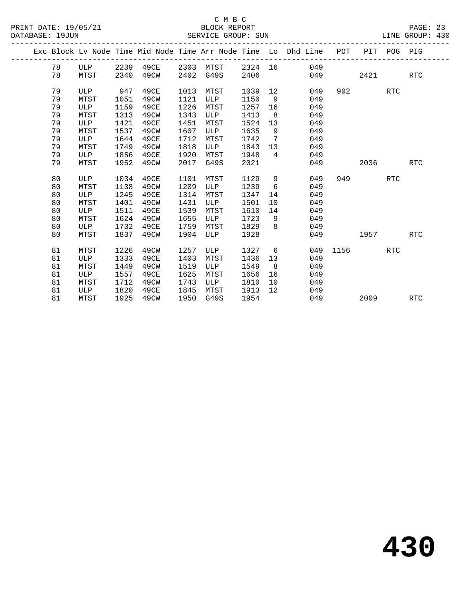|  |    |            |      |           |      |      |         |                   | Exc Block Lv Node Time Mid Node Time Arr Node Time Lo Dhd Line POT |      |      | PIT POG PIG |            |
|--|----|------------|------|-----------|------|------|---------|-------------------|--------------------------------------------------------------------|------|------|-------------|------------|
|  | 78 | ULP        |      | 2239 49CE | 2303 | MTST | 2324 16 |                   | 049                                                                |      |      |             |            |
|  | 78 | MTST       | 2340 | 49CW      | 2402 | G49S | 2406    |                   | 049                                                                |      | 2421 |             | <b>RTC</b> |
|  |    |            |      |           |      |      |         |                   |                                                                    |      |      |             |            |
|  | 79 | ULP        | 947  | 49CE      | 1013 | MTST | 1039    | $12 \overline{ }$ | 049                                                                | 902  |      | <b>RTC</b>  |            |
|  | 79 | MTST       | 1051 | 49CW      | 1121 | ULP  | 1150    | - 9               | 049                                                                |      |      |             |            |
|  | 79 | ULP        | 1159 | 49CE      | 1226 | MTST | 1257    | 16                | 049                                                                |      |      |             |            |
|  | 79 | MTST       | 1313 | 49CW      | 1343 | ULP  | 1413    | 8                 | 049                                                                |      |      |             |            |
|  | 79 | ULP        | 1421 | 49CE      | 1451 | MTST | 1524    | 13                | 049                                                                |      |      |             |            |
|  | 79 | MTST       | 1537 | 49CW      | 1607 | ULP  | 1635    | - 9               | 049                                                                |      |      |             |            |
|  | 79 | ULP        | 1644 | 49CE      | 1712 | MTST | 1742    | 7                 | 049                                                                |      |      |             |            |
|  | 79 | MTST       | 1749 | 49CW      | 1818 | ULP  | 1843    | 13                | 049                                                                |      |      |             |            |
|  | 79 | ULP        | 1856 | 49CE      | 1920 | MTST | 1948    | $\overline{4}$    | 049                                                                |      |      |             |            |
|  | 79 | MTST       | 1952 | 49CW      | 2017 | G49S | 2021    |                   | 049                                                                |      | 2036 |             | RTC        |
|  |    |            |      |           |      |      |         |                   |                                                                    |      |      |             |            |
|  | 80 | ULP        | 1034 | 49CE      | 1101 | MTST | 1129    | 9                 | 049                                                                | 949  |      | <b>RTC</b>  |            |
|  | 80 | MTST       | 1138 | 49CW      | 1209 | ULP  | 1239    | 6                 | 049                                                                |      |      |             |            |
|  | 80 | ULP        | 1245 | 49CE      | 1314 | MTST | 1347    | 14                | 049                                                                |      |      |             |            |
|  | 80 | MTST       | 1401 | 49CW      | 1431 | ULP  | 1501    | 10                | 049                                                                |      |      |             |            |
|  | 80 | ULP        | 1511 | 49CE      | 1539 | MTST | 1610    | 14                | 049                                                                |      |      |             |            |
|  | 80 | MTST       | 1624 | 49CW      | 1655 | ULP  | 1723    | 9                 | 049                                                                |      |      |             |            |
|  | 80 | ULP        | 1732 | 49CE      | 1759 | MTST | 1829    | $\mathsf{R}$      | 049                                                                |      |      |             |            |
|  | 80 | MTST       | 1837 | 49CW      | 1904 | ULP  | 1928    |                   | 049                                                                |      | 1957 |             | RTC        |
|  | 81 | MTST       | 1226 | 49CW      | 1257 | ULP  | 1327    | 6                 | 049                                                                | 1156 |      | <b>RTC</b>  |            |
|  | 81 | ULP        | 1333 | 49CE      | 1403 | MTST | 1436    | 13                | 049                                                                |      |      |             |            |
|  | 81 | MTST       | 1449 | 49CW      | 1519 | ULP  | 1549    | 8                 | 049                                                                |      |      |             |            |
|  |    |            |      |           |      |      |         |                   |                                                                    |      |      |             |            |
|  | 81 | <b>ULP</b> | 1557 | 49CE      | 1625 | MTST | 1656    | 16                | 049                                                                |      |      |             |            |
|  | 81 | MTST       | 1712 | 49CW      | 1743 | ULP  | 1810    | 10                | 049                                                                |      |      |             |            |
|  | 81 | ULP        | 1820 | 49CE      | 1845 | MTST | 1913    | 12                | 049                                                                |      |      |             |            |
|  | 81 | MTST       | 1925 | 49CW      | 1950 | G49S | 1954    |                   | 049                                                                |      | 2009 |             | RTC        |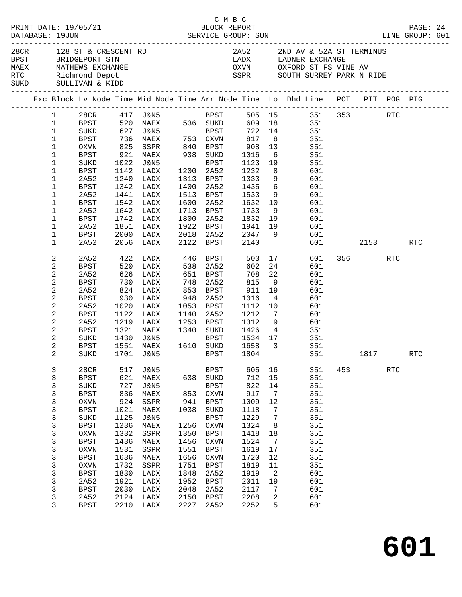|  |                          |                     |      |                                                                                                                         |              |                      | C M B C                                |                      |                                                                                                                     |     |         |            |            |  |
|--|--------------------------|---------------------|------|-------------------------------------------------------------------------------------------------------------------------|--------------|----------------------|----------------------------------------|----------------------|---------------------------------------------------------------------------------------------------------------------|-----|---------|------------|------------|--|
|  |                          |                     |      | 28CR 128 ST & CRESCENT RD<br>BPST BRIDGEPORT STN<br>MAEX MATHEWS EXCHANGE<br>RTC Richmond Depot<br>SUKD SULLIVAN & KIDD |              |                      |                                        |                      | 2A52 2ND AV & 52A ST TERMINUS<br>LADX LADNER EXCHANGE<br>OXVN OXFORD ST FS VINE AV<br>SSPR SOUTH SURREY PARK N RIDE |     |         |            |            |  |
|  |                          |                     |      |                                                                                                                         |              |                      |                                        |                      | Exc Block Lv Node Time Mid Node Time Arr Node Time Lo Dhd Line POT PIT POG PIG                                      |     |         |            |            |  |
|  | $1 \quad \blacksquare$   |                     |      |                                                                                                                         |              |                      |                                        |                      | 28CR 417 J&N5 BPST 505 15 351 353 RTC                                                                               |     |         |            |            |  |
|  | $\mathbf{1}$             |                     |      |                                                                                                                         |              |                      |                                        |                      | BPST 520 MAEX 536 SUKD 609 18 351                                                                                   |     |         |            |            |  |
|  | $\mathbf{1}$             |                     |      | SUKD 627 J&N5 BPST<br>BPST 736 MAEX 753 OXVN<br>OXVN 825 SSPR 840 BPST                                                  |              |                      |                                        |                      | BPST 722 14 351                                                                                                     |     |         |            |            |  |
|  | $\mathbf{1}$             |                     |      |                                                                                                                         |              |                      |                                        |                      | 351<br>351                                                                                                          |     |         |            |            |  |
|  | $\mathbf{1}$             |                     |      |                                                                                                                         |              |                      |                                        |                      |                                                                                                                     |     |         |            |            |  |
|  | $\mathbf{1}$             | BPST                |      | 921 MAEX 938 SUKD                                                                                                       |              |                      |                                        |                      | 6 351                                                                                                               |     |         |            |            |  |
|  | 1                        | SUKD                |      | 1022 J&N5                                                                                                               |              | BPST                 | 1123 19                                |                      | 351                                                                                                                 |     |         |            |            |  |
|  | 1                        | <b>BPST</b>         |      | 1142 LADX                                                                                                               |              | 1200 2A52            | 1232<br>1333                           | 8 <sup>8</sup>       | 601                                                                                                                 |     |         |            |            |  |
|  | 1                        | 2A52                |      | 1240 LADX                                                                                                               |              | 1313 BPST            |                                        | 9                    | 601                                                                                                                 |     |         |            |            |  |
|  | 1                        | BPST                |      | 1342 LADX                                                                                                               |              | 1400 2A52            | $\frac{1}{1435}$ 6                     |                      | 601                                                                                                                 |     |         |            |            |  |
|  | 1                        | 2A52                |      | 1441 LADX                                                                                                               | 1600         |                      | 1513 BPST 1533                         | 9                    | 601                                                                                                                 |     |         |            |            |  |
|  | 1                        | BPST                |      | 1542 LADX<br>1642 LADX                                                                                                  |              | 2A52<br>1713 BPST    |                                        |                      | 1632 10 601<br>1733 9 601                                                                                           |     |         |            |            |  |
|  | 1<br>1                   | 2A52<br><b>BPST</b> |      | 1742 LADX                                                                                                               |              | 1800 2A52            |                                        |                      | $1832$ 19 601                                                                                                       |     |         |            |            |  |
|  | 1                        | 2A52                |      | 1851 LADX                                                                                                               |              |                      | 1922 BPST 1941 19                      |                      | 601                                                                                                                 |     |         |            |            |  |
|  | 1                        | BPST                |      | 2000 LADX                                                                                                               |              |                      |                                        |                      |                                                                                                                     |     |         |            |            |  |
|  | $\mathbf 1$              | 2A52                |      | 2056 LADX                                                                                                               |              |                      |                                        |                      | 2018 2A52 2047 9 601<br>2122 BPST 2140 601<br>601 000                                                               |     | 2153    |            | RTC        |  |
|  |                          |                     |      |                                                                                                                         |              |                      |                                        |                      |                                                                                                                     |     |         |            |            |  |
|  | 2                        | 2A52                |      | 422 LADX 446 BPST                                                                                                       |              |                      |                                        |                      | 503 17<br>601                                                                                                       |     | 356 RTC |            |            |  |
|  | 2                        | <b>BPST</b>         | 520  | LADX                                                                                                                    | 538          | 2A52                 | 602                                    |                      | 24<br>601                                                                                                           |     |         |            |            |  |
|  | $\sqrt{2}$               | 2A52                |      | 626 LADX<br>730 LADX                                                                                                    |              | 651 BPST<br>748 2A52 | 708<br>815                             | 22                   | 601                                                                                                                 |     |         |            |            |  |
|  | $\sqrt{2}$               | BPST                |      |                                                                                                                         |              |                      |                                        | 9                    | 601                                                                                                                 |     |         |            |            |  |
|  | $\overline{c}$           | 2A52                |      | 824 LADX                                                                                                                |              | 853 BPST             | 911 19                                 |                      | 601                                                                                                                 |     |         |            |            |  |
|  | 2                        | BPST                |      | 930 LADX                                                                                                                | 948          | 2A52                 | 1016                                   | $\overline{4}$       | 601                                                                                                                 |     |         |            |            |  |
|  | $\sqrt{2}$<br>$\sqrt{2}$ | 2A52                |      | 1020 LADX                                                                                                               | 1140         | 1053 BPST            | 1112<br>1212                           | 10<br>$\overline{7}$ | 601                                                                                                                 |     |         |            |            |  |
|  | $\overline{a}$           | BPST<br>2A52        |      | 1122 LADX<br>1219 LADX                                                                                                  |              | 2A52                 | 1253 BPST 1312 9                       |                      | 601<br>601                                                                                                          |     |         |            |            |  |
|  | 2                        | BPST                |      | 1321 MAEX                                                                                                               |              |                      | 1340 SUKD 1426                         |                      | 4 351                                                                                                               |     |         |            |            |  |
|  | $\sqrt{2}$               | SUKD                | 1430 | J&N5                                                                                                                    |              | BPST                 |                                        |                      |                                                                                                                     |     |         |            |            |  |
|  | 2                        | BPST                |      | 1551 MAEX                                                                                                               |              | BPST<br>1610 SUKD    | 1534 17<br>1658 <sup>2</sup><br>1658 3 |                      | 351<br>351                                                                                                          |     |         |            |            |  |
|  | 2                        |                     |      |                                                                                                                         |              |                      |                                        |                      | SUKD 1701 J&N5 BPST 1804 351 1817                                                                                   |     |         |            | <b>RTC</b> |  |
|  |                          |                     |      |                                                                                                                         |              |                      |                                        |                      |                                                                                                                     |     |         |            |            |  |
|  | 3                        | 28CR                | 517  | J&N5                                                                                                                    |              | BPST                 | 605                                    | 16                   | 351                                                                                                                 | 453 |         | <b>RTC</b> |            |  |
|  | 3                        | <b>BPST</b>         | 621  | MAEX                                                                                                                    | 638          | SUKD                 | 712                                    | 15                   | 351                                                                                                                 |     |         |            |            |  |
|  | 3                        | SUKD                | 727  | <b>J&amp;N5</b>                                                                                                         |              | <b>BPST</b>          | 822                                    | 14                   | 351                                                                                                                 |     |         |            |            |  |
|  | 3                        | <b>BPST</b>         | 836  | MAEX                                                                                                                    | 853          | OXVN                 | 917                                    | 7                    | 351                                                                                                                 |     |         |            |            |  |
|  | $\mathsf 3$              | <b>OXVN</b>         | 924  | SSPR                                                                                                                    | 941          | <b>BPST</b>          | 1009                                   | 12                   | 351                                                                                                                 |     |         |            |            |  |
|  | $\mathsf 3$              | <b>BPST</b>         | 1021 | MAEX                                                                                                                    | 1038         | SUKD                 | 1118                                   | 7                    | 351                                                                                                                 |     |         |            |            |  |
|  | 3                        | SUKD                | 1125 | <b>J&amp;N5</b>                                                                                                         |              | <b>BPST</b>          | 1229                                   | 7                    | 351                                                                                                                 |     |         |            |            |  |
|  | $\mathsf 3$              | <b>BPST</b>         | 1236 | MAEX                                                                                                                    | 1256         | OXVN                 | 1324                                   | 8                    | 351                                                                                                                 |     |         |            |            |  |
|  | $\mathsf 3$              | <b>OXVN</b>         | 1332 | SSPR                                                                                                                    | 1350         | <b>BPST</b>          | 1418                                   | 18                   | 351                                                                                                                 |     |         |            |            |  |
|  | $\mathsf 3$              | <b>BPST</b>         | 1436 | MAEX                                                                                                                    | 1456         | <b>OXVN</b>          | 1524                                   | $7\phantom{.0}$      | 351                                                                                                                 |     |         |            |            |  |
|  | $\mathsf 3$              | <b>OXVN</b>         | 1531 | SSPR                                                                                                                    | 1551         | <b>BPST</b>          | 1619                                   | 17                   | 351                                                                                                                 |     |         |            |            |  |
|  | $\mathsf 3$              | <b>BPST</b>         | 1636 | MAEX                                                                                                                    | 1656         | OXVN                 | 1720                                   | 12                   | 351                                                                                                                 |     |         |            |            |  |
|  | $\mathsf 3$              | <b>OXVN</b>         | 1732 | SSPR                                                                                                                    | 1751         | BPST                 | 1819                                   | 11                   | 351                                                                                                                 |     |         |            |            |  |
|  | $\mathsf 3$              | <b>BPST</b>         | 1830 | LADX                                                                                                                    | 1848         | 2A52                 | 1919                                   | 2                    | 601                                                                                                                 |     |         |            |            |  |
|  | $\mathsf 3$              | 2A52                | 1921 | LADX                                                                                                                    | 1952         | <b>BPST</b>          | 2011                                   | 19                   | 601                                                                                                                 |     |         |            |            |  |
|  | 3                        | <b>BPST</b>         | 2030 | LADX                                                                                                                    | 2048         | 2A52                 | 2117                                   | 7                    | 601                                                                                                                 |     |         |            |            |  |
|  | 3<br>3                   | 2A52                | 2124 | LADX<br>2210 LADX                                                                                                       | 2150<br>2227 | BPST                 | 2208<br>2252                           | 2<br>5               | 601<br>601                                                                                                          |     |         |            |            |  |
|  |                          | <b>BPST</b>         |      |                                                                                                                         |              | 2A52                 |                                        |                      |                                                                                                                     |     |         |            |            |  |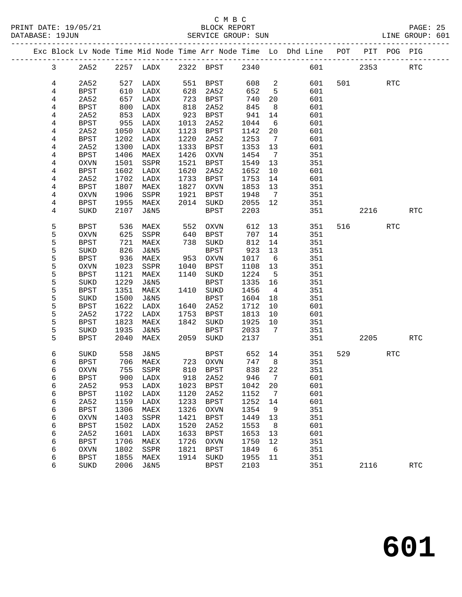### C M B C<br>BLOCK REPORT SERVICE GROUP: SUN LINE GROUP: 601

-------------------------------------------------------------------------------------------------

|  |                         |                            |              |                         |              | Exc Block Lv Node Time Mid Node Time Arr Node Time Lo |              |                 | Dhd Line   | POT | PIT  | POG        | PIG                  |
|--|-------------------------|----------------------------|--------------|-------------------------|--------------|-------------------------------------------------------|--------------|-----------------|------------|-----|------|------------|----------------------|
|  | $\mathsf{3}$            | 2A52                       | 2257         | LADX                    | 2322         | <b>BPST</b>                                           | 2340         |                 | 601        |     | 2353 |            | RTC                  |
|  | 4                       | 2A52                       | 527          | LADX                    | 551          | <b>BPST</b>                                           | 608          | 2               | 601        | 501 |      | <b>RTC</b> |                      |
|  | 4                       | <b>BPST</b>                | 610          | LADX                    | 628          | 2A52                                                  | 652          | 5               | 601        |     |      |            |                      |
|  | 4                       | 2A52                       | 657          | LADX                    | 723          | <b>BPST</b>                                           | 740          | 20              | 601        |     |      |            |                      |
|  | 4                       | <b>BPST</b>                | 800          | LADX                    | 818          | 2A52                                                  | 845          | 8               | 601        |     |      |            |                      |
|  | 4                       | 2A52                       | 853          | LADX                    | 923          | <b>BPST</b>                                           | 941          | 14              | 601        |     |      |            |                      |
|  | 4                       | <b>BPST</b>                | 955          | LADX                    | 1013         | 2A52                                                  | 1044         | 6               | 601        |     |      |            |                      |
|  | 4                       | 2A52                       | 1050         | LADX                    | 1123         | <b>BPST</b>                                           | 1142         | 20              | 601        |     |      |            |                      |
|  | 4                       | <b>BPST</b>                | 1202         | LADX                    | 1220         | 2A52                                                  | 1253         | $7\phantom{.0}$ | 601        |     |      |            |                      |
|  | 4                       | 2A52                       | 1300         | LADX                    | 1333         | <b>BPST</b>                                           | 1353         | 13              | 601        |     |      |            |                      |
|  | 4                       | <b>BPST</b>                | 1406         | MAEX                    | 1426         | <b>OXVN</b>                                           | 1454         | 7               | 351        |     |      |            |                      |
|  | $\overline{\mathbf{4}}$ | <b>OXVN</b>                | 1501         | SSPR                    | 1521         | <b>BPST</b>                                           | 1549         | 13              | 351        |     |      |            |                      |
|  | 4                       | <b>BPST</b>                | 1602         | LADX                    | 1620         | 2A52                                                  | 1652         | 10              | 601        |     |      |            |                      |
|  | 4                       | 2A52                       | 1702         | LADX                    | 1733         | <b>BPST</b>                                           | 1753         | 14              | 601        |     |      |            |                      |
|  | 4                       | <b>BPST</b>                | 1807         | MAEX                    | 1827         | <b>OXVN</b>                                           | 1853         | 13              | 351        |     |      |            |                      |
|  | 4                       | <b>OXVN</b>                | 1906         | SSPR                    | 1921         | <b>BPST</b>                                           | 1948         | 7               | 351        |     |      |            |                      |
|  | 4                       | <b>BPST</b>                | 1955         | MAEX                    | 2014         | SUKD                                                  | 2055         | 12              | 351        |     |      |            |                      |
|  | 4                       | SUKD                       | 2107         | <b>J&amp;N5</b>         |              | <b>BPST</b>                                           | 2203         |                 | 351        |     | 2216 |            | $\operatorname{RTC}$ |
|  | 5                       | <b>BPST</b>                | 536          | MAEX                    | 552          | <b>OXVN</b>                                           | 612          | 13              | 351        | 516 |      | <b>RTC</b> |                      |
|  | 5                       | <b>OXVN</b>                | 625          | SSPR                    | 640          | <b>BPST</b>                                           | 707          | 14              | 351        |     |      |            |                      |
|  | 5                       | <b>BPST</b>                | 721          | MAEX                    | 738          | SUKD                                                  | 812          | 14              | 351        |     |      |            |                      |
|  | 5                       | SUKD                       | 826          | <b>J&amp;N5</b>         |              | <b>BPST</b>                                           | 923          | 13              | 351        |     |      |            |                      |
|  | 5                       | <b>BPST</b>                | 936          | MAEX                    | 953          | <b>OXVN</b>                                           | 1017         | $6\phantom{1}6$ | 351        |     |      |            |                      |
|  | 5                       | <b>OXVN</b>                | 1023         | SSPR                    | 1040         | <b>BPST</b>                                           | 1108         | 13              | 351        |     |      |            |                      |
|  | 5                       | <b>BPST</b>                | 1121         | MAEX                    | 1140         | SUKD                                                  | 1224         | 5               | 351        |     |      |            |                      |
|  | 5                       | SUKD                       | 1229         | <b>J&amp;N5</b>         |              | <b>BPST</b>                                           | 1335         | 16              | 351        |     |      |            |                      |
|  | 5                       | <b>BPST</b>                | 1351         | MAEX                    | 1410         | $\rm SUKD$                                            | 1456         | 4               | 351        |     |      |            |                      |
|  | 5                       | SUKD                       | 1500         | <b>J&amp;N5</b>         |              | <b>BPST</b>                                           | 1604         | 18              | 351        |     |      |            |                      |
|  | 5                       | <b>BPST</b>                | 1622         | LADX                    | 1640         | 2A52                                                  | 1712         | 10              | 601        |     |      |            |                      |
|  | 5                       | 2A52                       | 1722         | LADX                    | 1753         | <b>BPST</b>                                           | 1813         | 10              | 601        |     |      |            |                      |
|  | 5                       | <b>BPST</b>                | 1823         | MAEX                    | 1842         | SUKD                                                  | 1925         | 10              | 351        |     |      |            |                      |
|  | 5                       | SUKD                       | 1935         | <b>J&amp;N5</b>         |              | <b>BPST</b>                                           | 2033         | 7               | 351        |     |      |            |                      |
|  | 5                       | <b>BPST</b>                | 2040         | MAEX                    | 2059         | SUKD                                                  | 2137         |                 | 351        |     | 2205 |            | $\operatorname{RTC}$ |
|  | 6                       | SUKD                       | 558          | <b>J&amp;N5</b>         |              | <b>BPST</b>                                           | 652          | 14              | 351        | 529 |      | RTC        |                      |
|  | 6                       | <b>BPST</b>                | 706          | MAEX                    | 723          | <b>OXVN</b>                                           | 747          | 8               | 351        |     |      |            |                      |
|  | 6                       | OXVN                       | 755          | SSPR                    | 810          | <b>BPST</b>                                           | 838          | 22              | 351        |     |      |            |                      |
|  | 6                       | <b>BPST</b>                | 900          | LADX                    | 918          | 2A52                                                  | 946          | 7               | 601        |     |      |            |                      |
|  | 6                       | 2A52                       | 953          | LADX                    | 1023         | BPST                                                  | 1042         | 20              | 601        |     |      |            |                      |
|  | 6                       | BPST                       | 1102         | LADX                    | 1120         | 2A52                                                  | 1152         | 7               | 601        |     |      |            |                      |
|  | 6                       | 2A52                       | 1159         | LADX                    | 1233         | <b>BPST</b>                                           | 1252         | 14              | 601        |     |      |            |                      |
|  | 6                       | <b>BPST</b>                | 1306         | MAEX                    | 1326         | <b>OXVN</b>                                           | 1354         | 9               | 351        |     |      |            |                      |
|  | 6                       | <b>OXVN</b>                | 1403         | SSPR                    | 1421         | <b>BPST</b>                                           | 1449         | 13              | 351        |     |      |            |                      |
|  | 6                       | <b>BPST</b>                | 1502         | LADX                    | 1520         | 2A52                                                  | 1553         | 8               | 601        |     |      |            |                      |
|  | 6                       | 2A52                       | 1601         | LADX                    | 1633         | <b>BPST</b>                                           | 1653         | 13              | 601        |     |      |            |                      |
|  | 6                       | <b>BPST</b>                | 1706         | MAEX                    | 1726         | <b>OXVN</b>                                           | 1750         | 12              | 351        |     |      |            |                      |
|  | 6<br>6                  | <b>OXVN</b><br><b>BPST</b> | 1802<br>1855 | SSPR                    | 1821<br>1914 | <b>BPST</b>                                           | 1849<br>1955 | 6<br>11         | 351<br>351 |     |      |            |                      |
|  | 6                       | SUKD                       | 2006         | MAEX<br><b>J&amp;N5</b> |              | SUKD<br><b>BPST</b>                                   | 2103         |                 | 351        |     | 2116 |            | <b>RTC</b>           |
|  |                         |                            |              |                         |              |                                                       |              |                 |            |     |      |            |                      |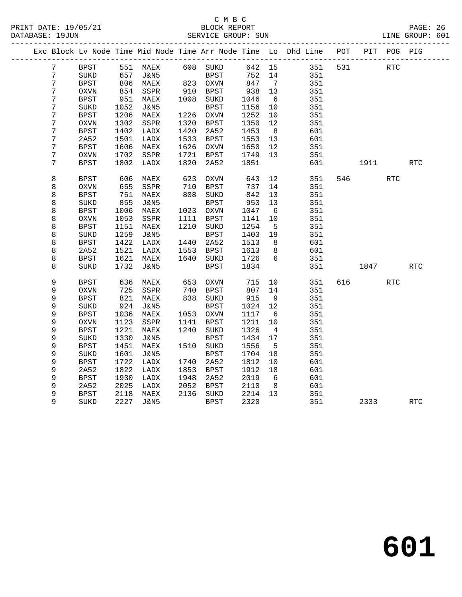#### C M B C<br>BLOCK REPORT PRINT DATE: 19/05/21 BLOCK REPORT PAGE: 26 SERVICE GROUP: SUN

|  |                  |             |                 |                   |            |                  |        |                 | Exc Block Lv Node Time Mid Node Time Arr Node Time Lo Dhd Line POT |     |         | PIT POG PIG |            |
|--|------------------|-------------|-----------------|-------------------|------------|------------------|--------|-----------------|--------------------------------------------------------------------|-----|---------|-------------|------------|
|  | 7                | BPST        |                 | 551 MAEX 608 SUKD |            |                  | 642 15 |                 | 351                                                                | 531 |         | RTC         |            |
|  | 7                | SUKD        |                 | J&N5              |            | BPST<br>823 OXVN | 752    | 14              | 351                                                                |     |         |             |            |
|  | 7                | <b>BPST</b> | $\frac{6}{806}$ | MAEX              |            |                  | 847    | $\overline{7}$  | 351                                                                |     |         |             |            |
|  | $\boldsymbol{7}$ | $\rm OXVN$  | 854             | SSPR              |            | 910 BPST         | 938    | 13              | 351                                                                |     |         |             |            |
|  | $\boldsymbol{7}$ | <b>BPST</b> | 951             | MAEX              |            | 1008 SUKD        | 1046   | 6               | 351                                                                |     |         |             |            |
|  | $\overline{7}$   | SUKD        | 1052            | J&N5              |            | BPST             | 1156   | 10              | 351                                                                |     |         |             |            |
|  | 7                | <b>BPST</b> | 1206            | MAEX              |            | 1226 OXVN        | 1252   | 10              | 351                                                                |     |         |             |            |
|  | 7                | $\rm OXVN$  | 1302            | SSPR              | 1320       | BPST             | 1350   | 12              | 351                                                                |     |         |             |            |
|  | $\boldsymbol{7}$ | <b>BPST</b> | 1402            | LADX              | 1420       | 2A52             | 1453   | 8 <sup>8</sup>  | 601                                                                |     |         |             |            |
|  | 7                | 2A52        | 1501            | LADX              | 1533       | BPST             | 1553   | 13              | 601                                                                |     |         |             |            |
|  | 7                | <b>BPST</b> | 1606            | MAEX              | 1626       | OXVN             | 1650   | 12              | 351                                                                |     |         |             |            |
|  | 7                | <b>OXVN</b> | 1702            | SSPR              | 1721       | BPST             | 1749   | 13              | 351                                                                |     |         |             |            |
|  | 7                | <b>BPST</b> | 1802            | LADX              | 1820       | 2A52             | 1851   |                 | 601                                                                |     | 1911    |             | <b>RTC</b> |
|  | 8                | <b>BPST</b> | 606             | MAEX              | 623<br>710 | OXVN             | 643    | 12              | 351                                                                |     | 546 540 | <b>RTC</b>  |            |
|  | 8                | <b>OXVN</b> | 655             | SSPR              |            | BPST             | 737    | 14              | 351                                                                |     |         |             |            |
|  | 8                | <b>BPST</b> | 751             | MAEX              | 808        | SUKD             | 842    | 13              | 351                                                                |     |         |             |            |
|  | 8                | SUKD        | 855             | J&N5              |            | BPST             | 953    | 13              | 351                                                                |     |         |             |            |
|  | 8                | <b>BPST</b> | 1006            | MAEX              |            | 1023 OXVN        | 1047   | $6\overline{6}$ | 351                                                                |     |         |             |            |
|  | 8                | <b>OXVN</b> | 1053            | SSPR              | 1111       | BPST             | 1141   | 10              | 351                                                                |     |         |             |            |
|  | 8                | <b>BPST</b> | 1151            | MAEX              | 1210       | SUKD             | 1254   | $5^{\circ}$     | 351                                                                |     |         |             |            |
|  | 8                | SUKD        | 1259            | J&N5              |            | BPST             | 1403   | 19              | 351                                                                |     |         |             |            |
|  | 8                | <b>BPST</b> | 1422            | LADX              | 1440       | 2A52             | 1513   | 8 <sup>8</sup>  | 601                                                                |     |         |             |            |
|  | 8                | 2A52        | 1521            | LADX              |            | 1553 BPST        | 1613   | 8 <sup>8</sup>  | 601                                                                |     |         |             |            |
|  | 8                | <b>BPST</b> | 1621            | MAEX              |            | 1640 SUKD        | 1726   | 6               | 351                                                                |     |         |             |            |
|  | 8                | SUKD        | 1732            | J&N5              |            | BPST             | 1834   |                 | 351                                                                |     | 1847    |             | RTC        |
|  | 9                | BPST        | 636             | MAEX              | 653<br>740 | OXVN             | 715    | 10              | 351                                                                | 616 |         | <b>RTC</b>  |            |
|  | 9                | OXVN        | 725             | SSPR              |            | BPST             | 807    | 14              | 351                                                                |     |         |             |            |
|  | 9                | <b>BPST</b> | 821             | MAEX              |            | 838 SUKD         | 915    | - 9             | 351                                                                |     |         |             |            |
|  | 9                | SUKD        | 924             | J&N5              |            | <b>BPST</b>      | 1024   | 12              | 351                                                                |     |         |             |            |
|  | 9                | <b>BPST</b> | 1036            | MAEX              |            | 1053 OXVN        | 1117   | 6               | 351                                                                |     |         |             |            |
|  | 9                | <b>OXVN</b> | 1123            | SSPR              | 1141       | BPST             | 1211   | 10              | 351                                                                |     |         |             |            |
|  | 9                | <b>BPST</b> | 1221            | MAEX              | 1240       | SUKD             | 1326   | $\overline{4}$  | 351                                                                |     |         |             |            |
|  | 9                | SUKD        | 1330            | J&N5              |            | <b>BPST</b>      | 1434   | 17              | 351                                                                |     |         |             |            |
|  | 9                | <b>BPST</b> | 1451            | MAEX              |            | 1510 SUKD        | 1556   | 5               | 351                                                                |     |         |             |            |
|  | 9                | SUKD        | 1601            | J&N5              |            | <b>BPST</b>      | 1704   | 18              | 351                                                                |     |         |             |            |
|  | 9                | <b>BPST</b> | 1722            | LADX              | 1740       | 2A52             | 1812   | 10              | 601                                                                |     |         |             |            |
|  | 9                | 2A52        | 1822            | LADX              | 1853       | BPST             | 1912   | 18              | 601                                                                |     |         |             |            |
|  | 9                | <b>BPST</b> | 1930            | LADX              | 1948       | 2A52             | 2019   | $6\overline{6}$ | 601                                                                |     |         |             |            |
|  | 9                | 2A52        | 2025            | LADX              | 2052       | BPST             | 2110   | 8 <sup>8</sup>  | 601                                                                |     |         |             |            |
|  | 9                | <b>BPST</b> | 2118            | MAEX              |            | 2136 SUKD        | 2214   | 13              | 351                                                                |     |         |             |            |
|  | 9                | SUKD        | 2227            | J&N5              |            | BPST             | 2320   |                 | 351                                                                |     | 2333    |             | <b>RTC</b> |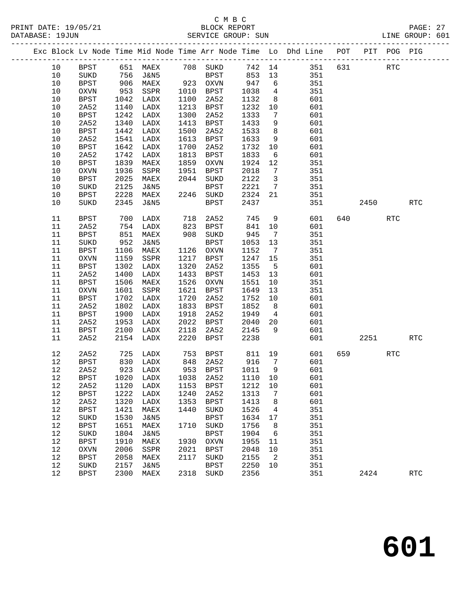#### C M B C<br>BLOCK REPORT PRINT DATE: 19/05/21 BLOCK REPORT PAGE: 27 SERVICE GROUP: SUN

|  |      |             |      |                                  |      |                                               |                   |                         | Exc Block Lv Node Time Mid Node Time Arr Node Time Lo Dhd Line POT PIT POG PIG |        |            |                      |  |
|--|------|-------------|------|----------------------------------|------|-----------------------------------------------|-------------------|-------------------------|--------------------------------------------------------------------------------|--------|------------|----------------------|--|
|  | 10   |             |      |                                  |      |                                               |                   |                         | BPST 651 MAEX 708 SUKD 742 14 351 631                                          |        | RTC        |                      |  |
|  | 10   | SUKD        |      | 756 J&N5                         |      | BPST 853 13                                   |                   |                         | 351                                                                            |        |            |                      |  |
|  | 10   | <b>BPST</b> |      | 906 MAEX                         |      | 923 OXVN                                      | 947               | 6                       | 351                                                                            |        |            |                      |  |
|  | 10   | OXVN        | 953  |                                  |      |                                               | 1038              | $\overline{4}$          | 351                                                                            |        |            |                      |  |
|  | 10   | BPST        | 1042 | SSPR 1010 BPST<br>LADX 1100 2A52 |      |                                               | 1132              | 8 <sup>8</sup>          | 601                                                                            |        |            |                      |  |
|  | $10$ | 2A52        | 1140 | LADX                             |      | 1213 BPST                                     | 1232              | 10                      | 601                                                                            |        |            |                      |  |
|  | 10   | BPST        | 1242 | LADX                             | 1300 | 2A52                                          | 1333              | $\overline{7}$          | 601                                                                            |        |            |                      |  |
|  | 10   | 2A52        | 1340 | LADX                             |      | 1413 BPST                                     | 1433              | 9                       | 601                                                                            |        |            |                      |  |
|  | 10   | BPST        | 1442 | LADX                             | 1500 | 2A52                                          | 1533              | 8 <sup>8</sup>          | 601                                                                            |        |            |                      |  |
|  | 10   | 2A52        | 1541 | LADX                             |      | 1613 BPST                                     | 1633              | 9                       | 601                                                                            |        |            |                      |  |
|  | 10   | BPST        | 1642 | LADX                             | 1700 | 2A52                                          | 1732              | 10                      | 601                                                                            |        |            |                      |  |
|  | 10   | 2A52        | 1742 | LADX                             | 1813 | BPST                                          | 1833              | 6                       | 601                                                                            |        |            |                      |  |
|  | 10   | BPST        | 1839 | MAEX                             |      | 1859 OXVN                                     | 1924              | 12                      | 351                                                                            |        |            |                      |  |
|  | $10$ | OXVN        | 1936 | SSPR                             |      | 1951 BPST                                     | 2018              | $\overline{7}$          | 351                                                                            |        |            |                      |  |
|  | 10   | BPST        | 2025 | MAEX                             |      | 2044 SUKD                                     | 2122              | $\overline{\mathbf{3}}$ | 351                                                                            |        |            |                      |  |
|  | 10   | SUKD        | 2125 | J&N5                             |      | BPST                                          | 2221              | $\overline{7}$          | 351                                                                            |        |            |                      |  |
|  | 10   | BPST        | 2228 | MAEX                             |      | 2246 SUKD                                     | 2324 21           |                         | 351                                                                            |        |            |                      |  |
|  | $10$ | SUKD        | 2345 | J&N5                             |      | BPST                                          | 2437              |                         | 351                                                                            | 2450   |            | RTC                  |  |
|  |      |             |      |                                  |      |                                               |                   |                         |                                                                                |        |            |                      |  |
|  | 11   | BPST        | 700  | LADX                             | 718  | 2A52                                          | 745               | 9                       | 601                                                                            | 640    | <b>RTC</b> |                      |  |
|  | 11   | 2A52        |      | $754$ LADX                       |      | $823 \quad \text{BPST}$ 908 $\frac{122}{111}$ | 841               | 10                      | 601                                                                            |        |            |                      |  |
|  | 11   | <b>BPST</b> | 851  | MAEX                             |      | 908 SUKD                                      | 945               | $\overline{7}$          | 351                                                                            |        |            |                      |  |
|  | 11   | SUKD        | 952  | J&N5                             |      | <b>BPST</b>                                   | 1053              | 13                      | 351                                                                            |        |            |                      |  |
|  | 11   | BPST        | 1106 | MAEX                             |      | 1126 OXVN                                     | 1152              | $\overline{7}$          | 351                                                                            |        |            |                      |  |
|  | 11   | OXVN        | 1159 | SSPR                             |      | 1217 BPST                                     | 1247 15           |                         | 351                                                                            |        |            |                      |  |
|  | 11   | BPST        | 1302 | LADX                             |      | 1320 2A52                                     | 1355              | $5^{\circ}$             | 601                                                                            |        |            |                      |  |
|  | 11   | 2A52        | 1400 | LADX                             |      | 1433 BPST                                     | 1453              | 13                      | 601                                                                            |        |            |                      |  |
|  | 11   | BPST        | 1506 | MAEX                             | 1526 | OXVN                                          | 1551              | 10                      | 351                                                                            |        |            |                      |  |
|  | 11   | OXVN        | 1601 | SSPR                             | 1621 | BPST                                          | 1649              | 13                      | 351                                                                            |        |            |                      |  |
|  | 11   | BPST        | 1702 | LADX                             | 1720 | 2A52                                          | 1752              | 10                      | 601                                                                            |        |            |                      |  |
|  | 11   | 2A52        | 1802 | LADX                             |      | 1833 BPST                                     | 1852              | 8 <sup>8</sup>          | 601                                                                            |        |            |                      |  |
|  | 11   | BPST        | 1900 | LADX                             | 1918 | 2A52                                          | 1949              | $\overline{4}$          | 601                                                                            |        |            |                      |  |
|  | 11   | 2A52        | 1953 | LADX                             |      | 2022 BPST                                     | 2040              | 20                      | 601                                                                            |        |            |                      |  |
|  | 11   | BPST        | 2100 | LADX                             | 2118 | 2A52                                          | 2145              | 9                       | 601                                                                            |        |            |                      |  |
|  | 11   | 2A52        |      | 2154 LADX                        | 2220 | BPST                                          | 2238              |                         | 601                                                                            | 2251   |            | RTC                  |  |
|  | 12   | 2A52        | 725  | LADX                             |      | 753 BPST                                      | 811 19            |                         | 601                                                                            | 659 11 | <b>RTC</b> |                      |  |
|  | 12   | BPST        |      |                                  |      |                                               | $916$ 7<br>1011 0 |                         | 601                                                                            |        |            |                      |  |
|  | 12   | 2A52        |      | 830 LADX<br>923 LADX             |      | 848 2A52<br>953 BPST                          | 1011 9            |                         | 601                                                                            |        |            |                      |  |
|  |      |             |      |                                  |      |                                               |                   |                         | 12 BPST 1020 LADX 1038 2A52 1110 10 601                                        |        |            |                      |  |
|  | 12   | 2A52        | 1120 | LADX                             | 1153 | BPST                                          | 1212              | 10                      | 601                                                                            |        |            |                      |  |
|  | 12   | <b>BPST</b> | 1222 | LADX                             | 1240 | 2A52                                          | 1313              | $\overline{7}$          | 601                                                                            |        |            |                      |  |
|  | 12   | 2A52        | 1320 | LADX                             | 1353 | <b>BPST</b>                                   | 1413              | 8                       | 601                                                                            |        |            |                      |  |
|  | 12   | <b>BPST</b> | 1421 | MAEX                             | 1440 | SUKD                                          | 1526              | 4                       | 351                                                                            |        |            |                      |  |
|  | $12$ | SUKD        | 1530 | J&N5                             |      | <b>BPST</b>                                   | 1634              | 17                      | 351                                                                            |        |            |                      |  |
|  | 12   | <b>BPST</b> | 1651 | MAEX                             | 1710 | SUKD                                          | 1756              | 8                       | 351                                                                            |        |            |                      |  |
|  | 12   | SUKD        | 1804 | J&N5                             |      | <b>BPST</b>                                   | 1904              | $6\overline{6}$         | 351                                                                            |        |            |                      |  |
|  | 12   | <b>BPST</b> | 1910 | MAEX                             | 1930 | <b>OXVN</b>                                   | 1955              | 11                      | 351                                                                            |        |            |                      |  |
|  | 12   | <b>OXVN</b> | 2006 | SSPR                             | 2021 | <b>BPST</b>                                   | 2048              | 10                      | 351                                                                            |        |            |                      |  |
|  | 12   | <b>BPST</b> | 2058 | MAEX                             | 2117 | SUKD                                          | 2155              | $\overline{2}$          | 351                                                                            |        |            |                      |  |
|  | 12   | SUKD        | 2157 | J&N5                             |      | <b>BPST</b>                                   | 2250              | 10                      | 351                                                                            |        |            |                      |  |
|  | 12   | <b>BPST</b> | 2300 | MAEX                             |      | 2318 SUKD                                     | 2356              |                         | 351                                                                            | 2424   |            | $\operatorname{RTC}$ |  |
|  |      |             |      |                                  |      |                                               |                   |                         |                                                                                |        |            |                      |  |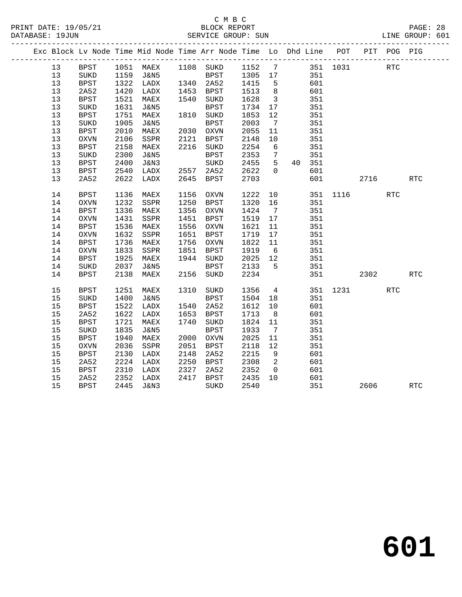### C M B C<br>BLOCK REPORT SERVICE GROUP: SUN

|  |      |             |      |           |      | Exc Block Lv Node Time Mid Node Time Arr Node Time Lo Dhd Line POT                                  |      |                            |              |          |      | PIT POG PIG |                      |
|--|------|-------------|------|-----------|------|-----------------------------------------------------------------------------------------------------|------|----------------------------|--------------|----------|------|-------------|----------------------|
|  | 13   | <b>BPST</b> |      |           |      | 1051 MAEX 1108 SUKD 1152 7 351 1031<br>1159 J&N5 BPST 1305 17 351<br>1322 LADX 1340 2A52 1415 5 601 |      |                            |              |          |      | <b>RTC</b>  |                      |
|  | 13   | SUKD        |      |           |      |                                                                                                     |      |                            |              |          |      |             |                      |
|  | 13   | BPST        |      |           |      |                                                                                                     |      |                            |              |          |      |             |                      |
|  | 13   | 2A52        | 1420 | LADX      |      | 1453 BPST                                                                                           | 1513 | 8                          | 601          |          |      |             |                      |
|  | 13   | <b>BPST</b> | 1521 | MAEX      |      | 1540 SUKD                                                                                           | 1628 | $\overline{\mathbf{3}}$    | 351          |          |      |             |                      |
|  | 13   | SUKD        | 1631 | J&N5      |      | <b>BPST</b>                                                                                         | 1734 | 17                         | 351          |          |      |             |                      |
|  | 13   | BPST        | 1751 | MAEX      |      | 1810 SUKD                                                                                           | 1853 | 12                         | 351          |          |      |             |                      |
|  | 13   | SUKD        | 1905 | J&N5      |      | <b>BPST</b>                                                                                         | 2003 | $\overline{7}$             | 351          |          |      |             |                      |
|  | 13   | <b>BPST</b> | 2010 | MAEX      |      | 2030 OXVN                                                                                           | 2055 | 11                         | 351          |          |      |             |                      |
|  | 13   | OXVN        | 2106 | SSPR      | 2121 | BPST                                                                                                | 2148 | 10                         | 351          |          |      |             |                      |
|  | 13   | BPST        | 2158 | MAEX      |      | 2216 SUKD                                                                                           | 2254 | 6                          | 351          |          |      |             |                      |
|  | 13   | SUKD        | 2300 | J&N5      |      | BPST                                                                                                | 2353 | $7\overline{ }$            | 351          |          |      |             |                      |
|  | 13   | <b>BPST</b> | 2400 | J&N3      |      | $\rm SUKD$                                                                                          | 2455 | 5 <sup>5</sup>             | 40 351       |          |      |             |                      |
|  | 13   | <b>BPST</b> | 2540 | LADX      |      | 2557 2A52                                                                                           | 2622 | $\overline{0}$             | 601          |          |      |             |                      |
|  | 13   | 2A52        | 2622 | LADX      |      | 2645 BPST                                                                                           | 2703 |                            | 601          |          | 2716 |             | RTC                  |
|  | 14   | <b>BPST</b> | 1136 | MAEX      | 1156 | OXVN                                                                                                | 1222 | 10                         |              | 351 1116 |      | <b>RTC</b>  |                      |
|  | 14   | OXVN        | 1232 | SSPR      | 1250 | BPST                                                                                                | 1320 | 16                         | 351          |          |      |             |                      |
|  | 14   | BPST        | 1336 | MAEX      |      | 1356 OXVN                                                                                           | 1424 | $\overline{7}$             | 351          |          |      |             |                      |
|  | 14   | OXVN        | 1431 | SSPR      | 1451 | BPST                                                                                                | 1519 | 17                         | 351          |          |      |             |                      |
|  | 14   | <b>BPST</b> | 1536 | MAEX      |      | 1556 OXVN                                                                                           | 1621 | 11                         | 351          |          |      |             |                      |
|  | 14   | OXVN        | 1632 | SSPR      | 1651 | BPST                                                                                                | 1719 | 17                         | 351          |          |      |             |                      |
|  | 14   | <b>BPST</b> | 1736 | MAEX      | 1756 | OXVN                                                                                                | 1822 | 11                         | 351          |          |      |             |                      |
|  | 14   | OXVN        | 1833 | SSPR      |      | 1851 BPST                                                                                           | 1919 | 6                          | 351          |          |      |             |                      |
|  | 14   | BPST        | 1925 | MAEX      |      | 1944 SUKD                                                                                           | 2025 | 12                         | 351          |          |      |             |                      |
|  | 14   | SUKD        | 2037 | J&N5      |      | <b>BPST</b>                                                                                         | 2133 | $5^{\circ}$                | 351          |          |      |             |                      |
|  | 14   | <b>BPST</b> | 2138 | MAEX      | 2156 | SUKD                                                                                                | 2234 |                            |              | 351 36   | 2302 |             | $\operatorname{RTC}$ |
|  | 15   | <b>BPST</b> | 1251 | MAEX      | 1310 | SUKD                                                                                                | 1356 | $\overline{4}$             |              | 351 1231 |      | <b>RTC</b>  |                      |
|  | 15   | <b>SUKD</b> | 1400 | J&N5      |      | BPST                                                                                                | 1504 | 18                         | 351          |          |      |             |                      |
|  | $15$ | BPST        | 1522 | LADX      |      | 1540 2A52                                                                                           | 1612 | 10                         | 601          |          |      |             |                      |
|  | 15   | 2A52        | 1622 | LADX      |      | 1653 BPST                                                                                           | 1713 | 8 <sup>8</sup>             | 601          |          |      |             |                      |
|  | 15   | <b>BPST</b> | 1721 | MAEX      | 1740 | SUKD                                                                                                | 1824 | 11                         | 351          |          |      |             |                      |
|  | 15   | SUKD        | 1835 | J&N5      |      | <b>BPST</b>                                                                                         | 1933 | $\overline{7}$             | 351          |          |      |             |                      |
|  | 15   | <b>BPST</b> | 1940 | MAEX      |      | 2000 OXVN                                                                                           | 2025 | 11                         | 351          |          |      |             |                      |
|  | 15   | <b>OXVN</b> | 2036 | SSPR      | 2051 | BPST                                                                                                | 2118 | 12                         | 351          |          |      |             |                      |
|  | 15   | <b>BPST</b> | 2130 | LADX      | 2148 | 2A52                                                                                                | 2215 | 9                          | 601          |          |      |             |                      |
|  | 15   | 2A52        | 2224 | LADX      | 2250 | BPST                                                                                                | 2308 | $\overline{\phantom{a}}^2$ | 601          |          |      |             |                      |
|  | 15   | BPST        | 2310 | LADX      | 2327 | 2A52                                                                                                | 2352 | $\overline{0}$             | 601          |          |      |             |                      |
|  | 15   | 2A52        | 2352 | LADX      |      | 2417 BPST                                                                                           | 2435 | 10                         |              |          |      |             |                      |
|  | 15   | <b>BPST</b> |      | 2445 J&N3 |      | SUKD                                                                                                | 2540 |                            | $60.$<br>351 |          | 2606 |             | $\operatorname{RTC}$ |
|  |      |             |      |           |      |                                                                                                     |      |                            |              |          |      |             |                      |

**601**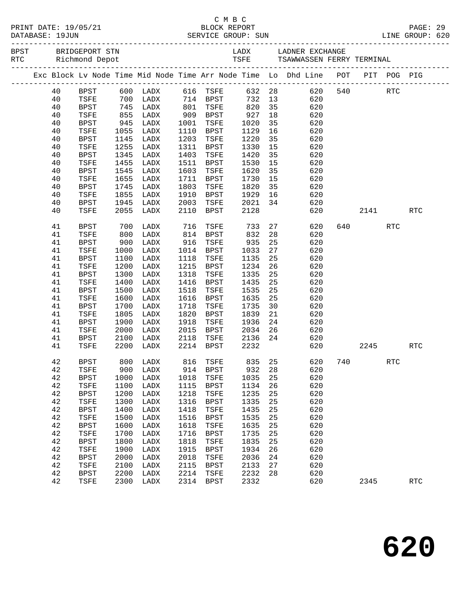|  |          |                     |              |                          |              |              |              |          | Exc Block Lv Node Time Mid Node Time Arr Node Time Lo Dhd Line POT PIT POG PIG |             |     |            |  |
|--|----------|---------------------|--------------|--------------------------|--------------|--------------|--------------|----------|--------------------------------------------------------------------------------|-------------|-----|------------|--|
|  | 40       | BPST                |              | 600 LADX 616 TSFE 632 28 |              |              |              |          |                                                                                | 620 540 RTC |     |            |  |
|  | 40       | TSFE                |              | 700 LADX 714 BPST        |              |              |              |          | 732 13<br>620                                                                  |             |     |            |  |
|  | 40       | BPST                | 745          | LADX                     |              | 801 TSFE     | 820 35       |          | 620                                                                            |             |     |            |  |
|  | 40       | TSFE                | 855<br>945   | LADX                     |              | 909 BPST     | 927<br>1020  | 18       | 620                                                                            |             |     |            |  |
|  | 40       | BPST                |              | LADX                     | 1001         | TSFE         | 1020         | 35       | 620                                                                            |             |     |            |  |
|  | 40       | TSFE                | 1055         | LADX                     | 1110         | BPST         | 1129         | 16       | 620                                                                            |             |     |            |  |
|  | 40       | BPST                | 1145         | LADX                     | 1203         | TSFE         | 1220         | 35       | 620                                                                            |             |     |            |  |
|  | 40       | TSFE                | 1255         | LADX                     | 1311         | BPST         | 1330         | 15       | 620                                                                            |             |     |            |  |
|  | 40       | BPST                | 1345         | LADX                     | 1403         | TSFE         | 1420         | 35       | 620                                                                            |             |     |            |  |
|  | 40       | TSFE                | 1455         | LADX                     | 1511         | BPST         | 1530         | 15       | 620                                                                            |             |     |            |  |
|  | 40       | BPST                | 1545         | LADX                     | 1603         | TSFE         | 1620         | 35       | 620                                                                            |             |     |            |  |
|  | 40       | TSFE                | 1655         | LADX                     | 1711         | BPST         | 1730         | 15       | 620                                                                            |             |     |            |  |
|  | 40       | BPST                | 1745         | LADX                     | 1803         | TSFE         | 1820         | 35       | 620                                                                            |             |     |            |  |
|  | 40<br>40 | TSFE                | 1855<br>1945 | LADX<br>LADX             | 1910         | BPST         | 1929<br>2021 | 16<br>34 | 620<br>620                                                                     |             |     |            |  |
|  | 40       | BPST<br><b>TSFE</b> | 2055         | LADX                     | 2003<br>2110 | TSFE<br>BPST | 2128         |          | 620                                                                            | 2141        |     | <b>RTC</b> |  |
|  |          |                     |              |                          |              |              |              |          |                                                                                |             |     |            |  |
|  | 41       | BPST                | 700          | LADX                     | 716          | TSFE         | 733          |          | 27 8<br>620                                                                    |             | RTC |            |  |
|  | 41       | TSFE                | 800          | LADX                     |              | 814 BPST     | 832          | 28       | 620                                                                            |             |     |            |  |
|  | 41       | BPST                | 900          | LADX                     | 916          | TSFE         | 935          | 25       | 620                                                                            |             |     |            |  |
|  | 41       | TSFE                | 1000         | LADX                     | 1014         | BPST         | 1033         | 27       | 620                                                                            |             |     |            |  |
|  | 41       | BPST                | 1100         | LADX                     | 1118         | TSFE         | 1135         | 25       | 620                                                                            |             |     |            |  |
|  | 41       | TSFE                | 1200         | LADX                     | 1215         | BPST         | 1234         | 26       | 620                                                                            |             |     |            |  |
|  | 41       | <b>BPST</b>         | 1300         | LADX                     | 1318         | TSFE         | 1335         | 25       | 620                                                                            |             |     |            |  |
|  | 41       | TSFE                | 1400         | LADX                     | 1416         | BPST         | 1435         | 25       | 620                                                                            |             |     |            |  |
|  | 41       | BPST                | 1500         | LADX                     | 1518         | TSFE         | 1535         | 25       | 620                                                                            |             |     |            |  |
|  | 41       | TSFE                | 1600         | LADX                     | 1616         | BPST         | 1635         | 25       | 620                                                                            |             |     |            |  |
|  | 41       | BPST                | 1700         | LADX                     | 1718         | TSFE         | 1735         | 30       | 620                                                                            |             |     |            |  |
|  | 41       | TSFE                | 1805         | LADX                     | 1820         | BPST         | 1839         | 21       | 620                                                                            |             |     |            |  |
|  | 41       | BPST                | 1900         | LADX                     | 1918         | TSFE         | 1936         | 24       | 620                                                                            |             |     |            |  |
|  | 41       | TSFE                | 2000         | LADX                     | 2015         | BPST         | 2034         | 26       | 620                                                                            |             |     |            |  |
|  | 41       | BPST                | 2100         | LADX                     | 2118         | TSFE         | 2136         | 24       | 620                                                                            |             |     |            |  |
|  | 41       | TSFE                | 2200         | LADX                     |              | 2214 BPST    | 2232         |          | 620                                                                            | 2245        |     | <b>RTC</b> |  |
|  | 42       | BPST                |              |                          |              |              |              |          | 800 LADX 816 TSFE 835 25 620 740                                               |             | RTC |            |  |
|  | 42       | TSFE                | 900          | LADX                     | 914          | BPST         | 932          | 28       | 620                                                                            |             |     |            |  |
|  | 42       | <b>BPST</b>         | 1000         | LADX                     | 1018         | TSFE         | 1035         | 25       | 620                                                                            |             |     |            |  |
|  | 42       | TSFE                | 1100         | LADX                     | 1115         | <b>BPST</b>  | 1134         | 26       | 620                                                                            |             |     |            |  |
|  | 42       | <b>BPST</b>         | 1200         | LADX                     | 1218         | TSFE         | 1235         | 25       | 620                                                                            |             |     |            |  |
|  | 42       | TSFE                | 1300         | LADX                     | 1316         | <b>BPST</b>  | 1335         | 25       | 620                                                                            |             |     |            |  |
|  | 42       | <b>BPST</b>         | 1400         | LADX                     | 1418         | TSFE         | 1435         | 25       | 620                                                                            |             |     |            |  |
|  | 42       | TSFE                | 1500         | LADX                     | 1516         | <b>BPST</b>  | 1535         | 25       | 620                                                                            |             |     |            |  |
|  | 42       | <b>BPST</b>         | 1600         | LADX                     | 1618         | TSFE         | 1635         | 25       | 620                                                                            |             |     |            |  |
|  | 42       | TSFE                | 1700         | LADX                     | 1716         | <b>BPST</b>  | 1735         | 25       | 620                                                                            |             |     |            |  |
|  | 42       | <b>BPST</b>         | 1800         | LADX                     | 1818         | TSFE         | 1835         | 25       | 620                                                                            |             |     |            |  |
|  | 42       | TSFE                | 1900         | LADX                     | 1915         | <b>BPST</b>  | 1934         | 26       | 620                                                                            |             |     |            |  |
|  | 42       | <b>BPST</b>         | 2000         | LADX                     | 2018         | TSFE         | 2036         | 24       | 620                                                                            |             |     |            |  |
|  | 42       | TSFE                | 2100         | LADX                     | 2115         | <b>BPST</b>  | 2133         | 27       | 620                                                                            |             |     |            |  |
|  | 42       | <b>BPST</b>         | 2200         | LADX                     | 2214         | TSFE         | 2232         | 28       | 620                                                                            |             |     |            |  |
|  | 42       | TSFE                | 2300         | LADX                     | 2314         | BPST         | 2332         |          | 620                                                                            | 2345        |     | <b>RTC</b> |  |

C M B C